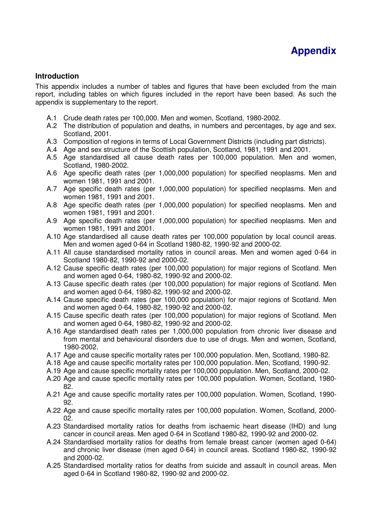## **Introduction**

This appendix includes a number of tables and figures that have been excluded from the main report, including tables on which figures included in the report have been based. As such the appendix is supplementary to the report.

- A.1 Crude death rates per 100,000. Men and women, Scotland, 1980-2002.
- A.2 The distribution of population and deaths, in numbers and percentages, by age and sex. Scotland, 2001.
- A.3 Composition of regions in terms of Local Government Districts (including part districts).
- A.4 Age and sex structure of the Scottish population, Scotland, 1981, 1991 and 2001.
- A.5 Age standardised all cause death rates per 100,000 population. Men and women, Scotland, 1980-2002.
- A.6 Age specific death rates (per 1,000,000 population) for specified neoplasms. Men and women 1981, 1991 and 2001.
- A.7 Age specific death rates (per 1,000,000 population) for specified neoplasms. Men and women 1981, 1991 and 2001.
- A.8 Age specific death rates (per 1,000,000 population) for specified neoplasms. Men and women 1981, 1991 and 2001.
- A.9 Age specific death rates (per 1,000,000 population) for specified neoplasms. Men and women 1981, 1991 and 2001.
- A.10 Age standardised all cause death rates per 100,000 population by local council areas. Men and women aged 0-64 in Scotland 1980-82, 1990-92 and 2000-02.
- A.11 All cause standardised mortality ratios in council areas. Men and women aged 0-64 in Scotland 1980-82, 1990-92 and 2000-02.
- A.12 Cause specific death rates (per 100,000 population) for major regions of Scotland. Men and women aged 0-64, 1980-82, 1990-92 and 2000-02.
- A.13 Cause specific death rates (per 100,000 population) for major regions of Scotland. Men and women aged 0-64, 1980-82, 1990-92 and 2000-02.
- A.14 Cause specific death rates (per 100,000 population) for major regions of Scotland. Men and women aged 0-64, 1980-82, 1990-92 and 2000-02.
- A.15 Cause specific death rates (per 100,000 population) for major regions of Scotland. Men and women aged 0-64, 1980-82, 1990-92 and 2000-02.
- A.16 Age standardised death rates per 1,000,000 population from chronic liver disease and from mental and behavioural disorders due to use of drugs. Men and women, Scotland, 1980-2002.
- A.17 Age and cause specific mortality rates per 100,000 population. Men, Scotland, 1980-82.
- A.18 Age and cause specific mortality rates per 100,000 population. Men, Scotland, 1990-92.
- A.19 Age and cause specific mortality rates per 100,000 population. Men, Scotland, 2000-02.
- A.20 Age and cause specific mortality rates per 100,000 population. Women, Scotland, 1980- 82.
- A.21 Age and cause specific mortality rates per 100,000 population. Women, Scotland, 1990- 92.
- A.22 Age and cause specific mortality rates per 100,000 population. Women, Scotland, 2000- 02.
- A.23 Standardised mortality ratios for deaths from ischaemic heart disease (IHD) and lung cancer in council areas. Men aged 0-64 in Scotland 1980-82, 1990-92 and 2000-02.
- A.24 Standardised mortality ratios for deaths from female breast cancer (women aged 0-64) and chronic liver disease (men aged 0-64) in council areas. Scotland 1980-82, 1990-92 and 2000-02.
- A.25 Standardised mortality ratios for deaths from suicide and assault in council areas. Men aged 0-64 in Scotland 1980-82, 1990-92 and 2000-02.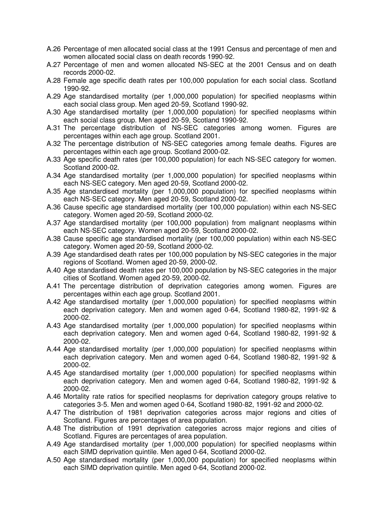- A.26 Percentage of men allocated social class at the 1991 Census and percentage of men and women allocated social class on death records 1990-92.
- A.27 Percentage of men and women allocated NS-SEC at the 2001 Census and on death records 2000-02.
- A.28 Female age specific death rates per 100,000 population for each social class. Scotland 1990-92.
- A.29 Age standardised mortality (per 1,000,000 population) for specified neoplasms within each social class group. Men aged 20-59, Scotland 1990-92.
- A.30 Age standardised mortality (per 1,000,000 population) for specified neoplasms within each social class group. Men aged 20-59, Scotland 1990-92.
- A.31 The percentage distribution of NS-SEC categories among women. Figures are percentages within each age group. Scotland 2001.
- A.32 The percentage distribution of NS-SEC categories among female deaths. Figures are percentages within each age group. Scotland 2000-02.
- A.33 Age specific death rates (per 100,000 population) for each NS-SEC category for women. Scotland 2000-02.
- A.34 Age standardised mortality (per 1,000,000 population) for specified neoplasms within each NS-SEC category. Men aged 20-59, Scotland 2000-02.
- A.35 Age standardised mortality (per 1,000,000 population) for specified neoplasms within each NS-SEC category. Men aged 20-59, Scotland 2000-02.
- A.36 Cause specific age standardised mortality (per 100,000 population) within each NS-SEC category. Women aged 20-59, Scotland 2000-02.
- A.37 Age standardised mortality (per 100,000 population) from malignant neoplasms within each NS-SEC category. Women aged 20-59, Scotland 2000-02.
- A.38 Cause specific age standardised mortality (per 100,000 population) within each NS-SEC category. Women aged 20-59, Scotland 2000-02.
- A.39 Age standardised death rates per 100,000 population by NS-SEC categories in the major regions of Scotland. Women aged 20-59, 2000-02.
- A.40 Age standardised death rates per 100,000 population by NS-SEC categories in the major cities of Scotland. Women aged 20-59, 2000-02.
- A.41 The percentage distribution of deprivation categories among women. Figures are percentages within each age group. Scotland 2001.
- A.42 Age standardised mortality (per 1,000,000 population) for specified neoplasms within each deprivation category. Men and women aged 0-64, Scotland 1980-82, 1991-92 & 2000-02.
- A.43 Age standardised mortality (per 1,000,000 population) for specified neoplasms within each deprivation category. Men and women aged 0-64, Scotland 1980-82, 1991-92 & 2000-02.
- A.44 Age standardised mortality (per 1,000,000 population) for specified neoplasms within each deprivation category. Men and women aged 0-64, Scotland 1980-82, 1991-92 & 2000-02.
- A.45 Age standardised mortality (per 1,000,000 population) for specified neoplasms within each deprivation category. Men and women aged 0-64, Scotland 1980-82, 1991-92 & 2000-02.
- A.46 Mortality rate ratios for specified neoplasms for deprivation category groups relative to categories 3-5. Men and women aged 0-64, Scotland 1980-82, 1991-92 and 2000-02.
- A.47 The distribution of 1981 deprivation categories across major regions and cities of Scotland. Figures are percentages of area population.
- A.48 The distribution of 1991 deprivation categories across major regions and cities of Scotland. Figures are percentages of area population.
- A.49 Age standardised mortality (per 1,000,000 population) for specified neoplasms within each SIMD deprivation quintile. Men aged 0-64, Scotland 2000-02.
- A.50 Age standardised mortality (per 1,000,000 population) for specified neoplasms within each SIMD deprivation quintile. Men aged 0-64, Scotland 2000-02.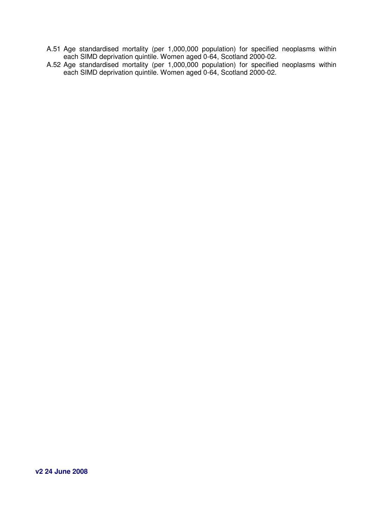- A.51 Age standardised mortality (per 1,000,000 population) for specified neoplasms within each SIMD deprivation quintile. Women aged 0-64, Scotland 2000-02.
- A.52 Age standardised mortality (per 1,000,000 population) for specified neoplasms within each SIMD deprivation quintile. Women aged 0-64, Scotland 2000-02.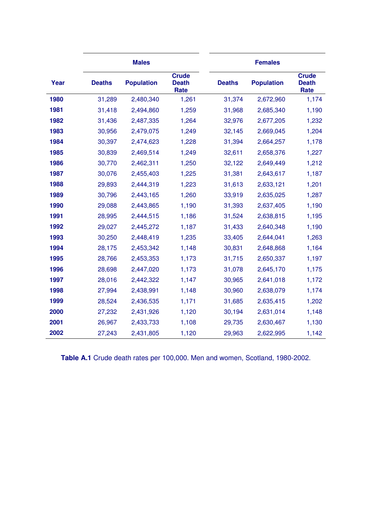|      |               | <b>Males</b>      |                                      |               | <b>Females</b>    |                                      |
|------|---------------|-------------------|--------------------------------------|---------------|-------------------|--------------------------------------|
| Year | <b>Deaths</b> | <b>Population</b> | <b>Crude</b><br><b>Death</b><br>Rate | <b>Deaths</b> | <b>Population</b> | <b>Crude</b><br><b>Death</b><br>Rate |
| 1980 | 31,289        | 2,480,340         | 1,261                                | 31,374        | 2,672,960         | 1,174                                |
| 1981 | 31,418        | 2,494,860         | 1,259                                | 31,968        | 2,685,340         | 1,190                                |
| 1982 | 31,436        | 2,487,335         | 1,264                                | 32,976        | 2,677,205         | 1,232                                |
| 1983 | 30,956        | 2,479,075         | 1,249                                | 32,145        | 2,669,045         | 1,204                                |
| 1984 | 30,397        | 2,474,623         | 1,228                                | 31,394        | 2,664,257         | 1,178                                |
| 1985 | 30,839        | 2,469,514         | 1,249                                | 32,611        | 2,658,376         | 1,227                                |
| 1986 | 30,770        | 2,462,311         | 1,250                                | 32,122        | 2,649,449         | 1,212                                |
| 1987 | 30,076        | 2,455,403         | 1,225                                | 31,381        | 2,643,617         | 1,187                                |
| 1988 | 29,893        | 2,444,319         | 1,223                                | 31,613        | 2,633,121         | 1,201                                |
| 1989 | 30,796        | 2,443,165         | 1,260                                | 33,919        | 2,635,025         | 1,287                                |
| 1990 | 29,088        | 2,443,865         | 1,190                                | 31,393        | 2,637,405         | 1,190                                |
| 1991 | 28,995        | 2,444,515         | 1,186                                | 31,524        | 2,638,815         | 1,195                                |
| 1992 | 29,027        | 2,445,272         | 1,187                                | 31,433        | 2,640,348         | 1,190                                |
| 1993 | 30,250        | 2,448,419         | 1,235                                | 33,405        | 2,644,041         | 1,263                                |
| 1994 | 28,175        | 2,453,342         | 1,148                                | 30,831        | 2,648,868         | 1,164                                |
| 1995 | 28,766        | 2,453,353         | 1,173                                | 31,715        | 2,650,337         | 1,197                                |
| 1996 | 28,698        | 2,447,020         | 1,173                                | 31,078        | 2,645,170         | 1,175                                |
| 1997 | 28,016        | 2,442,322         | 1,147                                | 30,965        | 2,641,018         | 1,172                                |
| 1998 | 27,994        | 2,438,991         | 1,148                                | 30,960        | 2,638,079         | 1,174                                |
| 1999 | 28,524        | 2,436,535         | 1,171                                | 31,685        | 2,635,415         | 1,202                                |
| 2000 | 27,232        | 2,431,926         | 1,120                                | 30,194        | 2,631,014         | 1,148                                |
| 2001 | 26,967        | 2,433,733         | 1,108                                | 29,735        | 2,630,467         | 1,130                                |
| 2002 | 27,243        | 2,431,805         | 1,120                                | 29,963        | 2,622,995         | 1,142                                |

**Table A.1** Crude death rates per 100,000. Men and women, Scotland, 1980-2002.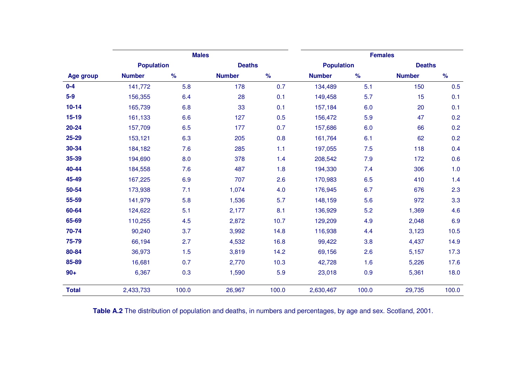|                  |                   | <b>Males</b>  |               |               |                   | <b>Females</b> |               |               |
|------------------|-------------------|---------------|---------------|---------------|-------------------|----------------|---------------|---------------|
|                  | <b>Population</b> |               | <b>Deaths</b> |               | <b>Population</b> |                | <b>Deaths</b> |               |
| <b>Age group</b> | <b>Number</b>     | $\frac{9}{6}$ | <b>Number</b> | $\frac{9}{6}$ | <b>Number</b>     | $\%$           | <b>Number</b> | $\frac{9}{6}$ |
| $0-4$            | 141,772           | 5.8           | 178           | 0.7           | 134,489           | 5.1            | 150           | 0.5           |
| $5-9$            | 156,355           | 6.4           | 28            | 0.1           | 149,458           | 5.7            | 15            | 0.1           |
| $10 - 14$        | 165,739           | 6.8           | 33            | 0.1           | 157,184           | 6.0            | 20            | 0.1           |
| $15-19$          | 161,133           | 6.6           | 127           | 0.5           | 156,472           | 5.9            | 47            | 0.2           |
| $20 - 24$        | 157,709           | 6.5           | 177           | 0.7           | 157,686           | 6.0            | 66            | 0.2           |
| 25-29            | 153,121           | 6.3           | 205           | 0.8           | 161,764           | 6.1            | 62            | 0.2           |
| 30-34            | 184,182           | 7.6           | 285           | 1.1           | 197,055           | 7.5            | 118           | 0.4           |
| 35-39            | 194,690           | 8.0           | 378           | 1.4           | 208,542           | 7.9            | 172           | 0.6           |
| 40-44            | 184,558           | 7.6           | 487           | 1.8           | 194,330           | 7.4            | 306           | 1.0           |
| 45-49            | 167,225           | 6.9           | 707           | 2.6           | 170,983           | 6.5            | 410           | 1.4           |
| 50-54            | 173,938           | 7.1           | 1,074         | 4.0           | 176,945           | 6.7            | 676           | 2.3           |
| 55-59            | 141,979           | 5.8           | 1,536         | 5.7           | 148,159           | 5.6            | 972           | 3.3           |
| 60-64            | 124,622           | 5.1           | 2,177         | 8.1           | 136,929           | 5.2            | 1,369         | 4.6           |
| 65-69            | 110,255           | 4.5           | 2,872         | 10.7          | 129,209           | 4.9            | 2,048         | 6.9           |
| 70-74            | 90,240            | 3.7           | 3,992         | 14.8          | 116,938           | 4.4            | 3,123         | 10.5          |
| 75-79            | 66,194            | 2.7           | 4,532         | 16.8          | 99,422            | 3.8            | 4,437         | 14.9          |
| 80-84            | 36,973            | 1.5           | 3,819         | 14.2          | 69,156            | 2.6            | 5,157         | 17.3          |
| 85-89            | 16,681            | 0.7           | 2,770         | 10.3          | 42,728            | 1.6            | 5,226         | 17.6          |
| $90+$            | 6,367             | 0.3           | 1,590         | 5.9           | 23,018            | 0.9            | 5,361         | 18.0          |
| <b>Total</b>     | 2,433,733         | 100.0         | 26,967        | 100.0         | 2,630,467         | 100.0          | 29,735        | 100.0         |

**Table A.2** The distribution of population and deaths, in numbers and percentages, by age and sex. Scotland, 2001.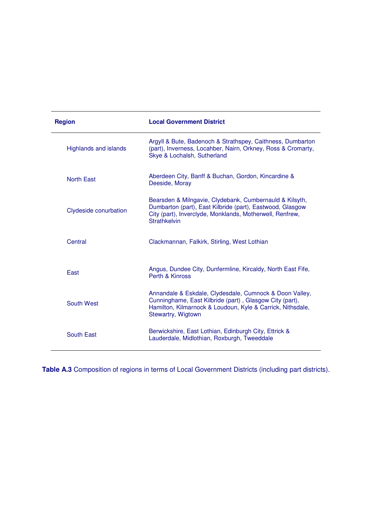| <b>Region</b>                | <b>Local Government District</b>                                                                                                                                                                        |
|------------------------------|---------------------------------------------------------------------------------------------------------------------------------------------------------------------------------------------------------|
| <b>Highlands and islands</b> | Argyll & Bute, Badenoch & Strathspey, Caithness, Dumbarton<br>(part), Inverness, Locahber, Nairn, Orkney, Ross & Cromarty,<br>Skye & Lochalsh, Sutherland                                               |
| <b>North East</b>            | Aberdeen City, Banff & Buchan, Gordon, Kincardine &<br>Deeside, Moray                                                                                                                                   |
| Clydeside conurbation        | Bearsden & Milngavie, Clydebank, Cumbernauld & Kilsyth,<br>Dumbarton (part), East Kilbride (part), Eastwood, Glasgow<br>City (part), Inverclyde, Monklands, Motherwell, Renfrew,<br><b>Strathkelvin</b> |
| Central                      | Clackmannan, Falkirk, Stirling, West Lothian                                                                                                                                                            |
| East                         | Angus, Dundee City, Dunfermline, Kircaldy, North East Fife,<br>Perth & Kinross                                                                                                                          |
| South West                   | Annandale & Eskdale, Clydesdale, Cumnock & Doon Valley,<br>Cunninghame, East Kilbride (part), Glasgow City (part),<br>Hamilton, Kilmarnock & Loudoun, Kyle & Carrick, Nithsdale,<br>Stewartry, Wigtown  |
| South East                   | Berwickshire, East Lothian, Edinburgh City, Ettrick &<br>Lauderdale, Midlothian, Roxburgh, Tweeddale                                                                                                    |

**Table A.3** Composition of regions in terms of Local Government Districts (including part districts).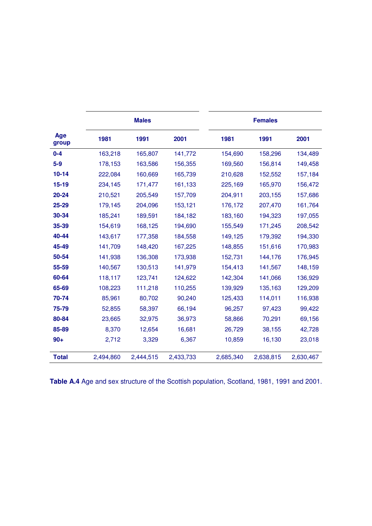|              |           | <b>Males</b> |           | <b>Females</b> |           |           |  |  |
|--------------|-----------|--------------|-----------|----------------|-----------|-----------|--|--|
| Age<br>group | 1981      | 1991         | 2001      | 1981           | 1991      | 2001      |  |  |
| $0 - 4$      | 163,218   | 165,807      | 141,772   | 154,690        | 158,296   | 134,489   |  |  |
| $5-9$        | 178,153   | 163,586      | 156,355   | 169,560        | 156,814   | 149,458   |  |  |
| $10 - 14$    | 222,084   | 160,669      | 165,739   | 210,628        | 152,552   | 157,184   |  |  |
| $15 - 19$    | 234,145   | 171,477      | 161,133   | 225,169        | 165,970   | 156,472   |  |  |
| 20-24        | 210,521   | 205,549      | 157,709   | 204,911        | 203,155   | 157,686   |  |  |
| 25-29        | 179,145   | 204,096      | 153,121   | 176,172        | 207,470   | 161,764   |  |  |
| 30-34        | 185,241   | 189,591      | 184,182   | 183,160        | 194,323   | 197,055   |  |  |
| 35-39        | 154,619   | 168,125      | 194,690   | 155,549        | 171,245   | 208,542   |  |  |
| 40-44        | 143,617   | 177,358      | 184,558   | 149,125        | 179,392   | 194,330   |  |  |
| 45-49        | 141,709   | 148,420      | 167,225   | 148,855        | 151,616   | 170,983   |  |  |
| 50-54        | 141,938   | 136,308      | 173,938   | 152,731        | 144,176   | 176,945   |  |  |
| 55-59        | 140,567   | 130,513      | 141,979   | 154,413        | 141,567   | 148,159   |  |  |
| 60-64        | 118,117   | 123,741      | 124,622   | 142,304        | 141,066   | 136,929   |  |  |
| 65-69        | 108,223   | 111,218      | 110,255   | 139,929        | 135,163   | 129,209   |  |  |
| 70-74        | 85,961    | 80,702       | 90,240    | 125,433        | 114,011   | 116,938   |  |  |
| 75-79        | 52,855    | 58,397       | 66,194    | 96,257         | 97,423    | 99,422    |  |  |
| 80-84        | 23,665    | 32,975       | 36,973    | 58,866         | 70,291    | 69,156    |  |  |
| 85-89        | 8,370     | 12,654       | 16,681    | 26,729         | 38,155    | 42,728    |  |  |
| $90+$        | 2,712     | 3,329        | 6,367     | 10,859         | 16,130    | 23,018    |  |  |
| <b>Total</b> | 2,494,860 | 2,444,515    | 2,433,733 | 2,685,340      | 2,638,815 | 2,630,467 |  |  |

**Table A.4** Age and sex structure of the Scottish population, Scotland, 1981, 1991 and 2001.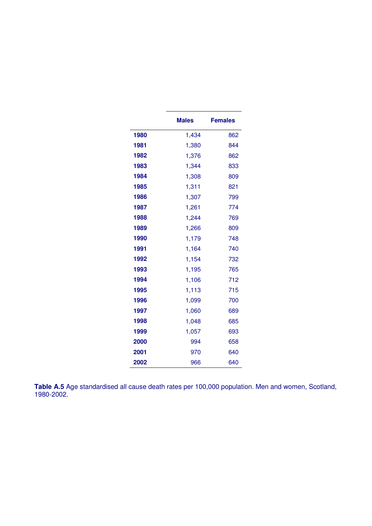|      | <b>Males</b> | <b>Females</b> |
|------|--------------|----------------|
| 1980 | 1,434        | 862            |
| 1981 | 1,380        | 844            |
| 1982 | 1,376        | 862            |
| 1983 | 1,344        | 833            |
| 1984 | 1,308        | 809            |
| 1985 | 1,311        | 821            |
| 1986 | 1,307        | 799            |
| 1987 | 1,261        | 774            |
| 1988 | 1,244        | 769            |
| 1989 | 1,266        | 809            |
| 1990 | 1,179        | 748            |
| 1991 | 1,164        | 740            |
| 1992 | 1,154        | 732            |
| 1993 | 1,195        | 765            |
| 1994 | 1,106        | 712            |
| 1995 | 1,113        | 715            |
| 1996 | 1,099        | 700            |
| 1997 | 1,060        | 689            |
| 1998 | 1,048        | 685            |
| 1999 | 1,057        | 693            |
| 2000 | 994          | 658            |
| 2001 | 970          | 640            |
| 2002 | 966          | 640            |

**Table A.5** Age standardised all cause death rates per 100,000 population. Men and women, Scotland, 1980-2002.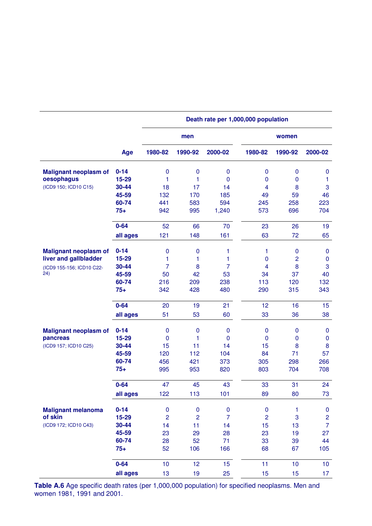|                              |          |                | Death rate per 1,000,000 population |                |                |                 |                 |  |
|------------------------------|----------|----------------|-------------------------------------|----------------|----------------|-----------------|-----------------|--|
|                              |          |                | men                                 |                |                | women           |                 |  |
|                              | Age      | 1980-82        | 1990-92                             | 2000-02        | 1980-82        | 1990-92         | 2000-02         |  |
| <b>Malignant neoplasm of</b> | $0 - 14$ | $\mathbf 0$    | $\mathbf 0$                         | 0              | 0              | 0               | $\bf{0}$        |  |
| oesophagus                   | 15-29    | 1              | 1                                   | 0              | $\mathbf 0$    | 0               | 1               |  |
| (ICD9 150; ICD10 C15)        | 30-44    | 18             | 17                                  | 14             | 4              | 8               | $\mathbf 3$     |  |
|                              | 45-59    | 132            | 170                                 | 185            | 49             | 59              | 46              |  |
|                              | 60-74    | 441            | 583                                 | 594            | 245            | 258             | 223             |  |
|                              | $75+$    | 942            | 995                                 | 1,240          | 573            | 696             | 704             |  |
|                              | $0 - 64$ | 52             | 66                                  | 70             | 23             | 26              | 19              |  |
|                              | all ages | 121            | 148                                 | 161            | 63             | 72              | 65              |  |
| <b>Malignant neoplasm of</b> | $0 - 14$ | $\pmb{0}$      | $\mathbf 0$                         | 1              | 1              | $\bf{0}$        | $\bf{0}$        |  |
| liver and gallbladder        | 15-29    | 1              | 1                                   | 1              | $\mathbf 0$    | $\overline{c}$  | $\pmb{0}$       |  |
| (ICD9 155-156; ICD10 C22-    | 30-44    | $\overline{7}$ | 8                                   | 7              | 4              | 8               | $\mathbf 3$     |  |
| 24)                          | 45-59    | 50             | 42                                  | 53             | 34             | 37              | 40              |  |
|                              | 60-74    | 216            | 209                                 | 238            | 113            | 120             | 132             |  |
|                              | $75+$    | 342            | 428                                 | 480            | 290            | 315             | 343             |  |
|                              | $0 - 64$ | 20             | 19                                  | 21             | 12             | 16              | 15              |  |
|                              | all ages | 51             | 53                                  | 60             | 33             | 36              | 38              |  |
| <b>Malignant neoplasm of</b> | $0 - 14$ | $\pmb{0}$      | $\mathbf 0$                         | 0              | $\pmb{0}$      | $\bf{0}$        | $\bf{0}$        |  |
| pancreas                     | 15-29    | $\pmb{0}$      | 1                                   | $\mathbf 0$    | $\mathbf 0$    | $\mathbf 0$     | $\pmb{0}$       |  |
| (ICD9 157; ICD10 C25)        | 30-44    | 15             | 11                                  | 14             | 15             | 8               | 8               |  |
|                              | 45-59    | 120            | 112                                 | 104            | 84             | 71              | 57              |  |
|                              | 60-74    | 456            | 421                                 | 373            | 305            | 298             | 266             |  |
|                              | $75+$    | 995            | 953                                 | 820            | 803            | 704             | 708             |  |
|                              | $0 - 64$ | 47             | 45                                  | 43             | 33             | 31              | 24              |  |
|                              | all ages | 122            | 113                                 | 101            | 89             | 80              | 73              |  |
| <b>Malignant melanoma</b>    | $0 - 14$ | $\pmb{0}$      | $\pmb{0}$                           | $\pmb{0}$      | $\pmb{0}$      | 1               | $\pmb{0}$       |  |
| of skin                      | 15-29    | $\overline{c}$ | $\overline{c}$                      | $\overline{7}$ | $\overline{c}$ | 3               | $\overline{c}$  |  |
| (ICD9 172; ICD10 C43)        | 30-44    | 14             | 11                                  | 14             | 15             | 13              | $\overline{7}$  |  |
|                              | 45-59    | 23             | 29                                  | 28             | 23             | 19              | 27              |  |
|                              | 60-74    | 28             | 52                                  | 71             | 33             | 39              | 44              |  |
|                              | $75+$    | 52             | 106                                 | 166            | 68             | 67              | 105             |  |
|                              |          |                |                                     |                |                |                 |                 |  |
|                              | $0 - 64$ | 10             | 12                                  | 15             | 11             | 10 <sub>1</sub> | 10 <sub>1</sub> |  |
|                              | all ages | 13             | 19                                  | 25             | 15             | 15              | 17 <sub>1</sub> |  |

**Table A.6** Age specific death rates (per 1,000,000 population) for specified neoplasms. Men and women 1981, 1991 and 2001.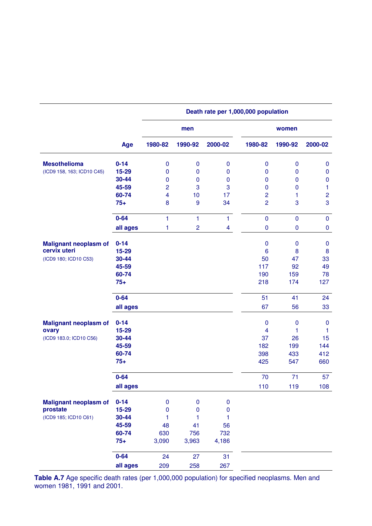|                              |          |                | men            |              |                | women       |                |
|------------------------------|----------|----------------|----------------|--------------|----------------|-------------|----------------|
|                              | Age      | 1980-82        | 1990-92        | 2000-02      | 1980-82        | 1990-92     | 2000-02        |
| <b>Mesothelioma</b>          | $0 - 14$ | $\mathbf 0$    | $\mathbf 0$    | $\pmb{0}$    | $\mathbf 0$    | $\mathbf 0$ | $\bf{0}$       |
| (ICD9 158, 163; ICD10 C45)   | 15-29    | $\mathbf 0$    | $\mathbf 0$    | $\mathbf 0$  | $\mathbf 0$    | $\mathbf 0$ | $\mathbf 0$    |
|                              | 30-44    | $\mathbf 0$    | $\mathbf 0$    | $\pmb{0}$    | $\mathbf 0$    | $\mathbf 0$ | $\pmb{0}$      |
|                              | 45-59    | $\overline{2}$ | 3              | 3            | $\mathbf 0$    | $\mathbf 0$ | 1              |
|                              | 60-74    | 4              | 10             | 17           | $\overline{c}$ | 1           | $\overline{c}$ |
|                              | $75+$    | 8              | 9              | 34           | $\overline{2}$ | 3           | 3              |
|                              | $0 - 64$ | 1              | 1              | $\mathbf{1}$ | $\mathbf 0$    | $\mathbf 0$ | $\pmb{0}$      |
|                              | all ages | 1              | $\overline{c}$ | 4            | $\pmb{0}$      | $\mathbf 0$ | $\pmb{0}$      |
| <b>Malignant neoplasm of</b> | $0 - 14$ |                |                |              | $\mathbf 0$    | 0           | $\mathbf 0$    |
| cervix uteri                 | 15-29    |                |                |              | 6              | 8           | 8              |
| (ICD9 180; ICD10 C53)        | 30-44    |                |                |              | 50             | 47          | 33             |
|                              | 45-59    |                |                |              | 117            | 92          | 49             |
|                              | 60-74    |                |                |              | 190            | 159         | 78             |
|                              | $75+$    |                |                |              | 218            | 174         | 127            |
|                              | $0 - 64$ |                |                |              | 51             | 41          | 24             |
|                              | all ages |                |                |              | 67             | 56          | 33             |
| <b>Malignant neoplasm of</b> | $0 - 14$ |                |                |              | $\mathbf 0$    | $\pmb{0}$   | $\mathbf 0$    |
| ovary                        | 15-29    |                |                |              | $\overline{4}$ | 1           | 1              |
| (ICD9 183.0; ICD10 C56)      | 30-44    |                |                |              | 37             | 26          | 15             |
|                              | 45-59    |                |                |              | 182            | 199         | 144            |
|                              | 60-74    |                |                |              | 398            | 433         | 412            |
|                              | $75+$    |                |                |              | 425            | 547         | 660            |
|                              | $0 - 64$ |                |                |              | 70             | 71          | 57             |
|                              | all ages |                |                |              | 110            | 119         | 108            |
| <b>Malignant neoplasm of</b> | $0 - 14$ | $\pmb{0}$      | $\bf{0}$       | ${\bf 0}$    |                |             |                |
| prostate                     | 15-29    | $\mathbf{0}$   | $\mathbf{0}$   | $\bf{0}$     |                |             |                |
| (ICD9 185; ICD10 C61)        | 30-44    | 1              | 1              | 1            |                |             |                |
|                              | 45-59    | 48             | 41             | 56           |                |             |                |
|                              | 60-74    | 630            | 756            | 732          |                |             |                |
|                              | $75+$    | 3,090          | 3,963          | 4,186        |                |             |                |
|                              | $0 - 64$ | 24             | 27             | 31           |                |             |                |
|                              | all ages | 209            | 258            | 267          |                |             |                |

## **Death rate per 1,000,000 population**

**Table A.7** Age specific death rates (per 1,000,000 population) for specified neoplasms. Men and women 1981, 1991 and 2001.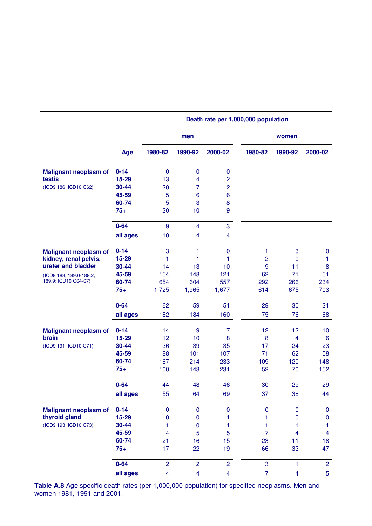|                              |          | Death rate per 1,000,000 population |                         |                |                |             |                         |  |
|------------------------------|----------|-------------------------------------|-------------------------|----------------|----------------|-------------|-------------------------|--|
|                              |          |                                     | men                     |                |                | women       |                         |  |
|                              | Age      | 1980-82                             | 1990-92                 | 2000-02        | 1980-82        | 1990-92     | 2000-02                 |  |
| <b>Malignant neoplasm of</b> | $0 - 14$ | $\pmb{0}$                           | $\bf{0}$                | 0              |                |             |                         |  |
| testis                       | 15-29    | 13                                  | $\overline{\mathbf{4}}$ | $\overline{c}$ |                |             |                         |  |
| (ICD9 186; ICD10 C62)        | 30-44    | 20                                  | 7                       | $\overline{c}$ |                |             |                         |  |
|                              | 45-59    | 5                                   | 6                       | 6              |                |             |                         |  |
|                              | 60-74    | 5                                   | 3                       | 8              |                |             |                         |  |
|                              | $75+$    | 20                                  | 10                      | 9              |                |             |                         |  |
|                              | $0 - 64$ | $9$                                 | $\overline{\mathbf{4}}$ | 3              |                |             |                         |  |
|                              | all ages | 10                                  | $\overline{\mathbf{4}}$ | 4              |                |             |                         |  |
| <b>Malignant neoplasm of</b> | $0 - 14$ | 3                                   | 1                       | $\mathbf 0$    | 1              | 3           | $\bf{0}$                |  |
| kidney, renal pelvis,        | 15-29    | 1                                   | 1                       | 1              | $\overline{c}$ | $\mathbf 0$ | 1                       |  |
| ureter and bladder           | 30-44    | 14                                  | 13                      | 10             | 9              | 11          | $\bf 8$                 |  |
| (ICD9 188, 189.0-189.2,      | 45-59    | 154                                 | 148                     | 121            | 62             | 71          | 51                      |  |
| 189.9; ICD10 C64-67)         | 60-74    | 654                                 | 604                     | 557            | 292            | 266         | 234                     |  |
|                              | $75+$    | 1,725                               | 1,965                   | 1,677          | 614            | 675         | 703                     |  |
|                              | $0 - 64$ | 62                                  | 59                      | 51             | 29             | 30          | 21                      |  |
|                              | all ages | 182                                 | 184                     | 160            | 75             | 76          | 68                      |  |
| <b>Malignant neoplasm of</b> | $0 - 14$ | 14                                  | 9                       | $\overline{7}$ | 12             | 12          | 10                      |  |
| brain                        | 15-29    | 12                                  | 10                      | 8              | 8              | 4           | $6\phantom{1}6$         |  |
| (ICD9 191; ICD10 C71)        | 30-44    | 36                                  | 39                      | 35             | 17             | 24          | 23                      |  |
|                              | 45-59    | 88                                  | 101                     | 107            | 71             | 62          | 58                      |  |
|                              | 60-74    | 167                                 | 214                     | 233            | 109            | 120         | 148                     |  |
|                              | $75+$    | 100                                 | 143                     | 231            | 52             | 70          | 152                     |  |
|                              | $0 - 64$ | 44                                  | 48                      | 46             | 30             | 29          | 29                      |  |
|                              | all ages | 55                                  | 64                      | 69             | 37             | 38          | 44                      |  |
| <b>Malignant neoplasm of</b> | $0 - 14$ | $\mathbf 0$                         | $\pmb{0}$               | $\pmb{0}$      | $\pmb{0}$      | 0           | $\pmb{0}$               |  |
| thyroid gland                | 15-29    | 0                                   | $\pmb{0}$               | 1              | 1              | $\pmb{0}$   | $\pmb{0}$               |  |
| (ICD9 193; ICD10 C73)        | 30-44    | 1                                   | $\mathbf 0$             | 1              | 1              | 1           | 1                       |  |
|                              | 45-59    | $\overline{4}$                      | 5                       | 5              | 7              | 4           | $\overline{\mathbf{4}}$ |  |
|                              | 60-74    | 21                                  | 16                      | 15             | 23             | 11          | 18                      |  |
|                              | $75+$    | 17                                  | 22                      | 19             | 66             | 33          | 47                      |  |
|                              | $0 - 64$ | $\overline{2}$                      | $\overline{c}$          | $\overline{2}$ | 3              | 1           | $\overline{2}$          |  |
|                              | all ages | $\overline{\mathbf{4}}$             | $\overline{\mathbf{4}}$ | 4              | $\overline{7}$ | 4           | 5                       |  |

**Table A.8** Age specific death rates (per 1,000,000 population) for specified neoplasms. Men and women 1981, 1991 and 2001.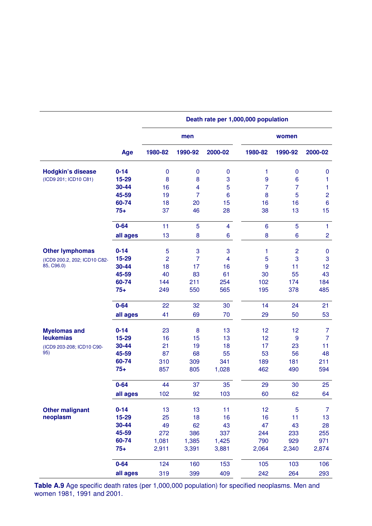|                              |          |                | men                     |                 |                | women          |                  |
|------------------------------|----------|----------------|-------------------------|-----------------|----------------|----------------|------------------|
|                              | Age      | 1980-82        | 1990-92                 | 2000-02         | 1980-82        | 1990-92        | 2000-02          |
| <b>Hodgkin's disease</b>     | $0 - 14$ | $\pmb{0}$      | $\boldsymbol{0}$        | $\bf{0}$        | 1              | $\mathbf 0$    | 0                |
| (ICD9 201; ICD10 C81)        | 15-29    | 8              | 8                       | 3               | 9              | 6              | 1                |
|                              | 30-44    | 16             | $\overline{\mathbf{4}}$ | 5               | $\overline{7}$ | $\overline{7}$ | 1                |
|                              | 45-59    | 19             | $\overline{7}$          | $6\phantom{1}6$ | 8              | 5              | $\overline{c}$   |
|                              | 60-74    | 18             | 20                      | 15              | 16             | 16             | $\boldsymbol{6}$ |
|                              | $75+$    | 37             | 46                      | 28              | 38             | 13             | 15               |
|                              | $0 - 64$ | 11             | 5                       | $\overline{4}$  | 6              | 5              | $\mathbf{1}$     |
|                              | all ages | 13             | 8                       | 6               | 8              | 6              | $\overline{c}$   |
| <b>Other lymphomas</b>       | $0 - 14$ | 5              | 3                       | 3               | 1              | $\overline{c}$ | $\pmb{0}$        |
| (ICD9 200.2, 202; ICD10 C82- | 15-29    | $\overline{2}$ | 7                       | 4               | 5              | 3              | $\mathbf{3}$     |
| 85, C96.0)                   | 30-44    | 18             | 17                      | 16              | 9              | 11             | 12               |
|                              | 45-59    | 40             | 83                      | 61              | 30             | 55             | 43               |
|                              | 60-74    | 144            | 211                     | 254             | 102            | 174            | 184              |
|                              | $75+$    | 249            | 550                     | 565             | 195            | 378            | 485              |
|                              | $0 - 64$ | 22             | 32                      | 30              | 14             | 24             | 21               |
|                              | all ages | 41             | 69                      | 70              | 29             | 50             | 53               |
| <b>Myelomas and</b>          | $0 - 14$ | 23             | 8                       | 13              | 12             | 12             | $\overline{7}$   |
| <b>leukemias</b>             | 15-29    | 16             | 15                      | 13              | 12             | $\overline{9}$ | $\overline{7}$   |
| (ICD9 203-208; ICD10 C90-    | 30-44    | 21             | 19                      | 18              | 17             | 23             | 11               |
| 95)                          | 45-59    | 87             | 68                      | 55              | 53             | 56             | 48               |
|                              | 60-74    | 310            | 309                     | 341             | 189            | 181            | 211              |
|                              | $75+$    | 857            | 805                     | 1,028           | 462            | 490            | 594              |
|                              | $0 - 64$ | 44             | 37                      | 35              | 29             | 30             | 25               |
|                              | all ages | 102            | 92                      | 103             | 60             | 62             | 64               |
| <b>Other malignant</b>       | $0 - 14$ | 13             | 13                      | 11              | 12             | $\overline{5}$ | $\overline{7}$   |
| neoplasm                     | 15-29    | 25             | 18                      | 16              | 16             | 11             | 13               |
|                              | 30-44    | 49             | 62                      | 43              | 47             | 43             | 28               |
|                              | 45-59    | 272            | 386                     | 337             | 244            | 233            | 255              |
|                              | 60-74    | 1,081          | 1,385                   | 1,425           | 790            | 929            | 971              |
|                              | $75+$    | 2,911          | 3,391                   | 3,881           | 2,064          | 2,340          | 2,874            |
|                              | $0 - 64$ | 124            | 160                     | 153             | 105            | 103            | 106              |
|                              | all ages | 319            | 399                     | 409             | 242            | 264            | 293              |

**Death rate per 1,000,000 population** 

**Table A.9** Age specific death rates (per 1,000,000 population) for specified neoplasms. Men and women 1981, 1991 and 2001.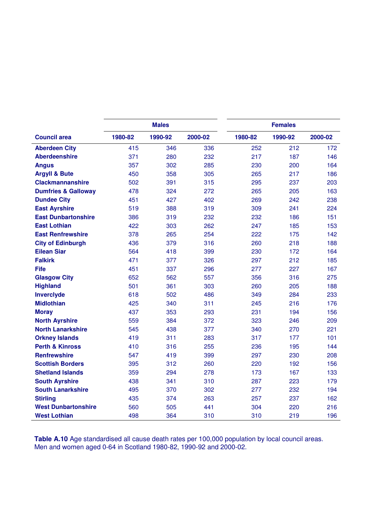|                                |         | <b>Males</b> |         | <b>Females</b> |         |         |
|--------------------------------|---------|--------------|---------|----------------|---------|---------|
| <b>Council area</b>            | 1980-82 | 1990-92      | 2000-02 | 1980-82        | 1990-92 | 2000-02 |
| <b>Aberdeen City</b>           | 415     | 346          | 336     | 252            | 212     | 172     |
| <b>Aberdeenshire</b>           | 371     | 280          | 232     | 217            | 187     | 146     |
| <b>Angus</b>                   | 357     | 302          | 285     | 230            | 200     | 164     |
| <b>Argyll &amp; Bute</b>       | 450     | 358          | 305     | 265            | 217     | 186     |
| <b>Clackmannanshire</b>        | 502     | 391          | 315     | 295            | 237     | 203     |
| <b>Dumfries &amp; Galloway</b> | 478     | 324          | 272     | 265            | 205     | 163     |
| <b>Dundee City</b>             | 451     | 427          | 402     | 269            | 242     | 238     |
| <b>East Ayrshire</b>           | 519     | 388          | 319     | 309            | 241     | 224     |
| <b>East Dunbartonshire</b>     | 386     | 319          | 232     | 232            | 186     | 151     |
| <b>East Lothian</b>            | 422     | 303          | 262     | 247            | 185     | 153     |
| <b>East Renfrewshire</b>       | 378     | 265          | 254     | 222            | 175     | 142     |
| <b>City of Edinburgh</b>       | 436     | 379          | 316     | 260            | 218     | 188     |
| <b>Eilean Siar</b>             | 564     | 418          | 399     | 230            | 172     | 164     |
| <b>Falkirk</b>                 | 471     | 377          | 326     | 297            | 212     | 185     |
| <b>Fife</b>                    | 451     | 337          | 296     | 277            | 227     | 167     |
| <b>Glasgow City</b>            | 652     | 562          | 557     | 356            | 316     | 275     |
| <b>Highland</b>                | 501     | 361          | 303     | 260            | 205     | 188     |
| Inverclyde                     | 618     | 502          | 486     | 349            | 284     | 233     |
| <b>Midlothian</b>              | 425     | 340          | 311     | 245            | 216     | 176     |
| <b>Moray</b>                   | 437     | 353          | 293     | 231            | 194     | 156     |
| <b>North Ayrshire</b>          | 559     | 384          | 372     | 323            | 246     | 209     |
| <b>North Lanarkshire</b>       | 545     | 438          | 377     | 340            | 270     | 221     |
| <b>Orkney Islands</b>          | 419     | 311          | 283     | 317            | 177     | 101     |
| <b>Perth &amp; Kinross</b>     | 410     | 316          | 255     | 236            | 195     | 144     |
| <b>Renfrewshire</b>            | 547     | 419          | 399     | 297            | 230     | 208     |
| <b>Scottish Borders</b>        | 395     | 312          | 260     | 220            | 192     | 156     |
| <b>Shetland Islands</b>        | 359     | 294          | 278     | 173            | 167     | 133     |
| <b>South Ayrshire</b>          | 438     | 341          | 310     | 287            | 223     | 179     |
| <b>South Lanarkshire</b>       | 495     | 370          | 302     | 277            | 232     | 194     |
| <b>Stirling</b>                | 435     | 374          | 263     | 257            | 237     | 162     |
| <b>West Dunbartonshire</b>     | 560     | 505          | 441     | 304            | 220     | 216     |
| <b>West Lothian</b>            | 498     | 364          | 310     | 310            | 219     | 196     |

**Table A.10** Age standardised all cause death rates per 100,000 population by local council areas. Men and women aged 0-64 in Scotland 1980-82, 1990-92 and 2000-02.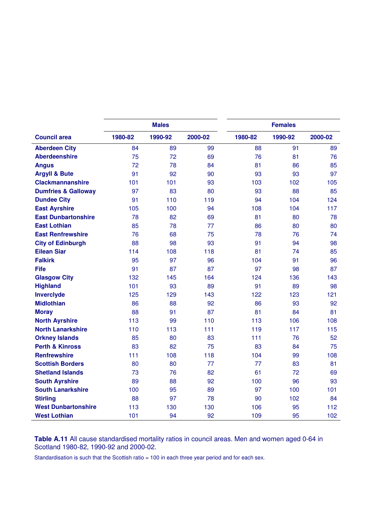|                                |         | <b>Males</b> |         |         | <b>Females</b> |         |  |  |
|--------------------------------|---------|--------------|---------|---------|----------------|---------|--|--|
| <b>Council area</b>            | 1980-82 | 1990-92      | 2000-02 | 1980-82 | 1990-92        | 2000-02 |  |  |
| <b>Aberdeen City</b>           | 84      | 89           | 99      | 88      | 91             | 89      |  |  |
| <b>Aberdeenshire</b>           | 75      | 72           | 69      | 76      | 81             | 76      |  |  |
| <b>Angus</b>                   | 72      | 78           | 84      | 81      | 86             | 85      |  |  |
| <b>Argyll &amp; Bute</b>       | 91      | 92           | 90      | 93      | 93             | 97      |  |  |
| <b>Clackmannanshire</b>        | 101     | 101          | 93      | 103     | 102            | 105     |  |  |
| <b>Dumfries &amp; Galloway</b> | 97      | 83           | 80      | 93      | 88             | 85      |  |  |
| <b>Dundee City</b>             | 91      | 110          | 119     | 94      | 104            | 124     |  |  |
| <b>East Ayrshire</b>           | 105     | 100          | 94      | 108     | 104            | 117     |  |  |
| <b>East Dunbartonshire</b>     | 78      | 82           | 69      | 81      | 80             | 78      |  |  |
| <b>East Lothian</b>            | 85      | 78           | 77      | 86      | 80             | 80      |  |  |
| <b>East Renfrewshire</b>       | 76      | 68           | 75      | 78      | 76             | 74      |  |  |
| <b>City of Edinburgh</b>       | 88      | 98           | 93      | 91      | 94             | 98      |  |  |
| <b>Eilean Siar</b>             | 114     | 108          | 118     | 81      | 74             | 85      |  |  |
| <b>Falkirk</b>                 | 95      | 97           | 96      | 104     | 91             | 96      |  |  |
| <b>Fife</b>                    | 91      | 87           | 87      | 97      | 98             | 87      |  |  |
| <b>Glasgow City</b>            | 132     | 145          | 164     | 124     | 136            | 143     |  |  |
| <b>Highland</b>                | 101     | 93           | 89      | 91      | 89             | 98      |  |  |
| <b>Inverciyde</b>              | 125     | 129          | 143     | 122     | 123            | 121     |  |  |
| <b>Midlothian</b>              | 86      | 88           | 92      | 86      | 93             | 92      |  |  |
| <b>Moray</b>                   | 88      | 91           | 87      | 81      | 84             | 81      |  |  |
| <b>North Ayrshire</b>          | 113     | 99           | 110     | 113     | 106            | 108     |  |  |
| <b>North Lanarkshire</b>       | 110     | 113          | 111     | 119     | 117            | 115     |  |  |
| <b>Orkney Islands</b>          | 85      | 80           | 83      | 111     | 76             | 52      |  |  |
| <b>Perth &amp; Kinross</b>     | 83      | 82           | 75      | 83      | 84             | 75      |  |  |
| <b>Renfrewshire</b>            | 111     | 108          | 118     | 104     | 99             | 108     |  |  |
| <b>Scottish Borders</b>        | 80      | 80           | 77      | 77      | 83             | 81      |  |  |
| <b>Shetland Islands</b>        | 73      | 76           | 82      | 61      | 72             | 69      |  |  |
| <b>South Ayrshire</b>          | 89      | 88           | 92      | 100     | 96             | 93      |  |  |
| <b>South Lanarkshire</b>       | 100     | 95           | 89      | 97      | 100            | 101     |  |  |
| <b>Stirling</b>                | 88      | 97           | 78      | 90      | 102            | 84      |  |  |
| <b>West Dunbartonshire</b>     | 113     | 130          | 130     | 106     | 95             | 112     |  |  |
| <b>West Lothian</b>            | 101     | 94           | 92      | 109     | 95             | 102     |  |  |

**Table A.11** All cause standardised mortality ratios in council areas. Men and women aged 0-64 in Scotland 1980-82, 1990-92 and 2000-02.

Standardisation is such that the Scottish ratio = 100 in each three year period and for each sex.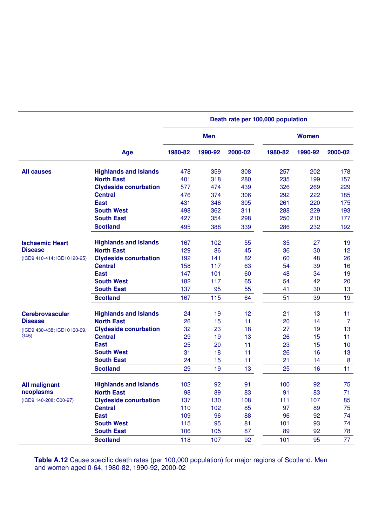|                              |                              | Death rate per 100,000 population |            |         |         |              |                |
|------------------------------|------------------------------|-----------------------------------|------------|---------|---------|--------------|----------------|
|                              |                              |                                   | <b>Men</b> |         |         | <b>Women</b> |                |
|                              | Age                          | 1980-82                           | 1990-92    | 2000-02 | 1980-82 | 1990-92      | 2000-02        |
| <b>All causes</b>            | <b>Highlands and Islands</b> | 478                               | 359        | 308     | 257     | 202          | 178            |
|                              | <b>North East</b>            | 401                               | 318        | 280     | 235     | 199          | 157            |
|                              | <b>Clydeside conurbation</b> | 577                               | 474        | 439     | 326     | 269          | 229            |
|                              | <b>Central</b>               | 476                               | 374        | 306     | 292     | 222          | 185            |
|                              | <b>East</b>                  | 431                               | 346        | 305     | 261     | 220          | 175            |
|                              | <b>South West</b>            | 498                               | 362        | 311     | 288     | 229          | 193            |
|                              | <b>South East</b>            | 427                               | 354        | 298     | 250     | 210          | 177            |
|                              | <b>Scotland</b>              | 495                               | 388        | 339     | 286     | 232          | 192            |
| <b>Ischaemic Heart</b>       | <b>Highlands and Islands</b> | 167                               | 102        | 55      | 35      | 27           | 19             |
| <b>Disease</b>               | <b>North East</b>            | 129                               | 86         | 45      | 36      | 30           | 12             |
| (ICD9 410-414; ICD10 I20-25) | <b>Clydeside conurbation</b> | 192                               | 141        | 82      | 60      | 48           | 26             |
|                              | <b>Central</b>               | 158                               | 117        | 63      | 54      | 39           | 16             |
|                              | <b>East</b>                  | 147                               | 101        | 60      | 48      | 34           | 19             |
|                              | <b>South West</b>            | 182                               | 117        | 65      | 54      | 42           | 20             |
|                              | <b>South East</b>            | 137                               | 95         | 55      | 41      | 30           | 13             |
|                              | <b>Scotland</b>              | 167                               | 115        | 64      | 51      | 39           | 19             |
| <b>Cerebrovascular</b>       | <b>Highlands and Islands</b> | 24                                | 19         | 12      | 21      | 13           | 11             |
| <b>Disease</b>               | <b>North East</b>            | 26                                | 15         | 11      | 20      | 14           | $\overline{7}$ |
| (ICD9 430-438; ICD10 I60-69, | <b>Clydeside conurbation</b> | 32                                | 23         | 18      | 27      | 19           | 13             |
| G <sub>45</sub>              | <b>Central</b>               | 29                                | 19         | 13      | 26      | 15           | 11             |
|                              | <b>East</b>                  | 25                                | 20         | 11      | 23      | 15           | 10             |
|                              | <b>South West</b>            | 31                                | 18         | 11      | 26      | 16           | 13             |
|                              | <b>South East</b>            | 24                                | 15         | 11      | 21      | 14           | 8              |
|                              | <b>Scotland</b>              | 29                                | 19         | 13      | 25      | 16           | 11             |
| <b>All malignant</b>         | <b>Highlands and Islands</b> | 102                               | 92         | 91      | 100     | 92           | 75             |
| neoplasms                    | <b>North East</b>            | 98                                | 89         | 83      | 91      | 83           | 71             |
| (ICD9 140-208; C00-97)       | <b>Clydeside conurbation</b> | 137                               | 130        | 108     | 111     | 107          | 85             |
|                              | <b>Central</b>               | 110                               | 102        | 85      | 97      | 89           | 75             |
|                              | <b>East</b>                  | 109                               | 96         | 88      | 96      | 92           | 74             |
|                              | <b>South West</b>            | 115                               | 95         | 81      | 101     | 93           | 74             |
|                              | <b>South East</b>            | 106                               | 105        | 87      | 89      | 92           | 78             |
|                              | <b>Scotland</b>              | 118                               | 107        | 92      | 101     | 95           | 77             |

**Table A.12** Cause specific death rates (per 100,000 population) for major regions of Scotland. Men and women aged 0-64, 1980-82, 1990-92, 2000-02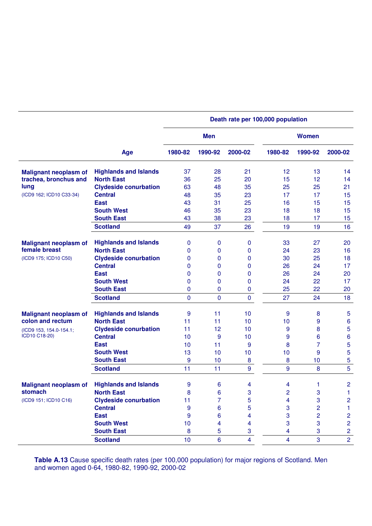|                              |                              | Death rate per 100,000 population |              |                         |                         |                |                  |  |  |  |
|------------------------------|------------------------------|-----------------------------------|--------------|-------------------------|-------------------------|----------------|------------------|--|--|--|
|                              |                              |                                   | <b>Men</b>   |                         |                         | <b>Women</b>   |                  |  |  |  |
|                              | Age                          | 1980-82                           | 1990-92      | 2000-02                 | 1980-82                 | 1990-92        | 2000-02          |  |  |  |
| <b>Malignant neoplasm of</b> | <b>Highlands and Islands</b> | 37                                | 28           | 21                      | 12                      | 13             | 14               |  |  |  |
| trachea, bronchus and        | <b>North East</b>            | 36                                | 25           | 20                      | 15                      | 12             | 14               |  |  |  |
| lung                         | <b>Clydeside conurbation</b> | 63                                | 48           | 35                      | 25                      | 25             | 21               |  |  |  |
| (ICD9 162; ICD10 C33-34)     | <b>Central</b>               | 48                                | 35           | 23                      | 17                      | 17             | 15               |  |  |  |
|                              | <b>East</b>                  | 43                                | 31           | 25                      | 16                      | 15             | 15               |  |  |  |
|                              | <b>South West</b>            | 46                                | 35           | 23                      | 18                      | 18             | 15               |  |  |  |
|                              | <b>South East</b>            | 43                                | 38           | 23                      | 18                      | 17             | 15               |  |  |  |
|                              | <b>Scotland</b>              | 49                                | 37           | 26                      | 19                      | 19             | 16               |  |  |  |
| <b>Malignant neoplasm of</b> | <b>Highlands and Islands</b> | 0                                 | 0            | 0                       | 33                      | 27             | 20               |  |  |  |
| female breast                | <b>North East</b>            | 0                                 | 0            | 0                       | 24                      | 23             | 16               |  |  |  |
| (ICD9 175; ICD10 C50)        | <b>Clydeside conurbation</b> | 0                                 | 0            | $\mathbf{0}$            | 30                      | 25             | 18               |  |  |  |
|                              | <b>Central</b>               | 0                                 | 0            | 0                       | 26                      | 24             | 17               |  |  |  |
|                              | <b>East</b>                  | 0                                 | 0            | 0                       | 26                      | 24             | 20               |  |  |  |
|                              | <b>South West</b>            | 0                                 | 0            | $\mathbf{0}$            | 24                      | 22             | 17               |  |  |  |
|                              | <b>South East</b>            | 0                                 | 0            | 0                       | 25                      | 22             | 20               |  |  |  |
|                              | <b>Scotland</b>              | 0                                 | $\mathbf{0}$ | 0                       | 27                      | 24             | 18               |  |  |  |
| <b>Malignant neoplasm of</b> | <b>Highlands and Islands</b> | 9                                 | 11           | 10                      | 9                       | 8              | 5                |  |  |  |
| colon and rectum             | <b>North East</b>            | 11                                | 11           | 10                      | 10                      | 9              | $\boldsymbol{6}$ |  |  |  |
| (ICD9 153, 154.0-154.1;      | <b>Clydeside conurbation</b> | 11                                | 12           | 10                      | 9                       | 8              | $\overline{5}$   |  |  |  |
| ICD10 C18-20)                | <b>Central</b>               | 10                                | 9            | 10                      | 9                       | 6              | $\bf 6$          |  |  |  |
|                              | <b>East</b>                  | 10                                | 11           | 9                       | 8                       | $\overline{7}$ | $\overline{5}$   |  |  |  |
|                              | <b>South West</b>            | 13                                | 10           | 10                      | 10                      | 9              | $\overline{5}$   |  |  |  |
|                              | <b>South East</b>            | 9                                 | 10           | 8                       | 8                       | 10             | 5                |  |  |  |
|                              | <b>Scotland</b>              | 11                                | 11           | 9                       | 9                       | 8              | $\overline{5}$   |  |  |  |
| <b>Malignant neoplasm of</b> | <b>Highlands and Islands</b> | 9                                 | 6            | 4                       | 4                       | 1              | $\overline{2}$   |  |  |  |
| stomach                      | <b>North East</b>            | 8                                 | 6            | 3                       | 2                       | 3              | 1                |  |  |  |
| (ICD9 151; ICD10 C16)        | <b>Clydeside conurbation</b> | 11                                | 7            | 5                       | 4                       | $\mathbf 3$    | $\overline{c}$   |  |  |  |
|                              | <b>Central</b>               | 9                                 | 6            | 5                       | 3                       | $\overline{c}$ | $\mathbf{1}$     |  |  |  |
|                              | <b>East</b>                  | 9                                 | 6            | 4                       | 3                       | $\overline{2}$ | $\overline{c}$   |  |  |  |
|                              | <b>South West</b>            | 10                                | 4            | 4                       | 3                       | 3              | $\overline{c}$   |  |  |  |
|                              | <b>South East</b>            | 8                                 | 5            | 3                       | $\overline{\mathbf{4}}$ | 3              | $\overline{2}$   |  |  |  |
|                              | <b>Scotland</b>              | 10                                | 6            | $\overline{\mathbf{4}}$ | $\overline{4}$          | 3              | $\overline{2}$   |  |  |  |

**Table A.13** Cause specific death rates (per 100,000 population) for major regions of Scotland. Men and women aged 0-64, 1980-82, 1990-92, 2000-02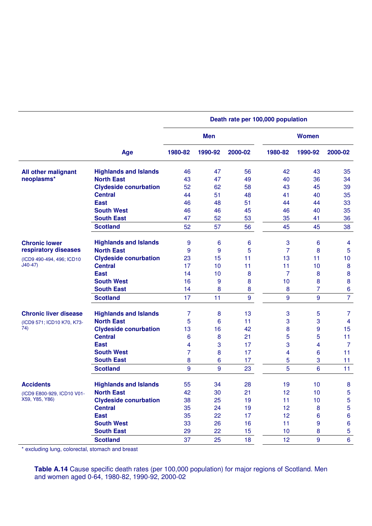|                              |                              |         |            |                  | Death rate per 100,000 population |                  |                  |
|------------------------------|------------------------------|---------|------------|------------------|-----------------------------------|------------------|------------------|
|                              |                              |         | <b>Men</b> |                  |                                   | <b>Women</b>     |                  |
|                              | Age                          | 1980-82 | 1990-92    | 2000-02          | 1980-82                           | 1990-92          | 2000-02          |
| All other malignant          | <b>Highlands and Islands</b> | 46      | 47         | 56               | 42                                | 43               | 35               |
| neoplasms*                   | <b>North East</b>            | 43      | 47         | 49               | 40                                | 36               | 34               |
|                              | <b>Clydeside conurbation</b> | 52      | 62         | 58               | 43                                | 45               | 39               |
|                              | <b>Central</b>               | 44      | 51         | 48               | 41                                | 40               | 35               |
|                              | <b>East</b>                  | 46      | 48         | 51               | 44                                | 44               | 33               |
|                              | <b>South West</b>            | 46      | 46         | 45               | 46                                | 40               | 35               |
|                              | <b>South East</b>            | 47      | 52         | 53               | 35                                | 41               | 36               |
|                              | <b>Scotland</b>              | 52      | 57         | 56               | 45                                | 45               | 38               |
| <b>Chronic lower</b>         | <b>Highlands and Islands</b> | 9       | 6          | 6                | 3                                 | 6                | 4                |
| respiratory diseases         | <b>North East</b>            | 9       | 9          | 5                | $\overline{7}$                    | 8                | $\overline{5}$   |
| (ICD9 490-494, 496; ICD10    | <b>Clydeside conurbation</b> | 23      | 15         | 11               | 13                                | 11               | 10               |
| $J40-47)$                    | <b>Central</b>               | 17      | 10         | 11               | 11                                | 10               | $\bf 8$          |
|                              | <b>East</b>                  | 14      | 10         | 8                | 7                                 | 8                | $\bf 8$          |
|                              | <b>South West</b>            | 16      | 9          | 8                | 10                                | 8                | $\bf 8$          |
|                              | <b>South East</b>            | 14      | 8          | 8                | 8                                 | 7                | $\boldsymbol{6}$ |
|                              | <b>Scotland</b>              | 17      | 11         | 9                | 9                                 | 9                | $\overline{7}$   |
| <b>Chronic liver disease</b> | <b>Highlands and Islands</b> | 7       | 8          | 13               | 3                                 | 5                | $\overline{7}$   |
| (ICD9 571; ICD10 K70, K73-   | <b>North East</b>            | 5       | 6          | 11               | 3                                 | 3                | $\overline{4}$   |
| 74)                          | <b>Clydeside conurbation</b> | 13      | 16         | 42               | 8                                 | 9                | 15               |
|                              | <b>Central</b>               | 6       | 8          | 21               | 5                                 | 5                | 11               |
|                              | <b>East</b>                  | 4       | 3          | 17               | 3                                 | 4                | $\overline{7}$   |
|                              | <b>South West</b>            | 7       | 8          | 17               | 4                                 | 6                | 11               |
|                              | <b>South East</b>            | 8       | 6          | 17               | 5                                 | 3                | 11               |
|                              | <b>Scotland</b>              | 9       | 9          | 23               | 5                                 | 6                | 11               |
| <b>Accidents</b>             | <b>Highlands and Islands</b> | 55      | 34         | 28               | 19                                | 10               | $\bf 8$          |
| (ICD9 E800-929, ICD10 V01-   | <b>North East</b>            | 42      | 30         | 21               | 12                                | 10               | 5                |
| X59, Y85, Y86)               | <b>Clydeside conurbation</b> | 38      | 25         | 19               | 11                                | 10               | $\overline{5}$   |
|                              | <b>Central</b>               | 35      | 24         | 19               | 12                                | 8                | $\overline{5}$   |
|                              | <b>East</b>                  | 35      | 22         | 17               | 12                                | 6                | $\boldsymbol{6}$ |
|                              | <b>South West</b>            | 33      | 26         | 16               | 11                                | 9                | $\boldsymbol{6}$ |
|                              | <b>South East</b>            | 29      | 22         | 15 <sub>15</sub> | 10                                | 8                | $\overline{5}$   |
|                              | <b>Scotland</b>              | 37      | 25         | 18               | 12 <sub>2</sub>                   | $\boldsymbol{9}$ | $\boldsymbol{6}$ |

\* excluding lung, colorectal, stomach and breast

**Table A.14** Cause specific death rates (per 100,000 population) for major regions of Scotland. Men and women aged 0-64, 1980-82, 1990-92, 2000-02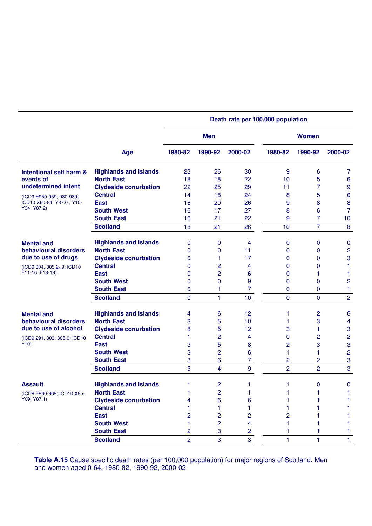|                              |                              | Death rate per 100,000 population |            |                |                |                |                         |  |  |
|------------------------------|------------------------------|-----------------------------------|------------|----------------|----------------|----------------|-------------------------|--|--|
|                              |                              |                                   | <b>Men</b> |                |                | <b>Women</b>   |                         |  |  |
|                              | Age                          | 1980-82                           | 1990-92    | 2000-02        | 1980-82        | 1990-92        | 2000-02                 |  |  |
| Intentional self harm &      | <b>Highlands and Islands</b> | 23                                | 26         | 30             | 9              | 6              | 7                       |  |  |
| events of                    | <b>North East</b>            | 18                                | 18         | 22             | 10             | 5              | $6\phantom{1}6$         |  |  |
| undetermined intent          | <b>Clydeside conurbation</b> | 22                                | 25         | 29             | 11             | 7              | $\boldsymbol{9}$        |  |  |
| (ICD9 E950-959, 980-989;     | <b>Central</b>               | 14                                | 18         | 24             | 8              | 5              | $6\phantom{1}6$         |  |  |
| ICD10 X60-84, Y87.0, Y10-    | <b>East</b>                  | 16                                | 20         | 26             | 9              | 8              | $\bf 8$                 |  |  |
| Y34, Y87.2)                  | <b>South West</b>            | 16                                | 17         | 27             | 8              | 6              | $\overline{7}$          |  |  |
|                              | <b>South East</b>            | 16                                | 21         | 22             | 9              | 7              | 10                      |  |  |
|                              | <b>Scotland</b>              | 18                                | 21         | 26             | 10             | $\overline{7}$ | 8                       |  |  |
| <b>Mental and</b>            | <b>Highlands and Islands</b> | 0                                 | 0          | 4              | 0              | 0              | $\pmb{0}$               |  |  |
| behavioural disorders        | <b>North East</b>            | 0                                 | 0          | 11             | 0              | 0              | $\overline{c}$          |  |  |
| due to use of drugs          | <b>Clydeside conurbation</b> | 0                                 | 1          | 17             | 0              | 0              | 3                       |  |  |
| (ICD9 304, 305.2-.9; ICD10   | <b>Central</b>               | $\mathbf{0}$                      | 2          | 4              | 0              | 0              | 1                       |  |  |
| F11-16, F18-19)              | <b>East</b>                  | 0                                 | 2          | 6              | 0              | 1              | 1                       |  |  |
|                              | <b>South West</b>            | 0                                 | 0          | 9              | 0              | 0              | $\overline{c}$          |  |  |
|                              | <b>South East</b>            | 0                                 |            | 7              | 0              | 0              | 1                       |  |  |
|                              | <b>Scotland</b>              | $\mathbf{0}$                      | 1          | 10             | $\mathbf{0}$   | $\Omega$       | $\overline{c}$          |  |  |
| <b>Mental and</b>            | <b>Highlands and Islands</b> | 4                                 | 6          | 12             | 1              | 2              | $6\phantom{1}6$         |  |  |
| behavioural disorders        | <b>North East</b>            | 3                                 | 5          | 10             | 1              | 3              | $\overline{\mathbf{4}}$ |  |  |
| due to use of alcohol        | <b>Clydeside conurbation</b> | 8                                 | 5          | 12             | 3              | 1              | 3                       |  |  |
| (ICD9 291, 303, 305.0; ICD10 | <b>Central</b>               | 1                                 | 2          | 4              | 0              | 2              | $\overline{c}$          |  |  |
| F10                          | <b>East</b>                  | 3                                 | 5          | 8              | $\overline{c}$ | 3              | 3                       |  |  |
|                              | <b>South West</b>            | 3                                 | 2          | 6              | 1              | 1              | $\overline{2}$          |  |  |
|                              | <b>South East</b>            | 3                                 | 6          | 7              | 2              | 2              | 3                       |  |  |
|                              | <b>Scotland</b>              | 5                                 | 4          | 9              | $\overline{2}$ | $\overline{2}$ | 3                       |  |  |
| <b>Assault</b>               | <b>Highlands and Islands</b> | 1                                 | 2          | 1              | 1              | 0              | $\bf{0}$                |  |  |
| (ICD9 E960-969; ICD10 X85-   | <b>North East</b>            | 1                                 | 2          | 1              | 1              | 1              | 1                       |  |  |
| Y09, Y87.1)                  | <b>Clydeside conurbation</b> | 4                                 | 6          | 6              |                |                |                         |  |  |
|                              | <b>Central</b>               |                                   | 1          |                |                |                |                         |  |  |
|                              | <b>East</b>                  | $\overline{c}$                    | 2          | $\overline{c}$ | 2              |                | 1                       |  |  |
|                              | <b>South West</b>            | 1                                 | 2          | 4              |                |                | 1                       |  |  |
|                              | <b>South East</b>            | $\overline{c}$                    | 3          | $\overline{2}$ |                |                | 1                       |  |  |
|                              | <b>Scotland</b>              | $\overline{c}$                    | 3          | 3              | 1              | 1              | 1                       |  |  |

**Table A.15** Cause specific death rates (per 100,000 population) for major regions of Scotland. Men and women aged 0-64, 1980-82, 1990-92, 2000-02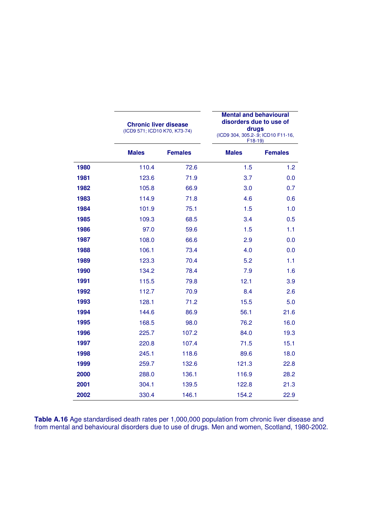|      | <b>Chronic liver disease</b><br>(ICD9 571; ICD10 K70, K73-74) |                | <b>Mental and behavioural</b><br>disorders due to use of<br>drugs<br>(ICD9 304, 305.2-.9; ICD10 F11-16,<br>$F18-19$ |                |
|------|---------------------------------------------------------------|----------------|---------------------------------------------------------------------------------------------------------------------|----------------|
|      | <b>Males</b>                                                  | <b>Females</b> | <b>Males</b>                                                                                                        | <b>Females</b> |
| 1980 | 110.4                                                         | 72.6           | 1.5                                                                                                                 | 1.2            |
| 1981 | 123.6                                                         | 71.9           | 3.7                                                                                                                 | 0.0            |
| 1982 | 105.8                                                         | 66.9           | 3.0                                                                                                                 | 0.7            |
| 1983 | 114.9                                                         | 71.8           | 4.6                                                                                                                 | 0.6            |
| 1984 | 101.9                                                         | 75.1           | 1.5                                                                                                                 | 1.0            |
| 1985 | 109.3                                                         | 68.5           | 3.4                                                                                                                 | 0.5            |
| 1986 | 97.0                                                          | 59.6           | 1.5                                                                                                                 | 1.1            |
| 1987 | 108.0                                                         | 66.6           | 2.9                                                                                                                 | 0.0            |
| 1988 | 106.1                                                         | 73.4           | 4.0                                                                                                                 | 0.0            |
| 1989 | 123.3                                                         | 70.4           | 5.2                                                                                                                 | 1.1            |
| 1990 | 134.2                                                         | 78.4           | 7.9                                                                                                                 | 1.6            |
| 1991 | 115.5                                                         | 79.8           | 12.1                                                                                                                | 3.9            |
| 1992 | 112.7                                                         | 70.9           | 8.4                                                                                                                 | 2.6            |
| 1993 | 128.1                                                         | 71.2           | 15.5                                                                                                                | 5.0            |
| 1994 | 144.6                                                         | 86.9           | 56.1                                                                                                                | 21.6           |
| 1995 | 168.5                                                         | 98.0           | 76.2                                                                                                                | 16.0           |
| 1996 | 225.7                                                         | 107.2          | 84.0                                                                                                                | 19.3           |
| 1997 | 220.8                                                         | 107.4          | 71.5                                                                                                                | 15.1           |
| 1998 | 245.1                                                         | 118.6          | 89.6                                                                                                                | 18.0           |
| 1999 | 259.7                                                         | 132.6          | 121.3                                                                                                               | 22.8           |
| 2000 | 288.0                                                         | 136.1          | 116.9                                                                                                               | 28.2           |
| 2001 | 304.1                                                         | 139.5          | 122.8                                                                                                               | 21.3           |
| 2002 | 330.4                                                         | 146.1          | 154.2                                                                                                               | 22.9           |

**Table A.16** Age standardised death rates per 1,000,000 population from chronic liver disease and from mental and behavioural disorders due to use of drugs. Men and women, Scotland, 1980-2002.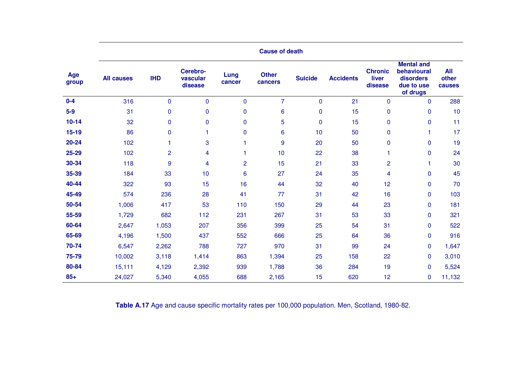|              | <b>Cause of death</b> |                |                                 |                |                         |                |                  |                                    |                                                                         |                        |  |  |  |
|--------------|-----------------------|----------------|---------------------------------|----------------|-------------------------|----------------|------------------|------------------------------------|-------------------------------------------------------------------------|------------------------|--|--|--|
| Age<br>group | <b>All causes</b>     | <b>IHD</b>     | Cerebro-<br>vascular<br>disease | Lung<br>cancer | <b>Other</b><br>cancers | <b>Suicide</b> | <b>Accidents</b> | <b>Chronic</b><br>liver<br>disease | <b>Mental and</b><br>behavioural<br>disorders<br>due to use<br>of drugs | All<br>other<br>causes |  |  |  |
| $0-4$        | 316                   | $\Omega$       | $\mathbf 0$                     | $\mathbf 0$    | $\overline{7}$          | $\mathbf 0$    | 21               | $\mathbf 0$                        | $\mathbf 0$                                                             | 288                    |  |  |  |
| $5-9$        | 31                    | 0              | $\mathbf 0$                     | $\mathbf 0$    | 6                       | 0              | 15               | $\mathbf 0$                        | $\pmb{0}$                                                               | 10                     |  |  |  |
| $10 - 14$    | 32                    | 0              | $\pmb{0}$                       | $\pmb{0}$      | 5                       | $\pmb{0}$      | 15               | $\mathbf 0$                        | $\pmb{0}$                                                               | 11                     |  |  |  |
| $15 - 19$    | 86                    | $\mathbf 0$    | 1                               | 0              | 6                       | 10             | 50               | $\mathbf 0$                        | 1                                                                       | 17                     |  |  |  |
| 20-24        | 102                   | 1              | 3                               |                | 9                       | 20             | 50               | $\mathbf 0$                        | $\pmb{0}$                                                               | 19                     |  |  |  |
| 25-29        | 102                   | $\overline{c}$ | 4                               |                | 10                      | 22             | 38               | 1                                  | $\pmb{0}$                                                               | 24                     |  |  |  |
| 30-34        | 118                   | 9              | 4                               | $\overline{2}$ | 15                      | 21             | 33               | $\overline{c}$                     | 1                                                                       | 30                     |  |  |  |
| 35-39        | 184                   | 33             | 10                              | 6              | 27                      | 24             | 35               | 4                                  | $\pmb{0}$                                                               | 45                     |  |  |  |
| 40-44        | 322                   | 93             | 15                              | 16             | 44                      | 32             | 40               | 12                                 | $\pmb{0}$                                                               | 70                     |  |  |  |
| 45-49        | 574                   | 236            | 28                              | 41             | 77                      | 31             | 42               | 16                                 | $\pmb{0}$                                                               | 103                    |  |  |  |
| 50-54        | 1,006                 | 417            | 53                              | 110            | 150                     | 29             | 44               | 23                                 | $\pmb{0}$                                                               | 181                    |  |  |  |
| 55-59        | 1,729                 | 682            | 112                             | 231            | 267                     | 31             | 53               | 33                                 | $\pmb{0}$                                                               | 321                    |  |  |  |
| 60-64        | 2,647                 | 1,053          | 207                             | 356            | 399                     | 25             | 54               | 31                                 | $\pmb{0}$                                                               | 522                    |  |  |  |
| 65-69        | 4,196                 | 1,500          | 437                             | 552            | 666                     | 25             | 64               | 36                                 | $\mathbf 0$                                                             | 916                    |  |  |  |
| 70-74        | 6,547                 | 2,262          | 788                             | 727            | 970                     | 31             | 99               | 24                                 | 0                                                                       | 1,647                  |  |  |  |
| 75-79        | 10,002                | 3,118          | 1,414                           | 863            | 1,394                   | 25             | 158              | 22                                 | $\pmb{0}$                                                               | 3,010                  |  |  |  |
| 80-84        | 15,111                | 4,129          | 2,392                           | 939            | 1,788                   | 36             | 284              | 19                                 | $\pmb{0}$                                                               | 5,524                  |  |  |  |
| $85+$        | 24,027                | 5,340          | 4,055                           | 688            | 2,165                   | 15             | 620              | 12                                 | 0                                                                       | 11,132                 |  |  |  |

**Table A.17** Age and cause specific mortality rates per 100,000 population. Men, Scotland, 1980-82.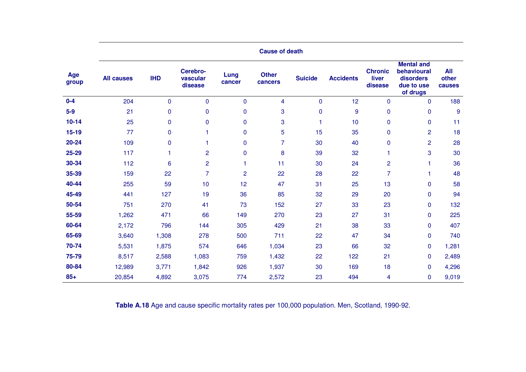|              | <b>Cause of death</b> |              |                                 |                |                         |                |                  |                                    |                                                                         |                        |  |  |  |
|--------------|-----------------------|--------------|---------------------------------|----------------|-------------------------|----------------|------------------|------------------------------------|-------------------------------------------------------------------------|------------------------|--|--|--|
| Age<br>group | <b>All causes</b>     | <b>IHD</b>   | Cerebro-<br>vascular<br>disease | Lung<br>cancer | <b>Other</b><br>cancers | <b>Suicide</b> | <b>Accidents</b> | <b>Chronic</b><br>liver<br>disease | <b>Mental and</b><br>behavioural<br>disorders<br>due to use<br>of drugs | All<br>other<br>causes |  |  |  |
| $0 - 4$      | 204                   | $\Omega$     | $\mathbf 0$                     | $\mathbf 0$    | 4                       | $\mathbf 0$    | 12               | $\mathbf 0$                        | $\mathbf 0$                                                             | 188                    |  |  |  |
| $5-9$        | 21                    | 0            | $\mathbf 0$                     | $\mathbf 0$    | 3                       | 0              | 9                | $\mathbf 0$                        | $\pmb{0}$                                                               | 9                      |  |  |  |
| $10 - 14$    | 25                    | 0            | $\pmb{0}$                       | $\pmb{0}$      | 3                       | 1              | 10               | $\mathbf 0$                        | $\pmb{0}$                                                               | 11                     |  |  |  |
| $15 - 19$    | 77                    | $\mathbf 0$  | 1                               | 0              | 5                       | 15             | 35               | $\mathbf 0$                        | $\overline{c}$                                                          | 18                     |  |  |  |
| 20-24        | 109                   | 0            | 1                               | 0              | 7                       | 30             | 40               | $\mathbf 0$                        | $\overline{c}$                                                          | 28                     |  |  |  |
| 25-29        | 117                   | $\mathbf{1}$ | $\overline{c}$                  | $\pmb{0}$      | 8                       | 39             | 32               | 1                                  | 3                                                                       | 30                     |  |  |  |
| 30-34        | 112                   | 6            | $\overline{2}$                  | 1              | 11                      | 30             | 24               | $\overline{2}$                     | 1                                                                       | 36                     |  |  |  |
| 35-39        | 159                   | 22           | $\overline{7}$                  | $\overline{2}$ | 22                      | 28             | 22               | $\overline{7}$                     | 1.                                                                      | 48                     |  |  |  |
| 40-44        | 255                   | 59           | 10                              | 12             | 47                      | 31             | 25               | 13                                 | $\pmb{0}$                                                               | 58                     |  |  |  |
| 45-49        | 441                   | 127          | 19                              | 36             | 85                      | 32             | 29               | 20                                 | $\pmb{0}$                                                               | 94                     |  |  |  |
| 50-54        | 751                   | 270          | 41                              | 73             | 152                     | 27             | 33               | 23                                 | $\pmb{0}$                                                               | 132                    |  |  |  |
| 55-59        | 1,262                 | 471          | 66                              | 149            | 270                     | 23             | 27               | 31                                 | $\pmb{0}$                                                               | 225                    |  |  |  |
| 60-64        | 2,172                 | 796          | 144                             | 305            | 429                     | 21             | 38               | 33                                 | $\pmb{0}$                                                               | 407                    |  |  |  |
| 65-69        | 3,640                 | 1,308        | 278                             | 500            | 711                     | 22             | 47               | 34                                 | $\mathbf 0$                                                             | 740                    |  |  |  |
| 70-74        | 5,531                 | 1,875        | 574                             | 646            | 1,034                   | 23             | 66               | 32                                 | 0                                                                       | 1,281                  |  |  |  |
| 75-79        | 8,517                 | 2,588        | 1,083                           | 759            | 1,432                   | 22             | 122              | 21                                 | $\mathbf 0$                                                             | 2,489                  |  |  |  |
| 80-84        | 12,989                | 3,771        | 1,842                           | 926            | 1,937                   | 30             | 169              | 18                                 | $\mathbf 0$                                                             | 4,296                  |  |  |  |
| $85+$        | 20,854                | 4,892        | 3,075                           | 774            | 2,572                   | 23             | 494              | 4                                  | 0                                                                       | 9,019                  |  |  |  |

**Table A.18** Age and cause specific mortality rates per 100,000 population. Men, Scotland, 1990-92.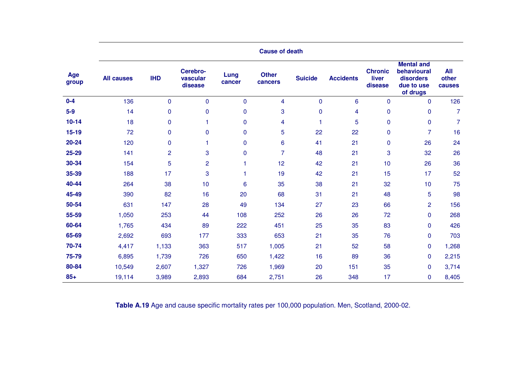|              | <b>Cause of death</b> |                |                                 |                |                         |                |                  |                                    |                                                                         |                               |  |  |  |
|--------------|-----------------------|----------------|---------------------------------|----------------|-------------------------|----------------|------------------|------------------------------------|-------------------------------------------------------------------------|-------------------------------|--|--|--|
| Age<br>group | <b>All causes</b>     | <b>IHD</b>     | Cerebro-<br>vascular<br>disease | Lung<br>cancer | <b>Other</b><br>cancers | <b>Suicide</b> | <b>Accidents</b> | <b>Chronic</b><br>liver<br>disease | <b>Mental and</b><br>behavioural<br>disorders<br>due to use<br>of drugs | <b>All</b><br>other<br>causes |  |  |  |
| $0-4$        | 136                   | $\mathbf 0$    | $\mathbf 0$                     | $\mathbf 0$    | 4                       | $\mathbf 0$    | 6                | $\mathbf 0$                        | $\mathbf 0$                                                             | 126                           |  |  |  |
| $5-9$        | 14                    | 0              | $\mathbf 0$                     | $\mathbf 0$    | 3                       | 0              | 4                | $\mathbf 0$                        | $\pmb{0}$                                                               | 7                             |  |  |  |
| $10 - 14$    | 18                    | $\mathbf{0}$   | 1                               | 0              | 4                       | 1              | 5                | $\mathbf 0$                        | $\pmb{0}$                                                               | $\overline{7}$                |  |  |  |
| $15 - 19$    | 72                    | $\Omega$       | $\Omega$                        | 0              | 5                       | 22             | 22               | $\mathbf 0$                        | $\overline{7}$                                                          | 16                            |  |  |  |
| 20-24        | 120                   | $\mathbf{0}$   | 1                               | 0              | 6                       | 41             | 21               | $\mathbf 0$                        | 26                                                                      | 24                            |  |  |  |
| 25-29        | 141                   | $\overline{c}$ | 3                               | 0              | $\overline{7}$          | 48             | 21               | 3                                  | 32                                                                      | 26                            |  |  |  |
| 30-34        | 154                   | 5              | $\overline{2}$                  |                | 12                      | 42             | 21               | 10                                 | 26                                                                      | 36                            |  |  |  |
| 35-39        | 188                   | 17             | 3                               |                | 19                      | 42             | 21               | 15                                 | 17                                                                      | 52                            |  |  |  |
| 40-44        | 264                   | 38             | 10                              | 6              | 35                      | 38             | 21               | 32                                 | 10                                                                      | 75                            |  |  |  |
| 45-49        | 390                   | 82             | 16                              | 20             | 68                      | 31             | 21               | 48                                 | 5                                                                       | 98                            |  |  |  |
| 50-54        | 631                   | 147            | 28                              | 49             | 134                     | 27             | 23               | 66                                 | $\overline{c}$                                                          | 156                           |  |  |  |
| 55-59        | 1,050                 | 253            | 44                              | 108            | 252                     | 26             | 26               | 72                                 | 0                                                                       | 268                           |  |  |  |
| 60-64        | 1,765                 | 434            | 89                              | 222            | 451                     | 25             | 35               | 83                                 | $\pmb{0}$                                                               | 426                           |  |  |  |
| 65-69        | 2,692                 | 693            | 177                             | 333            | 653                     | 21             | 35               | 76                                 | $\mathbf 0$                                                             | 703                           |  |  |  |
| 70-74        | 4,417                 | 1,133          | 363                             | 517            | 1,005                   | 21             | 52               | 58                                 | 0                                                                       | 1,268                         |  |  |  |
| 75-79        | 6,895                 | 1,739          | 726                             | 650            | 1,422                   | 16             | 89               | 36                                 | $\pmb{0}$                                                               | 2,215                         |  |  |  |
| 80-84        | 10,549                | 2,607          | 1,327                           | 726            | 1,969                   | 20             | 151              | 35                                 | $\mathbf 0$                                                             | 3,714                         |  |  |  |
| $85+$        | 19,114                | 3,989          | 2,893                           | 684            | 2,751                   | 26             | 348              | 17                                 | 0                                                                       | 8,405                         |  |  |  |

**Table A.19** Age and cause specific mortality rates per 100,000 population. Men, Scotland, 2000-02.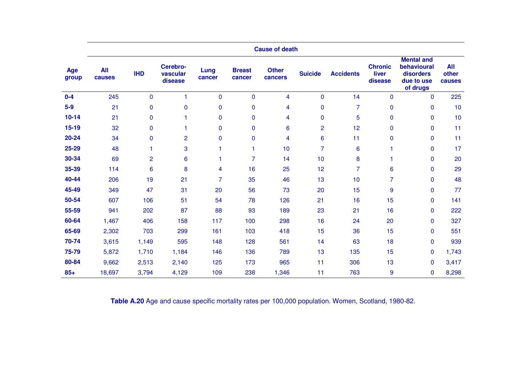|              | <b>Cause of death</b> |                 |                                 |                |                         |                         |                 |                  |                                    |                                                                         |                               |
|--------------|-----------------------|-----------------|---------------------------------|----------------|-------------------------|-------------------------|-----------------|------------------|------------------------------------|-------------------------------------------------------------------------|-------------------------------|
| Age<br>group | <b>All</b><br>causes  | <b>IHD</b>      | Cerebro-<br>vascular<br>disease | Lung<br>cancer | <b>Breast</b><br>cancer | <b>Other</b><br>cancers | <b>Suicide</b>  | <b>Accidents</b> | <b>Chronic</b><br>liver<br>disease | <b>Mental and</b><br>behavioural<br>disorders<br>due to use<br>of drugs | <b>All</b><br>other<br>causes |
| $0 - 4$      | 245                   | $\mathbf 0$     |                                 | $\pmb{0}$      | $\mathbf 0$             | 4                       | $\mathbf 0$     | 14               | $\mathbf{0}$                       | $\Omega$                                                                | 225                           |
| $5-9$        | 21                    | $\mathbf 0$     | $\mathbf 0$                     | $\pmb{0}$      | $\mathbf 0$             | 4                       | $\pmb{0}$       | $\overline{7}$   | 0                                  | 0                                                                       | 10                            |
| $10 - 14$    | 21                    | $\pmb{0}$       |                                 | $\pmb{0}$      | $\mathbf 0$             | 4                       | $\pmb{0}$       | 5                | 0                                  | 0                                                                       | 10                            |
| $15 - 19$    | 32                    | $\mathbf 0$     |                                 | $\mathbf 0$    | $\mathbf 0$             | 6                       | $\overline{c}$  | 12               | 0                                  | $\Omega$                                                                | 11                            |
| 20-24        | 34                    | $\mathbf 0$     | $\overline{2}$                  | $\mathbf 0$    | $\mathbf 0$             | 4                       | $6\phantom{1}6$ | 11               | $\mathbf{0}$                       | $\mathbf{0}$                                                            | 11                            |
| 25-29        | 48                    | 1               | 3                               |                | 1                       | 10                      | $\overline{7}$  | 6                |                                    | 0                                                                       | 17                            |
| 30-34        | 69                    | $\overline{2}$  | 6                               |                | 7                       | 14                      | 10              | 8                | 1                                  | $\Omega$                                                                | 20                            |
| 35-39        | 114                   | $6\phantom{1}6$ | 8                               | 4              | 16                      | 25                      | 12              | 7                | 6                                  | $\mathbf 0$                                                             | 29                            |
| 40-44        | 206                   | 19              | 21                              | $\overline{7}$ | 35                      | 46                      | 13              | 10               | $\overline{7}$                     | $\mathbf{0}$                                                            | 48                            |
| 45-49        | 349                   | 47              | 31                              | 20             | 56                      | 73                      | 20              | 15               | 9                                  | $\Omega$                                                                | 77                            |
| 50-54        | 607                   | 106             | 51                              | 54             | 78                      | 126                     | 21              | 16               | 15                                 | 0                                                                       | 141                           |
| 55-59        | 941                   | 202             | 87                              | 88             | 93                      | 189                     | 23              | 21               | 16                                 | $\Omega$                                                                | 222                           |
| 60-64        | 1,467                 | 406             | 158                             | 117            | 100                     | 298                     | 16              | 24               | 20                                 | 0                                                                       | 327                           |
| 65-69        | 2,302                 | 703             | 299                             | 161            | 103                     | 418                     | 15              | 36               | 15                                 | $\mathbf{0}$                                                            | 551                           |
| 70-74        | 3,615                 | 1,149           | 595                             | 148            | 128                     | 561                     | 14              | 63               | 18                                 | $\mathbf 0$                                                             | 939                           |
| 75-79        | 5,872                 | 1,710           | 1,184                           | 146            | 136                     | 789                     | 13              | 135              | 15                                 | $\mathbf{0}$                                                            | 1,743                         |
| 80-84        | 9,662                 | 2,513           | 2,140                           | 125            | 173                     | 965                     | 11              | 306              | 13                                 | $\mathbf{0}$                                                            | 3,417                         |
| $85+$        | 18,697                | 3,794           | 4,129                           | 109            | 238                     | 1,346                   | 11              | 763              | 9                                  | 0                                                                       | 8,298                         |

**Table A.20** Age and cause specific mortality rates per 100,000 population. Women, Scotland, 1980-82.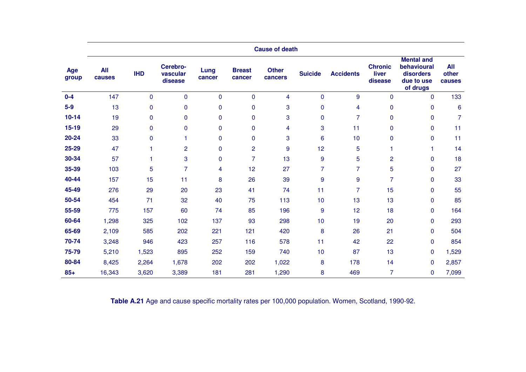|              | <b>Cause of death</b> |             |                                 |                |                         |                         |                  |                  |                                    |                                                                         |                               |
|--------------|-----------------------|-------------|---------------------------------|----------------|-------------------------|-------------------------|------------------|------------------|------------------------------------|-------------------------------------------------------------------------|-------------------------------|
| Age<br>group | <b>All</b><br>causes  | <b>IHD</b>  | Cerebro-<br>vascular<br>disease | Lung<br>cancer | <b>Breast</b><br>cancer | <b>Other</b><br>cancers | <b>Suicide</b>   | <b>Accidents</b> | <b>Chronic</b><br>liver<br>disease | <b>Mental and</b><br>behavioural<br>disorders<br>due to use<br>of drugs | <b>All</b><br>other<br>causes |
| $0 - 4$      | 147                   | $\mathbf 0$ | $\mathbf{0}$                    | $\pmb{0}$      | $\mathbf 0$             | 4                       | $\mathbf 0$      | 9                | $\mathbf{0}$                       | $\Omega$                                                                | 133                           |
| $5-9$        | 13                    | $\mathbf 0$ | $\mathbf 0$                     | $\pmb{0}$      | $\mathbf 0$             | 3                       | $\pmb{0}$        | 4                | 0                                  | $\mathbf{0}$                                                            | $6\phantom{1}6$               |
| $10 - 14$    | 19                    | $\pmb{0}$   | $\mathbf 0$                     | $\pmb{0}$      | $\mathbf 0$             | 3                       | $\pmb{0}$        | $\overline{7}$   | 0                                  | 0                                                                       | $\overline{7}$                |
| $15 - 19$    | 29                    | $\mathbf 0$ | $\mathbf{0}$                    | $\mathbf 0$    | $\overline{0}$          | 4                       | 3                | 11               | 0                                  | $\Omega$                                                                | 11                            |
| 20-24        | 33                    | $\mathbf 0$ |                                 | $\pmb{0}$      | $\mathbf 0$             | 3                       | $6\phantom{1}6$  | 10               | $\mathbf{0}$                       | $\mathbf{0}$                                                            | 11                            |
| 25-29        | 47                    | 1           | $\overline{2}$                  | $\pmb{0}$      | $\overline{2}$          | 9                       | 12               | 5                | 1                                  | 1                                                                       | 14                            |
| 30-34        | 57                    | 1           | 3                               | $\mathbf 0$    | $\overline{7}$          | 13                      | $9$              | 5                | $\overline{2}$                     | $\Omega$                                                                | 18                            |
| 35-39        | 103                   | 5           | $\overline{7}$                  | 4              | 12                      | 27                      | $\overline{7}$   | $\overline{7}$   | 5                                  | $\mathbf 0$                                                             | 27                            |
| 40-44        | 157                   | 15          | 11                              | 8              | 26                      | 39                      | $\boldsymbol{9}$ | 9                | $\overline{7}$                     | $\mathbf{0}$                                                            | 33                            |
| 45-49        | 276                   | 29          | 20                              | 23             | 41                      | 74                      | 11               | 7                | 15                                 | $\Omega$                                                                | 55                            |
| 50-54        | 454                   | 71          | 32                              | 40             | 75                      | 113                     | 10               | 13               | 13                                 | $\mathbf{0}$                                                            | 85                            |
| 55-59        | 775                   | 157         | 60                              | 74             | 85                      | 196                     | $\boldsymbol{9}$ | 12               | 18                                 | $\Omega$                                                                | 164                           |
| 60-64        | 1,298                 | 325         | 102                             | 137            | 93                      | 298                     | 10               | 19               | 20                                 | $\mathbf{0}$                                                            | 293                           |
| 65-69        | 2,109                 | 585         | 202                             | 221            | 121                     | 420                     | 8                | 26               | 21                                 | $\Omega$                                                                | 504                           |
| 70-74        | 3,248                 | 946         | 423                             | 257            | 116                     | 578                     | 11               | 42               | 22                                 | $\mathbf 0$                                                             | 854                           |
| 75-79        | 5,210                 | 1,523       | 895                             | 252            | 159                     | 740                     | 10               | 87               | 13                                 | $\mathbf{0}$                                                            | 1,529                         |
| 80-84        | 8,425                 | 2,264       | 1,678                           | 202            | 202                     | 1,022                   | 8                | 178              | 14                                 | $\mathbf{0}$                                                            | 2,857                         |
| $85+$        | 16,343                | 3,620       | 3,389                           | 181            | 281                     | 1,290                   | 8                | 469              | 7                                  | 0                                                                       | 7,099                         |

**Table A.21** Age and cause specific mortality rates per 100,000 population. Women, Scotland, 1990-92.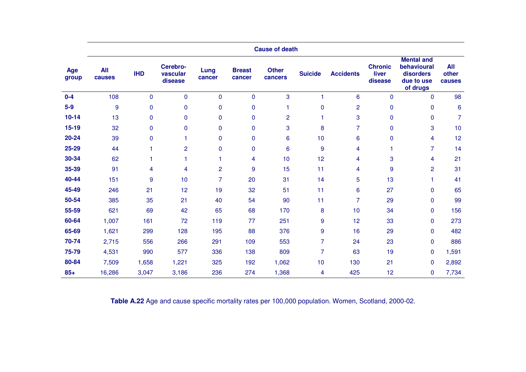|              | <b>Cause of death</b> |                |                                 |                |                         |                         |                  |                  |                                    |                                                                         |                               |
|--------------|-----------------------|----------------|---------------------------------|----------------|-------------------------|-------------------------|------------------|------------------|------------------------------------|-------------------------------------------------------------------------|-------------------------------|
| Age<br>group | <b>All</b><br>causes  | <b>IHD</b>     | Cerebro-<br>vascular<br>disease | Lung<br>cancer | <b>Breast</b><br>cancer | <b>Other</b><br>cancers | <b>Suicide</b>   | <b>Accidents</b> | <b>Chronic</b><br>liver<br>disease | <b>Mental and</b><br>behavioural<br>disorders<br>due to use<br>of drugs | <b>All</b><br>other<br>causes |
| $0 - 4$      | 108                   | $\mathbf 0$    | 0                               | $\mathbf 0$    | $\mathbf 0$             | 3                       |                  | 6                | $\mathbf{0}$                       | $\mathbf{0}$                                                            | 98                            |
| $5-9$        | 9                     | $\mathbf 0$    | 0                               | $\pmb{0}$      | $\mathbf 0$             |                         | $\pmb{0}$        | $\overline{2}$   | 0                                  | 0                                                                       | $6\phantom{1}6$               |
| $10 - 14$    | 13                    | $\mathbf 0$    | $\pmb{0}$                       | $\pmb{0}$      | $\mathbf 0$             | $\overline{2}$          | 1                | 3                | 0                                  | 0                                                                       | $\overline{7}$                |
| $15-19$      | 32                    | $\mathbf 0$    | 0                               | $\mathbf{0}$   | $\mathbf{0}$            | 3                       | 8                | 7                | 0                                  | 3                                                                       | 10                            |
| 20-24        | 39                    | $\mathbf 0$    | 1                               | $\mathbf 0$    | $\mathbf 0$             | 6                       | 10               | 6                | 0                                  | 4                                                                       | 12                            |
| 25-29        | 44                    | 1              | $\overline{2}$                  | $\pmb{0}$      | $\mathbf 0$             | 6                       | $\boldsymbol{9}$ | 4                |                                    | $\overline{7}$                                                          | 14                            |
| 30-34        | 62                    | $\overline{1}$ |                                 | 1              | 4                       | 10                      | 12               | 4                | 3                                  | 4                                                                       | 21                            |
| 35-39        | 91                    | 4              | 4                               | $\overline{2}$ | 9                       | 15                      | 11               | 4                | 9                                  | $\overline{2}$                                                          | 31                            |
| 40-44        | 151                   | $9\,$          | 10                              | $\overline{7}$ | 20                      | 31                      | 14               | 5                | 13                                 | 1                                                                       | 41                            |
| 45-49        | 246                   | 21             | 12                              | 19             | 32                      | 51                      | 11               | 6                | 27                                 | $\Omega$                                                                | 65                            |
| 50-54        | 385                   | 35             | 21                              | 40             | 54                      | 90                      | 11               | 7                | 29                                 | $\mathbf{0}$                                                            | 99                            |
| 55-59        | 621                   | 69             | 42                              | 65             | 68                      | 170                     | 8                | 10               | 34                                 | $\mathbf{0}$                                                            | 156                           |
| 60-64        | 1,007                 | 161            | 72                              | 119            | 77                      | 251                     | $\boldsymbol{9}$ | 12               | 33                                 | $\mathbf{0}$                                                            | 273                           |
| 65-69        | 1,621                 | 299            | 128                             | 195            | 88                      | 376                     | $\boldsymbol{9}$ | 16               | 29                                 | $\mathbf{0}$                                                            | 482                           |
| 70-74        | 2,715                 | 556            | 266                             | 291            | 109                     | 553                     | $\overline{7}$   | 24               | 23                                 | $\mathbf 0$                                                             | 886                           |
| 75-79        | 4,531                 | 990            | 577                             | 336            | 138                     | 809                     | $\overline{7}$   | 63               | 19                                 | $\mathbf{0}$                                                            | 1,591                         |
| 80-84        | 7,509                 | 1,658          | 1,221                           | 325            | 192                     | 1,062                   | 10               | 130              | 21                                 | $\mathbf{0}$                                                            | 2,892                         |
| $85+$        | 16,286                | 3,047          | 3,186                           | 236            | 274                     | 1,368                   | 4                | 425              | 12                                 | 0                                                                       | 7,734                         |

**Table A.22** Age and cause specific mortality rates per 100,000 population. Women, Scotland, 2000-02.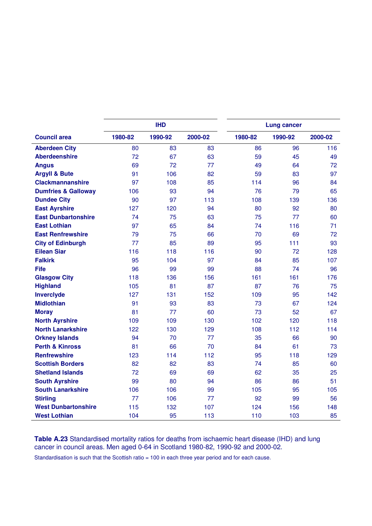|                                |         | <b>IHD</b> |         | <b>Lung cancer</b> |         |         |  |
|--------------------------------|---------|------------|---------|--------------------|---------|---------|--|
| <b>Council area</b>            | 1980-82 | 1990-92    | 2000-02 | 1980-82            | 1990-92 | 2000-02 |  |
| <b>Aberdeen City</b>           | 80      | 83         | 83      | 86                 | 96      | 116     |  |
| <b>Aberdeenshire</b>           | 72      | 67         | 63      | 59                 | 45      | 49      |  |
| <b>Angus</b>                   | 69      | 72         | 77      | 49                 | 64      | 72      |  |
| <b>Argyll &amp; Bute</b>       | 91      | 106        | 82      | 59                 | 83      | 97      |  |
| <b>Clackmannanshire</b>        | 97      | 108        | 85      | 114                | 96      | 84      |  |
| <b>Dumfries &amp; Galloway</b> | 106     | 93         | 94      | 76                 | 79      | 65      |  |
| <b>Dundee City</b>             | 90      | 97         | 113     | 108                | 139     | 136     |  |
| <b>East Ayrshire</b>           | 127     | 120        | 94      | 80                 | 92      | 80      |  |
| <b>East Dunbartonshire</b>     | 74      | 75         | 63      | 75                 | 77      | 60      |  |
| <b>East Lothian</b>            | 97      | 65         | 84      | 74                 | 116     | 71      |  |
| <b>East Renfrewshire</b>       | 79      | 75         | 66      | 70                 | 69      | 72      |  |
| <b>City of Edinburgh</b>       | 77      | 85         | 89      | 95                 | 111     | 93      |  |
| <b>Eilean Siar</b>             | 116     | 118        | 116     | 90                 | 72      | 128     |  |
| <b>Falkirk</b>                 | 95      | 104        | 97      | 84                 | 85      | 107     |  |
| <b>Fife</b>                    | 96      | 99         | 99      | 88                 | 74      | 96      |  |
| <b>Glasgow City</b>            | 118     | 136        | 156     | 161                | 161     | 176     |  |
| <b>Highland</b>                | 105     | 81         | 87      | 87                 | 76      | 75      |  |
| <b>Inverclyde</b>              | 127     | 131        | 152     | 109                | 95      | 142     |  |
| <b>Midlothian</b>              | 91      | 93         | 83      | 73                 | 67      | 124     |  |
| <b>Moray</b>                   | 81      | 77         | 60      | 73                 | 52      | 67      |  |
| <b>North Ayrshire</b>          | 109     | 109        | 130     | 102                | 120     | 118     |  |
| <b>North Lanarkshire</b>       | 122     | 130        | 129     | 108                | 112     | 114     |  |
| <b>Orkney Islands</b>          | 94      | 70         | 77      | 35                 | 66      | 90      |  |
| <b>Perth &amp; Kinross</b>     | 81      | 66         | 70      | 84                 | 61      | 73      |  |
| <b>Renfrewshire</b>            | 123     | 114        | 112     | 95                 | 118     | 129     |  |
| <b>Scottish Borders</b>        | 82      | 82         | 83      | 74                 | 85      | 60      |  |
| <b>Shetland Islands</b>        | 72      | 69         | 69      | 62                 | 35      | 25      |  |
| <b>South Ayrshire</b>          | 99      | 80         | 94      | 86                 | 86      | 51      |  |
| <b>South Lanarkshire</b>       | 106     | 106        | 99      | 105                | 95      | 105     |  |
| <b>Stirling</b>                | 77      | 106        | 77      | 92                 | 99      | 56      |  |
| <b>West Dunbartonshire</b>     | 115     | 132        | 107     | 124                | 156     | 148     |  |
| <b>West Lothian</b>            | 104     | 95         | 113     | 110                | 103     | 85      |  |

**Table A.23** Standardised mortality ratios for deaths from ischaemic heart disease (IHD) and lung cancer in council areas. Men aged 0-64 in Scotland 1980-82, 1990-92 and 2000-02.

Standardisation is such that the Scottish ratio = 100 in each three year period and for each cause.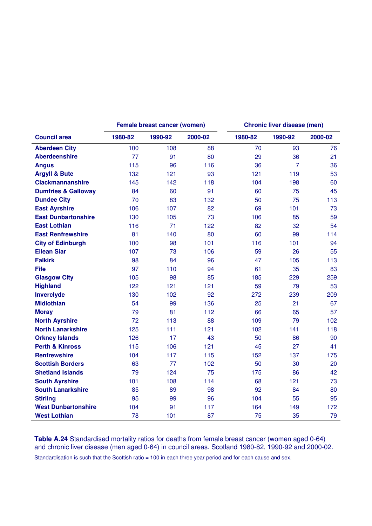|                                |         | <b>Female breast cancer (women)</b> |         | <b>Chronic liver disease (men)</b> |                |         |  |  |
|--------------------------------|---------|-------------------------------------|---------|------------------------------------|----------------|---------|--|--|
| <b>Council area</b>            | 1980-82 | 1990-92                             | 2000-02 | 1980-82                            | 1990-92        | 2000-02 |  |  |
| <b>Aberdeen City</b>           | 100     | 108                                 | 88      | 70                                 | 93             | 76      |  |  |
| <b>Aberdeenshire</b>           | 77      | 91                                  | 80      | 29                                 | 36             | 21      |  |  |
| <b>Angus</b>                   | 115     | 96                                  | 116     | 36                                 | $\overline{7}$ | 36      |  |  |
| <b>Argyll &amp; Bute</b>       | 132     | 121                                 | 93      | 121                                | 119            | 53      |  |  |
| <b>Clackmannanshire</b>        | 145     | 142                                 | 118     | 104                                | 198            | 60      |  |  |
| <b>Dumfries &amp; Galloway</b> | 84      | 60                                  | 91      | 60                                 | 75             | 45      |  |  |
| <b>Dundee City</b>             | 70      | 83                                  | 132     | 50                                 | 75             | 113     |  |  |
| <b>East Ayrshire</b>           | 106     | 107                                 | 82      | 69                                 | 101            | 73      |  |  |
| <b>East Dunbartonshire</b>     | 130     | 105                                 | 73      | 106                                | 85             | 59      |  |  |
| <b>East Lothian</b>            | 116     | 71                                  | 122     | 82                                 | 32             | 54      |  |  |
| <b>East Renfrewshire</b>       | 81      | 140                                 | 80      | 60                                 | 99             | 114     |  |  |
| <b>City of Edinburgh</b>       | 100     | 98                                  | 101     | 116                                | 101            | 94      |  |  |
| <b>Eilean Siar</b>             | 107     | 73                                  | 106     | 59                                 | 26             | 55      |  |  |
| <b>Falkirk</b>                 | 98      | 84                                  | 96      | 47                                 | 105            | 113     |  |  |
| <b>Fife</b>                    | 97      | 110                                 | 94      | 61                                 | 35             | 83      |  |  |
| <b>Glasgow City</b>            | 105     | 98                                  | 85      | 185                                | 229            | 259     |  |  |
| <b>Highland</b>                | 122     | 121                                 | 121     | 59                                 | 79             | 53      |  |  |
| Inverclyde                     | 130     | 102                                 | 92      | 272                                | 239            | 209     |  |  |
| <b>Midlothian</b>              | 54      | 99                                  | 136     | 25                                 | 21             | 67      |  |  |
| <b>Moray</b>                   | 79      | 81                                  | 112     | 66                                 | 65             | 57      |  |  |
| <b>North Ayrshire</b>          | 72      | 113                                 | 88      | 109                                | 79             | 102     |  |  |
| <b>North Lanarkshire</b>       | 125     | 111                                 | 121     | 102                                | 141            | 118     |  |  |
| <b>Orkney Islands</b>          | 126     | 17                                  | 43      | 50                                 | 86             | 90      |  |  |
| <b>Perth &amp; Kinross</b>     | 115     | 106                                 | 121     | 45                                 | 27             | 41      |  |  |
| <b>Renfrewshire</b>            | 104     | 117                                 | 115     | 152                                | 137            | 175     |  |  |
| <b>Scottish Borders</b>        | 63      | 77                                  | 102     | 50                                 | 30             | 20      |  |  |
| <b>Shetland Islands</b>        | 79      | 124                                 | 75      | 175                                | 86             | 42      |  |  |
| <b>South Ayrshire</b>          | 101     | 108                                 | 114     | 68                                 | 121            | 73      |  |  |
| <b>South Lanarkshire</b>       | 85      | 89                                  | 98      | 92                                 | 84             | 80      |  |  |
| <b>Stirling</b>                | 95      | 99                                  | 96      | 104                                | 55             | 95      |  |  |
| <b>West Dunbartonshire</b>     | 104     | 91                                  | 117     | 164                                | 149            | 172     |  |  |
| <b>West Lothian</b>            | 78      | 101                                 | 87      | 75                                 | 35             | 79      |  |  |

**Table A.24** Standardised mortality ratios for deaths from female breast cancer (women aged 0-64) and chronic liver disease (men aged 0-64) in council areas. Scotland 1980-82, 1990-92 and 2000-02.

Standardisation is such that the Scottish ratio = 100 in each three year period and for each cause and sex.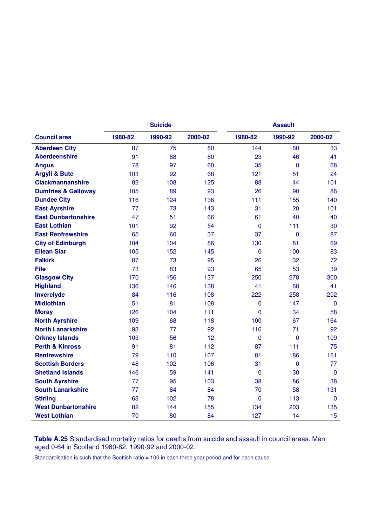|                                | <b>Suicide</b> |         |         | <b>Assault</b> |             |              |
|--------------------------------|----------------|---------|---------|----------------|-------------|--------------|
| <b>Council area</b>            | 1980-82        | 1990-92 | 2000-02 | 1980-82        | 1990-92     | 2000-02      |
| <b>Aberdeen City</b>           | 87             | 75      | 80      | 144            | 60          | 33           |
| <b>Aberdeenshire</b>           | 91             | 88      | 80      | 23             | 46          | 41           |
| <b>Angus</b>                   | 78             | 97      | 60      | 35             | $\mathbf 0$ | 68           |
| <b>Argyll &amp; Bute</b>       | 103            | 92      | 68      | 121            | 51          | 24           |
| <b>Clackmannanshire</b>        | 82             | 108     | 125     | 88             | 44          | 101          |
| <b>Dumfries &amp; Galloway</b> | 105            | 89      | 93      | 26             | 90          | 86           |
| <b>Dundee City</b>             | 116            | 124     | 136     | 111            | 155         | 140          |
| <b>East Ayrshire</b>           | 77             | 73      | 143     | 31             | 20          | 101          |
| <b>East Dunbartonshire</b>     | 47             | 51      | 66      | 61             | 40          | 40           |
| <b>East Lothian</b>            | 101            | 92      | 54      | $\mathbf{0}$   | 111         | 30           |
| <b>East Renfrewshire</b>       | 65             | 60      | 37      | 37             | 0           | 87           |
| <b>City of Edinburgh</b>       | 104            | 104     | 86      | 130            | 81          | 69           |
| <b>Eilean Siar</b>             | 105            | 152     | 145     | $\mathbf 0$    | 100         | 83           |
| <b>Falkirk</b>                 | 87             | 73      | 95      | 26             | 32          | 72           |
| <b>Fife</b>                    | 73             | 83      | 93      | 65             | 53          | 39           |
| <b>Glasgow City</b>            | 170            | 156     | 137     | 250            | 278         | 300          |
| <b>Highland</b>                | 136            | 146     | 138     | 41             | 68          | 41           |
| <b>Inverclyde</b>              | 84             | 116     | 108     | 222            | 258         | 202          |
| <b>Midlothian</b>              | 51             | 81      | 108     | $\mathbf 0$    | 147         | $\mathbf 0$  |
| <b>Moray</b>                   | 126            | 104     | 111     | $\mathbf{0}$   | 34          | 58           |
| <b>North Ayrshire</b>          | 109            | 68      | 118     | 100            | 67          | 164          |
| <b>North Lanarkshire</b>       | 93             | 77      | 92      | 116            | 71          | 92           |
| <b>Orkney Islands</b>          | 103            | 56      | 12      | $\mathbf 0$    | $\mathbf 0$ | 109          |
| <b>Perth &amp; Kinross</b>     | 91             | 81      | 112     | 87             | 111         | 75           |
| <b>Renfrewshire</b>            | 79             | 110     | 107     | 81             | 186         | 161          |
| <b>Scottish Borders</b>        | 48             | 102     | 106     | 31             | 0           | 77           |
| <b>Shetland Islands</b>        | 146            | 59      | 141     | $\mathbf{0}$   | 130         | $\mathbf 0$  |
| <b>South Ayrshire</b>          | 77             | 95      | 103     | 38             | 86          | 38           |
| <b>South Lanarkshire</b>       | 77             | 84      | 84      | 70             | 58          | 131          |
| <b>Stirling</b>                | 63             | 102     | 78      | $\mathbf{0}$   | 113         | $\mathbf{0}$ |
| <b>West Dunbartonshire</b>     | 82             | 144     | 155     | 134            | 203         | 135          |
| <b>West Lothian</b>            | 70             | 80      | 84      | 127            | 14          | 15           |

**Table A.25** Standardised mortality ratios for deaths from suicide and assault in council areas. Men aged 0-64 in Scotland 1980-82, 1990-92 and 2000-02.

Standardisation is such that the Scottish ratio = 100 in each three year period and for each cause.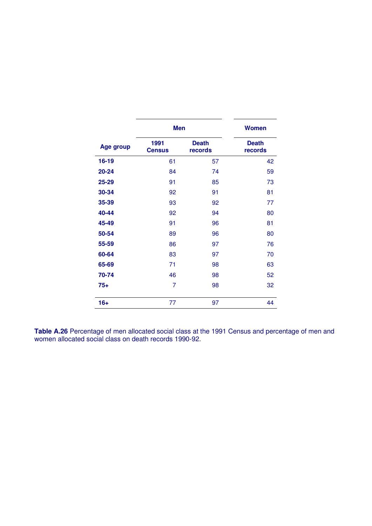|                  | <b>Men</b>            |                         | <b>Women</b>            |
|------------------|-----------------------|-------------------------|-------------------------|
| <b>Age group</b> | 1991<br><b>Census</b> | <b>Death</b><br>records | <b>Death</b><br>records |
| $16 - 19$        | 61                    | 57                      | 42                      |
| 20-24            | 84                    | 74                      | 59                      |
| 25-29            | 91                    | 85                      | 73                      |
| 30-34            | 92                    | 91                      | 81                      |
| 35-39            | 93                    | 92                      | 77                      |
| 40-44            | 92                    | 94                      | 80                      |
| 45-49            | 91                    | 96                      | 81                      |
| 50-54            | 89                    | 96                      | 80                      |
| 55-59            | 86                    | 97                      | 76                      |
| 60-64            | 83                    | 97                      | 70                      |
| 65-69            | 71                    | 98                      | 63                      |
| 70-74            | 46                    | 98                      | 52                      |
| $75+$            | 7                     | 98                      | 32                      |
| $16+$            | 77                    | 97                      | 44                      |

**Table A.26** Percentage of men allocated social class at the 1991 Census and percentage of men and women allocated social class on death records 1990-92.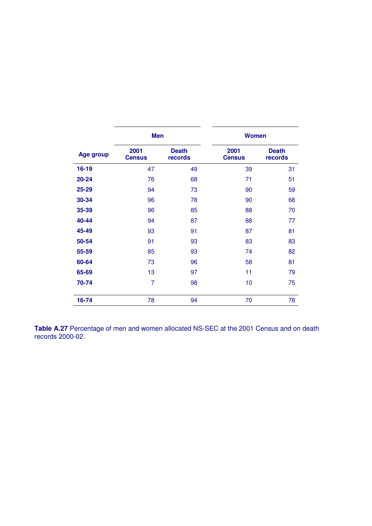|                  | <b>Men</b>            |                         | <b>Women</b>          |                         |  |  |
|------------------|-----------------------|-------------------------|-----------------------|-------------------------|--|--|
| <b>Age group</b> | 2001<br><b>Census</b> | <b>Death</b><br>records | 2001<br><b>Census</b> | <b>Death</b><br>records |  |  |
| $16 - 19$        | 47                    | 49                      | 39                    | 31                      |  |  |
| 20-24            | 76                    | 68                      | 71                    | 51                      |  |  |
| 25-29            | 94                    | 73                      | 90                    | 59                      |  |  |
| 30-34            | 96                    | 78                      | 90                    | 68                      |  |  |
| 35-39            | 96                    | 85                      | 88                    | 70                      |  |  |
| 40-44            | 94                    | 87                      | 88                    | 77                      |  |  |
| 45-49            | 93                    | 91                      | 87                    | 81                      |  |  |
| 50-54            | 91                    | 93                      | 83                    | 83                      |  |  |
| 55-59            | 85                    | 93                      | 74                    | 82                      |  |  |
| 60-64            | 73                    | 96                      | 58                    | 81                      |  |  |
| 65-69            | 13                    | 97                      | 11                    | 79                      |  |  |
| 70-74            | $\overline{7}$        | 98                      | 10                    | 75                      |  |  |
| 16-74            | 78                    | 94                      | 70                    | 78                      |  |  |

**Table A.27** Percentage of men and women allocated NS-SEC at the 2001 Census and on death records 2000-02.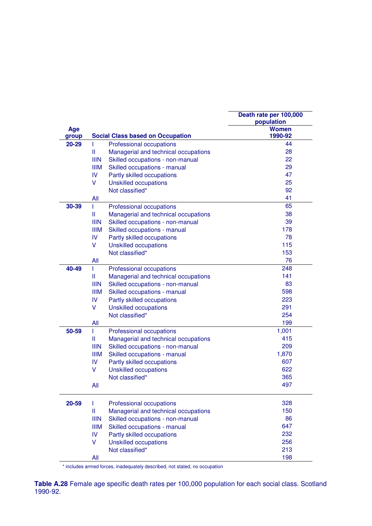|              |               |                                         | Death rate per 100,000  |
|--------------|---------------|-----------------------------------------|-------------------------|
|              |               |                                         | population              |
| Age<br>group |               | <b>Social Class based on Occupation</b> | <b>Women</b><br>1990-92 |
| 20-29        | T             | Professional occupations                | 44                      |
|              | Ш             | Managerial and technical occupations    | 28                      |
|              | <b>IIIN</b>   | Skilled occupations - non-manual        | 22                      |
|              | <b>IIIM</b>   | Skilled occupations - manual            | 29                      |
|              | IV.           | Partly skilled occupations              | 47                      |
|              | V             | <b>Unskilled occupations</b>            | 25                      |
|              |               | Not classified*                         | 92                      |
|              | All           |                                         | 41                      |
| 30-39        | T.            | Professional occupations                | 65                      |
|              | Ш             | Managerial and technical occupations    | 38                      |
|              | <b>IIIN</b>   | Skilled occupations - non-manual        | 39                      |
|              | <b>IIIM</b>   | Skilled occupations - manual            | 178                     |
|              | IV            | Partly skilled occupations              | 78                      |
|              | V             | <b>Unskilled occupations</b>            | 115                     |
|              |               | Not classified*                         | 153                     |
|              | All           |                                         | 76                      |
| 40-49        | T             | Professional occupations                | 248                     |
|              | $\mathbf{  }$ | Managerial and technical occupations    | 141                     |
|              | <b>IIIN</b>   | Skilled occupations - non-manual        | 83                      |
|              | <b>IIIM</b>   | Skilled occupations - manual            | 598                     |
|              | IV.           | Partly skilled occupations              | 223                     |
|              | V             | <b>Unskilled occupations</b>            | 291                     |
|              |               | Not classified*                         | 254                     |
|              | All           |                                         | 199                     |
| 50-59        | T             | Professional occupations                | 1,001                   |
|              | Ш             | Managerial and technical occupations    | 415                     |
|              | <b>IIIN</b>   | Skilled occupations - non-manual        | 209                     |
|              | <b>IIIM</b>   | Skilled occupations - manual            | 1,870                   |
|              | <b>IV</b>     | Partly skilled occupations              | 607                     |
|              | V             | <b>Unskilled occupations</b>            | 622                     |
|              |               | Not classified*                         | 365                     |
|              | All           |                                         | 497                     |
| 20-59        | Т             | Professional occupations                | 328                     |
|              | $\mathbf{II}$ | Managerial and technical occupations    | 150                     |
|              | <b>IIIN</b>   | Skilled occupations - non-manual        | 86                      |
|              | <b>IIIM</b>   | Skilled occupations - manual            | 647                     |
|              | IV            | Partly skilled occupations              | 232                     |
|              | V             | <b>Unskilled occupations</b>            | 256                     |
|              |               | Not classified*                         | 213                     |
|              | All           |                                         | 198                     |

\* includes armed forces, inadequately described, not stated, no occupation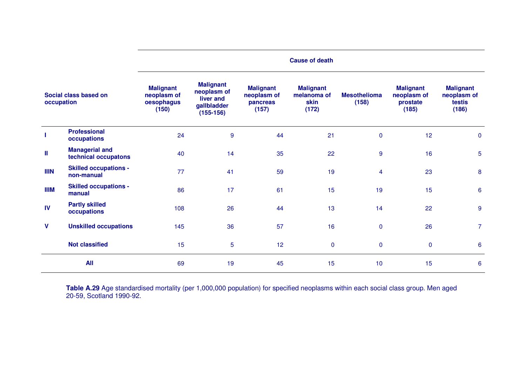|             |                                               | <b>Cause of death</b>                                  |                                                                            |                                                      |                                                  |                              |                                                      |                                                    |  |
|-------------|-----------------------------------------------|--------------------------------------------------------|----------------------------------------------------------------------------|------------------------------------------------------|--------------------------------------------------|------------------------------|------------------------------------------------------|----------------------------------------------------|--|
| occupation  | Social class based on                         | <b>Malignant</b><br>neoplasm of<br>oesophagus<br>(150) | <b>Malignant</b><br>neoplasm of<br>liver and<br>gallbladder<br>$(155-156)$ | <b>Malignant</b><br>neoplasm of<br>pancreas<br>(157) | <b>Malignant</b><br>melanoma of<br>skin<br>(172) | <b>Mesothelioma</b><br>(158) | <b>Malignant</b><br>neoplasm of<br>prostate<br>(185) | <b>Malignant</b><br>neoplasm of<br>testis<br>(186) |  |
|             | <b>Professional</b><br>occupations            | 24                                                     | $\boldsymbol{9}$                                                           | 44                                                   | 21                                               | $\mathbf{0}$                 | 12                                                   | $\mathbf 0$                                        |  |
| Ш           | <b>Managerial and</b><br>technical occupatons | 40                                                     | 14                                                                         | 35                                                   | 22                                               | 9                            | 16                                                   | $\overline{5}$                                     |  |
| <b>IIIN</b> | <b>Skilled occupations -</b><br>non-manual    | 77                                                     | 41                                                                         | 59                                                   | 19                                               | $\overline{4}$               | 23                                                   | 8                                                  |  |
| <b>IIIM</b> | <b>Skilled occupations -</b><br>manual        | 86                                                     | 17                                                                         | 61                                                   | 15                                               | 19                           | 15                                                   | 6                                                  |  |
| <b>IV</b>   | <b>Partly skilled</b><br>occupations          | 108                                                    | 26                                                                         | 44                                                   | 13                                               | 14                           | 22                                                   | $9$                                                |  |
| V           | <b>Unskilled occupations</b>                  | 145                                                    | 36                                                                         | 57                                                   | 16                                               | $\mathbf 0$                  | 26                                                   | $\overline{7}$                                     |  |
|             | <b>Not classified</b>                         | 15                                                     | 5                                                                          | 12                                                   | $\mathbf 0$                                      | $\mathbf 0$                  | $\mathbf 0$                                          | 6                                                  |  |
|             | <b>All</b>                                    | 69                                                     | 19                                                                         | 45                                                   | 15                                               | 10                           | 15                                                   | $6\phantom{1}6$                                    |  |

**Table A.29** Age standardised mortality (per 1,000,000 population) for specified neoplasms within each social class group. Men aged 20-59, Scotland 1990-92.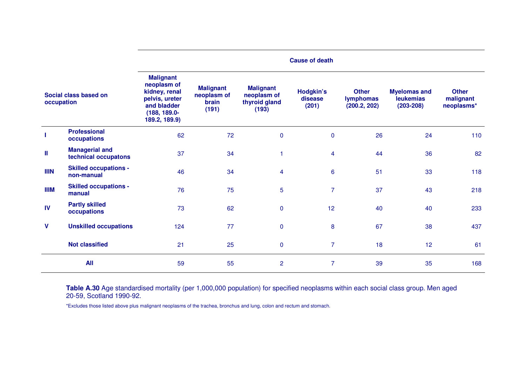|              |                                               | <b>Cause of death</b>                                                                                              |                                                   |                                                           |                                      |                                                  |                                                          |                                         |  |
|--------------|-----------------------------------------------|--------------------------------------------------------------------------------------------------------------------|---------------------------------------------------|-----------------------------------------------------------|--------------------------------------|--------------------------------------------------|----------------------------------------------------------|-----------------------------------------|--|
| occupation   | Social class based on                         | <b>Malignant</b><br>neoplasm of<br>kidney, renal<br>pelvis, ureter<br>and bladder<br>(188, 189.0-<br>189.2, 189.9) | <b>Malignant</b><br>neoplasm of<br>brain<br>(191) | <b>Malignant</b><br>neoplasm of<br>thyroid gland<br>(193) | <b>Hodgkin's</b><br>disease<br>(201) | <b>Other</b><br><b>lymphomas</b><br>(200.2, 202) | <b>Myelomas and</b><br><b>leukemias</b><br>$(203 - 208)$ | <b>Other</b><br>malignant<br>neoplasms* |  |
|              | <b>Professional</b><br>occupations            | 62                                                                                                                 | 72                                                | $\pmb{0}$                                                 | $\mathbf 0$                          | 26                                               | 24                                                       | 110                                     |  |
| $\mathbf{I}$ | <b>Managerial and</b><br>technical occupatons | 37                                                                                                                 | 34                                                | 1                                                         | 4                                    | 44                                               | 36                                                       | 82                                      |  |
| <b>IIIN</b>  | <b>Skilled occupations -</b><br>non-manual    | 46                                                                                                                 | 34                                                | $\overline{4}$                                            | $6\phantom{1}$                       | 51                                               | 33                                                       | 118                                     |  |
| <b>IIIM</b>  | <b>Skilled occupations -</b><br>manual        | 76                                                                                                                 | 75                                                | 5                                                         | $\overline{7}$                       | 37                                               | 43                                                       | 218                                     |  |
| IV           | <b>Partly skilled</b><br>occupations          | 73                                                                                                                 | 62                                                | $\pmb{0}$                                                 | 12                                   | 40                                               | 40                                                       | 233                                     |  |
| V            | <b>Unskilled occupations</b>                  | 124                                                                                                                | 77                                                | $\pmb{0}$                                                 | 8                                    | 67                                               | 38                                                       | 437                                     |  |
|              | <b>Not classified</b>                         | 21                                                                                                                 | 25                                                | $\pmb{0}$                                                 | $\overline{7}$                       | 18                                               | 12 <sub>2</sub>                                          | 61                                      |  |
|              | <b>All</b>                                    | 59                                                                                                                 | 55                                                | $\overline{c}$                                            | 7                                    | 39                                               | 35                                                       | 168                                     |  |

**Table A.30** Age standardised mortality (per 1,000,000 population) for specified neoplasms within each social class group. Men aged 20-59, Scotland 1990-92.

\*Excludes those listed above plus malignant neoplasms of the trachea, bronchus and lung, colon and rectum and stomach.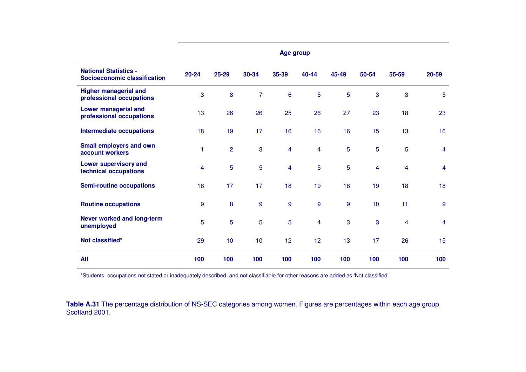|                                                              | Age group |                |                 |         |                         |       |       |                         |       |
|--------------------------------------------------------------|-----------|----------------|-----------------|---------|-------------------------|-------|-------|-------------------------|-------|
| <b>National Statistics -</b><br>Socioeconomic classification | $20 - 24$ | 25-29          | 30-34           | 35-39   | 40-44                   | 45-49 | 50-54 | 55-59                   | 20-59 |
| <b>Higher managerial and</b><br>professional occupations     | 3         | 8              | $\overline{7}$  | $\bf 6$ | 5                       | 5     | 3     | 3                       | 5     |
| <b>Lower managerial and</b><br>professional occupations      | 13        | 26             | 26              | 25      | 26                      | 27    | 23    | 18                      | 23    |
| <b>Intermediate occupations</b>                              | 18        | 19             | 17              | 16      | 16                      | 16    | 15    | 13                      | 16    |
| <b>Small employers and own</b><br>account workers            | 1         | $\overline{2}$ | 3               | 4       | $\overline{\mathbf{4}}$ | 5     | 5     | 5                       | 4     |
| <b>Lower supervisory and</b><br>technical occupations        | 4         | 5              | 5               | 4       | 5                       | 5     | 4     | 4                       | 4     |
| <b>Semi-routine occupations</b>                              | 18        | 17             | 17              | 18      | 19                      | 18    | 19    | 18                      | 18    |
| <b>Routine occupations</b>                                   | 9         | 8              | 9               | 9       | $\overline{9}$          | $9$   | 10    | 11                      | 9     |
| <b>Never worked and long-term</b><br>unemployed              | 5         | 5              | $\overline{5}$  | 5       | $\overline{\mathbf{4}}$ | 3     | 3     | $\overline{\mathbf{4}}$ | 4     |
| Not classified*                                              | 29        | 10             | 10 <sub>1</sub> | 12      | 12                      | 13    | 17    | 26                      | 15    |
| <b>All</b>                                                   | 100       | 100            | 100             | 100     | 100                     | 100   | 100   | 100                     | 100   |

\*Students, occupations not stated or inadequately described, and not classifiable for other reasons are added as 'Not classified'

**Table A.31** The percentage distribution of NS-SEC categories among women. Figures are percentages within each age group. Scotland 2001.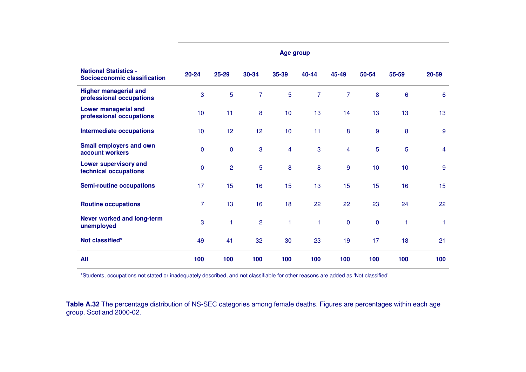|                                                              | Age group   |                |                |       |                |                         |           |                |       |
|--------------------------------------------------------------|-------------|----------------|----------------|-------|----------------|-------------------------|-----------|----------------|-------|
| <b>National Statistics -</b><br>Socioeconomic classification | $20 - 24$   | 25-29          | 30-34          | 35-39 | 40-44          | 45-49                   | 50-54     | 55-59          | 20-59 |
| <b>Higher managerial and</b><br>professional occupations     | 3           | 5              | $\overline{7}$ | 5     | $\overline{7}$ | $\overline{7}$          | 8         | $6\phantom{a}$ | 6     |
| <b>Lower managerial and</b><br>professional occupations      | 10          | 11             | 8              | 10    | 13             | 14                      | 13        | 13             | 13    |
| <b>Intermediate occupations</b>                              | 10          | 12             | 12             | 10    | 11             | $\boldsymbol{8}$        | 9         | 8              | 9     |
| <b>Small employers and own</b><br>account workers            | $\mathbf 0$ | $\mathbf 0$    | 3              | 4     | 3              | $\overline{\mathbf{4}}$ | 5         | 5              | 4     |
| <b>Lower supervisory and</b><br>technical occupations        | $\mathbf 0$ | $\overline{2}$ | 5              | 8     | 8              | $9$                     | 10        | 10             | 9     |
| <b>Semi-routine occupations</b>                              | 17          | 15             | 16             | 15    | 13             | 15                      | 15        | 16             | 15    |
| <b>Routine occupations</b>                                   | 7           | 13             | 16             | 18    | 22             | 22                      | 23        | 24             | 22    |
| <b>Never worked and long-term</b><br>unemployed              | 3           | 1              | $\overline{2}$ | 1     | $\mathbf{1}$   | $\pmb{0}$               | $\pmb{0}$ | 1              | 1     |
| Not classified*                                              | 49          | 41             | 32             | 30    | 23             | 19                      | 17        | 18             | 21    |
| <b>All</b>                                                   | 100         | 100            | 100            | 100   | 100            | 100                     | 100       | 100            | 100   |

\*Students, occupations not stated or inadequately described, and not classifiable for other reasons are added as 'Not classified'

**Table A.32** The percentage distribution of NS-SEC categories among female deaths. Figures are percentages within each age group. Scotland 2000-02.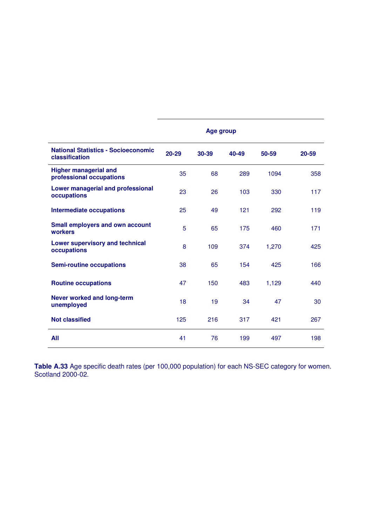|                                                              | Age group |       |       |       |       |  |  |  |
|--------------------------------------------------------------|-----------|-------|-------|-------|-------|--|--|--|
| <b>National Statistics - Socioeconomic</b><br>classification | 20-29     | 30-39 | 40-49 | 50-59 | 20-59 |  |  |  |
| <b>Higher managerial and</b><br>professional occupations     | 35        | 68    | 289   | 1094  | 358   |  |  |  |
| <b>Lower managerial and professional</b><br>occupations      | 23        | 26    | 103   | 330   | 117   |  |  |  |
| <b>Intermediate occupations</b>                              | 25        | 49    | 121   | 292   | 119   |  |  |  |
| <b>Small employers and own account</b><br>workers            | 5         | 65    | 175   | 460   | 171   |  |  |  |
| <b>Lower supervisory and technical</b><br>occupations        | 8         | 109   | 374   | 1,270 | 425   |  |  |  |
| <b>Semi-routine occupations</b>                              | 38        | 65    | 154   | 425   | 166   |  |  |  |
| <b>Routine occupations</b>                                   | 47        | 150   | 483   | 1,129 | 440   |  |  |  |
| <b>Never worked and long-term</b><br>unemployed              | 18        | 19    | 34    | 47    | 30    |  |  |  |
| <b>Not classified</b>                                        | 125       | 216   | 317   | 421   | 267   |  |  |  |
| All                                                          | 41        | 76    | 199   | 497   | 198   |  |  |  |

**Table A.33** Age specific death rates (per 100,000 population) for each NS-SEC category for women. Scotland 2000-02.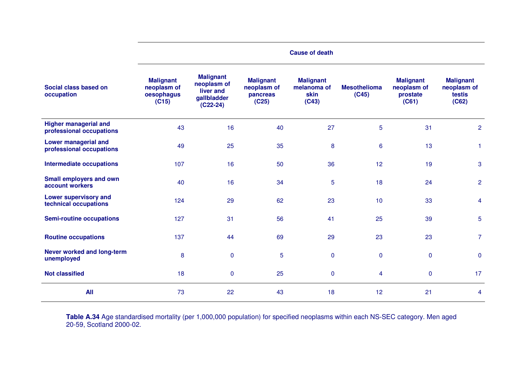|                                                          | <b>Cause of death</b>                                  |                                                                           |                                                      |                                                  |                              |                                                      |                                                    |  |
|----------------------------------------------------------|--------------------------------------------------------|---------------------------------------------------------------------------|------------------------------------------------------|--------------------------------------------------|------------------------------|------------------------------------------------------|----------------------------------------------------|--|
| Social class based on<br>occupation                      | <b>Malignant</b><br>neoplasm of<br>oesophagus<br>(C15) | <b>Malignant</b><br>neoplasm of<br>liver and<br>gallbladder<br>$(C22-24)$ | <b>Malignant</b><br>neoplasm of<br>pancreas<br>(C25) | <b>Malignant</b><br>melanoma of<br>skin<br>(C43) | <b>Mesothelioma</b><br>(C45) | <b>Malignant</b><br>neoplasm of<br>prostate<br>(C61) | <b>Malignant</b><br>neoplasm of<br>testis<br>(C62) |  |
| <b>Higher managerial and</b><br>professional occupations | 43                                                     | 16                                                                        | 40                                                   | 27                                               | 5                            | 31                                                   | $\overline{c}$                                     |  |
| <b>Lower managerial and</b><br>professional occupations  | 49                                                     | 25                                                                        | 35                                                   | 8                                                | $6\phantom{a}$               | 13                                                   | 1                                                  |  |
| <b>Intermediate occupations</b>                          | 107                                                    | 16                                                                        | 50                                                   | 36                                               | 12                           | 19                                                   | 3                                                  |  |
| <b>Small employers and own</b><br>account workers        | 40                                                     | 16                                                                        | 34                                                   | 5                                                | 18                           | 24                                                   | $\overline{2}$                                     |  |
| <b>Lower supervisory and</b><br>technical occupations    | 124                                                    | 29                                                                        | 62                                                   | 23                                               | 10                           | 33                                                   | 4                                                  |  |
| <b>Semi-routine occupations</b>                          | 127                                                    | 31                                                                        | 56                                                   | 41                                               | 25                           | 39                                                   | 5                                                  |  |
| <b>Routine occupations</b>                               | 137                                                    | 44                                                                        | 69                                                   | 29                                               | 23                           | 23                                                   | $\overline{7}$                                     |  |
| Never worked and long-term<br>unemployed                 | 8                                                      | $\mathbf 0$                                                               | 5                                                    | 0                                                | $\pmb{0}$                    | $\mathbf 0$                                          | $\pmb{0}$                                          |  |
| <b>Not classified</b>                                    | 18                                                     | $\mathbf 0$                                                               | 25                                                   | $\mathbf 0$                                      | $\overline{\mathbf{4}}$      | $\mathbf 0$                                          | 17                                                 |  |
| <b>All</b>                                               | 73                                                     | 22                                                                        | 43                                                   | 18                                               | 12                           | 21                                                   | 4                                                  |  |

**Table A.34** Age standardised mortality (per 1,000,000 population) for specified neoplasms within each NS-SEC category. Men aged 20-59, Scotland 2000-02.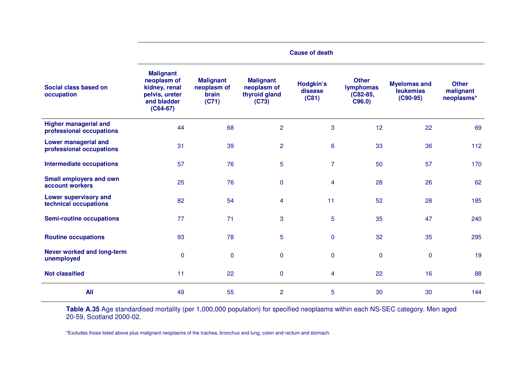|                                                          | <b>Cause of death</b>                                                                           |                                                   |                                                           |                               |                                                       |                                                       |                                         |
|----------------------------------------------------------|-------------------------------------------------------------------------------------------------|---------------------------------------------------|-----------------------------------------------------------|-------------------------------|-------------------------------------------------------|-------------------------------------------------------|-----------------------------------------|
| Social class based on<br>occupation                      | <b>Malignant</b><br>neoplasm of<br>kidney, renal<br>pelvis, ureter<br>and bladder<br>$(C64-67)$ | <b>Malignant</b><br>neoplasm of<br>brain<br>(C71) | <b>Malignant</b><br>neoplasm of<br>thyroid gland<br>(C73) | Hodgkin's<br>disease<br>(C81) | <b>Other</b><br><b>lymphomas</b><br>(C82-85,<br>C96.0 | <b>Myelomas and</b><br><b>leukemias</b><br>$(C90-95)$ | <b>Other</b><br>malignant<br>neoplasms* |
| <b>Higher managerial and</b><br>professional occupations | 44                                                                                              | 68                                                | $\overline{2}$                                            | 3                             | 12                                                    | 22                                                    | 69                                      |
| <b>Lower managerial and</b><br>professional occupations  | 31                                                                                              | 39                                                | $\overline{2}$                                            | 6                             | 33                                                    | 36                                                    | 112                                     |
| <b>Intermediate occupations</b>                          | 57                                                                                              | 76                                                | 5                                                         | $\overline{7}$                | 50                                                    | 57                                                    | 170                                     |
| <b>Small employers and own</b><br>account workers        | 25                                                                                              | 76                                                | $\pmb{0}$                                                 | 4                             | 28                                                    | 26                                                    | 62                                      |
| <b>Lower supervisory and</b><br>technical occupations    | 82                                                                                              | 54                                                | 4                                                         | 11                            | 52                                                    | 28                                                    | 185                                     |
| <b>Semi-routine occupations</b>                          | 77                                                                                              | 71                                                | 3                                                         | 5                             | 35                                                    | 47                                                    | 240                                     |
| <b>Routine occupations</b>                               | 93                                                                                              | 78                                                | 5                                                         | 0                             | 32                                                    | 35                                                    | 295                                     |
| Never worked and long-term<br>unemployed                 | $\mathbf 0$                                                                                     | $\mathbf 0$                                       | $\pmb{0}$                                                 | 0                             | $\mathbf 0$                                           | $\mathbf 0$                                           | 19                                      |
| <b>Not classified</b>                                    | 11                                                                                              | 22                                                | $\pmb{0}$                                                 | 4                             | 22                                                    | 16                                                    | 88                                      |
| All                                                      | 49                                                                                              | 55                                                | $\overline{2}$                                            | 5                             | 30                                                    | 30                                                    | 144                                     |

**Table A.35** Age standardised mortality (per 1,000,000 population) for specified neoplasms within each NS-SEC category. Men aged 20-59, Scotland 2000-02.

\*Excludes those listed above plus malignant neoplasms of the trachea, bronchus and lung, colon and rectum and stomach.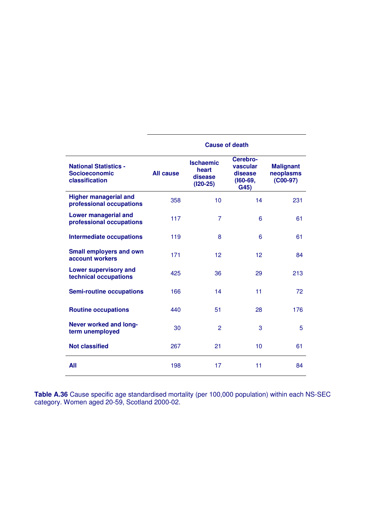|                                                                        | <b>Cause of death</b> |                                                    |                                                         |                                             |  |  |  |  |
|------------------------------------------------------------------------|-----------------------|----------------------------------------------------|---------------------------------------------------------|---------------------------------------------|--|--|--|--|
| <b>National Statistics -</b><br><b>Socioeconomic</b><br>classification | <b>All cause</b>      | <b>Ischaemic</b><br>heart<br>disease<br>$(120-25)$ | Cerebro-<br>vascular<br>disease<br>$(160 - 69,$<br>G45) | <b>Malignant</b><br>neoplasms<br>$(C00-97)$ |  |  |  |  |
| <b>Higher managerial and</b><br>professional occupations               | 358                   | 10                                                 | 14                                                      | 231                                         |  |  |  |  |
| <b>Lower managerial and</b><br>professional occupations                | 117                   | $\overline{7}$                                     | 6                                                       | 61                                          |  |  |  |  |
| <b>Intermediate occupations</b>                                        | 119                   | 8                                                  | 6                                                       | 61                                          |  |  |  |  |
| <b>Small employers and own</b><br>account workers                      | 171                   | 12                                                 | 12                                                      | 84                                          |  |  |  |  |
| <b>Lower supervisory and</b><br>technical occupations                  | 425                   | 36                                                 | 29                                                      | 213                                         |  |  |  |  |
| <b>Semi-routine occupations</b>                                        | 166                   | 14                                                 | 11                                                      | 72                                          |  |  |  |  |
| <b>Routine occupations</b>                                             | 440                   | 51                                                 | 28                                                      | 176                                         |  |  |  |  |
| <b>Never worked and long-</b><br>term unemployed                       | 30                    | $\overline{2}$                                     | 3                                                       | 5                                           |  |  |  |  |
| <b>Not classified</b>                                                  | 267                   | 21                                                 | 10                                                      | 61                                          |  |  |  |  |
| All                                                                    | 198                   | 17                                                 | 11                                                      | 84                                          |  |  |  |  |

**Table A.36** Cause specific age standardised mortality (per 100,000 population) within each NS-SEC category. Women aged 20-59, Scotland 2000-02.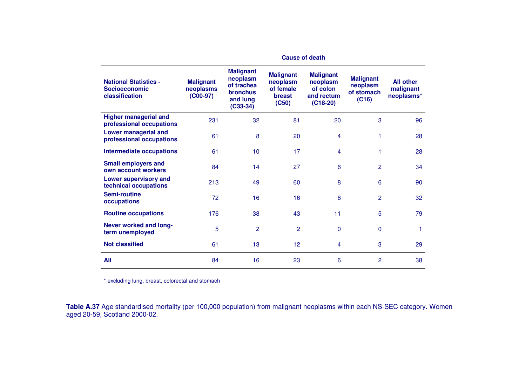|                                                                        |                                             |                                                                                         | <b>Cause of death</b>                                               |                                                                      |                                                     |                                             |
|------------------------------------------------------------------------|---------------------------------------------|-----------------------------------------------------------------------------------------|---------------------------------------------------------------------|----------------------------------------------------------------------|-----------------------------------------------------|---------------------------------------------|
| <b>National Statistics -</b><br><b>Socioeconomic</b><br>classification | <b>Malignant</b><br>neoplasms<br>$(C00-97)$ | <b>Malignant</b><br>neoplasm<br>of trachea<br><b>bronchus</b><br>and lung<br>$(C33-34)$ | <b>Malignant</b><br>neoplasm<br>of female<br><b>breast</b><br>(C50) | <b>Malignant</b><br>neoplasm<br>of colon<br>and rectum<br>$(C18-20)$ | <b>Malignant</b><br>neoplasm<br>of stomach<br>(C16) | <b>All other</b><br>malignant<br>neoplasms* |
| <b>Higher managerial and</b><br>professional occupations               | 231                                         | 32                                                                                      | 81                                                                  | 20                                                                   | 3                                                   | 96                                          |
| <b>Lower managerial and</b><br>professional occupations                | 61                                          | 8                                                                                       | 20                                                                  | 4                                                                    | 1                                                   | 28                                          |
| <b>Intermediate occupations</b>                                        | 61                                          | 10                                                                                      | 17                                                                  | 4                                                                    | 1                                                   | 28                                          |
| <b>Small employers and</b><br>own account workers                      | 84                                          | 14                                                                                      | 27                                                                  | 6                                                                    | 2                                                   | 34                                          |
| <b>Lower supervisory and</b><br>technical occupations                  | 213                                         | 49                                                                                      | 60                                                                  | 8                                                                    | 6                                                   | 90                                          |
| Semi-routine<br>occupations                                            | 72                                          | 16                                                                                      | 16                                                                  | 6                                                                    | 2                                                   | 32                                          |
| <b>Routine occupations</b>                                             | 176                                         | 38                                                                                      | 43                                                                  | 11                                                                   | 5                                                   | 79                                          |
| <b>Never worked and long-</b><br>term unemployed                       | 5                                           | 2                                                                                       | $\overline{2}$                                                      | $\mathbf{0}$                                                         | $\mathbf 0$                                         | 1                                           |
| <b>Not classified</b>                                                  | 61                                          | 13                                                                                      | 12                                                                  | 4                                                                    | 3                                                   | 29                                          |
| All                                                                    | 84                                          | 16                                                                                      | 23                                                                  | 6                                                                    | 2                                                   | 38                                          |

\* excluding lung, breast, colorectal and stomach

**Table A.37** Age standardised mortality (per 100,000 population) from malignant neoplasms within each NS-SEC category. Women aged 20-59, Scotland 2000-02.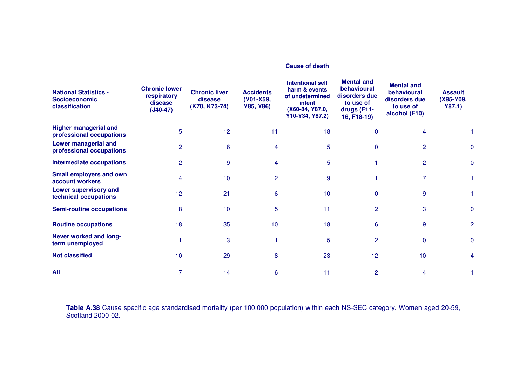|                                                                        |                                                              |                                                  |                                            | <b>Cause of death</b>                                                                                       |                                                                                              |                                                                                 |                                       |
|------------------------------------------------------------------------|--------------------------------------------------------------|--------------------------------------------------|--------------------------------------------|-------------------------------------------------------------------------------------------------------------|----------------------------------------------------------------------------------------------|---------------------------------------------------------------------------------|---------------------------------------|
| <b>National Statistics -</b><br><b>Socioeconomic</b><br>classification | <b>Chronic lower</b><br>respiratory<br>disease<br>$(J40-47)$ | <b>Chronic liver</b><br>disease<br>(K70, K73-74) | <b>Accidents</b><br>(V01-X59,<br>Y85, Y86) | <b>Intentional self</b><br>harm & events<br>of undetermined<br>intent<br>(X60-84, Y87.0,<br>Y10-Y34, Y87.2) | <b>Mental and</b><br>behavioural<br>disorders due<br>to use of<br>drugs (F11-<br>16, F18-19) | <b>Mental and</b><br>behavioural<br>disorders due<br>to use of<br>alcohol (F10) | <b>Assault</b><br>(X85-Y09,<br>Y87.1) |
| <b>Higher managerial and</b><br>professional occupations               | 5                                                            | 12 <sup>2</sup>                                  | 11                                         | 18                                                                                                          | $\Omega$                                                                                     | 4                                                                               |                                       |
| <b>Lower managerial and</b><br>professional occupations                | 2                                                            | 6                                                | 4                                          | 5                                                                                                           | $\mathbf{0}$                                                                                 | $\overline{2}$                                                                  | $\mathbf{0}$                          |
| <b>Intermediate occupations</b>                                        | $\overline{2}$                                               | 9                                                | 4                                          | 5                                                                                                           |                                                                                              | $\overline{2}$                                                                  | $\mathbf{0}$                          |
| <b>Small employers and own</b><br>account workers                      | 4                                                            | 10                                               | 2                                          | 9                                                                                                           |                                                                                              | $\overline{7}$                                                                  | 1                                     |
| <b>Lower supervisory and</b><br>technical occupations                  | 12                                                           | 21                                               | 6                                          | 10                                                                                                          | $\Omega$                                                                                     | 9                                                                               | 1                                     |
| <b>Semi-routine occupations</b>                                        | 8                                                            | 10                                               | 5                                          | 11                                                                                                          | $\overline{2}$                                                                               | 3                                                                               | $\mathbf{0}$                          |
| <b>Routine occupations</b>                                             | 18                                                           | 35                                               | 10                                         | 18                                                                                                          | 6                                                                                            | 9                                                                               | $\overline{2}$                        |
| Never worked and long-<br>term unemployed                              |                                                              | 3                                                |                                            | 5                                                                                                           | $\overline{2}$                                                                               | $\mathbf{0}$                                                                    | $\mathbf{0}$                          |
| <b>Not classified</b>                                                  | 10                                                           | 29                                               | 8                                          | 23                                                                                                          | 12                                                                                           | 10                                                                              | 4                                     |
| <b>All</b>                                                             | 7                                                            | 14                                               | 6                                          | 11                                                                                                          | 2                                                                                            | 4                                                                               |                                       |

**Table A.38** Cause specific age standardised mortality (per 100,000 population) within each NS-SEC category. Women aged 20-59, Scotland 2000-02.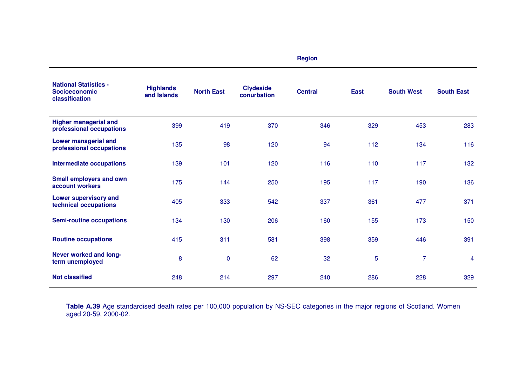|                                                                        |                                 |                   |                                 | <b>Region</b>  |             |                   |                   |
|------------------------------------------------------------------------|---------------------------------|-------------------|---------------------------------|----------------|-------------|-------------------|-------------------|
| <b>National Statistics -</b><br><b>Socioeconomic</b><br>classification | <b>Highlands</b><br>and Islands | <b>North East</b> | <b>Clydeside</b><br>conurbation | <b>Central</b> | <b>East</b> | <b>South West</b> | <b>South East</b> |
| <b>Higher managerial and</b><br>professional occupations               | 399                             | 419               | 370                             | 346            | 329         | 453               | 283               |
| <b>Lower managerial and</b><br>professional occupations                | 135                             | 98                | 120                             | 94             | 112         | 134               | 116               |
| <b>Intermediate occupations</b>                                        | 139                             | 101               | 120                             | 116            | 110         | 117               | 132               |
| <b>Small employers and own</b><br>account workers                      | 175                             | 144               | 250                             | 195            | 117         | 190               | 136               |
| <b>Lower supervisory and</b><br>technical occupations                  | 405                             | 333               | 542                             | 337            | 361         | 477               | 371               |
| <b>Semi-routine occupations</b>                                        | 134                             | 130               | 206                             | 160            | 155         | 173               | 150               |
| <b>Routine occupations</b>                                             | 415                             | 311               | 581                             | 398            | 359         | 446               | 391               |
| Never worked and long-<br>term unemployed                              | 8                               | $\pmb{0}$         | 62                              | 32             | 5           | $\overline{7}$    | $\overline{4}$    |
| <b>Not classified</b>                                                  | 248                             | 214               | 297                             | 240            | 286         | 228               | 329               |

**Table A.39** Age standardised death rates per 100,000 population by NS-SEC categories in the major regions of Scotland. Women aged 20-59, 2000-02.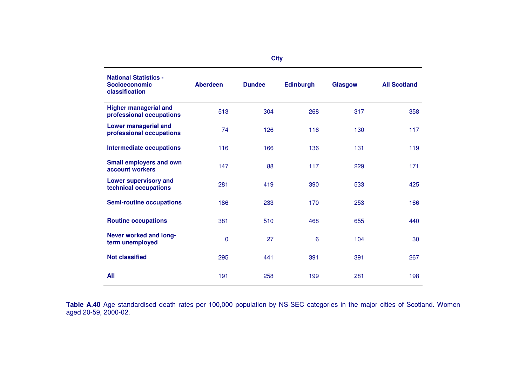|                                                                        |                 | <b>City</b>   |                  |                |                     |
|------------------------------------------------------------------------|-----------------|---------------|------------------|----------------|---------------------|
| <b>National Statistics -</b><br><b>Socioeconomic</b><br>classification | <b>Aberdeen</b> | <b>Dundee</b> | <b>Edinburgh</b> | <b>Glasgow</b> | <b>All Scotland</b> |
| <b>Higher managerial and</b><br>professional occupations               | 513             | 304           | 268              | 317            | 358                 |
| <b>Lower managerial and</b><br>professional occupations                | 74              | 126           | 116              | 130            | 117                 |
| <b>Intermediate occupations</b>                                        | 116             | 166           | 136              | 131            | 119                 |
| <b>Small employers and own</b><br>account workers                      | 147             | 88            | 117              | 229            | 171                 |
| <b>Lower supervisory and</b><br>technical occupations                  | 281             | 419           | 390              | 533            | 425                 |
| <b>Semi-routine occupations</b>                                        | 186             | 233           | 170              | 253            | 166                 |
| <b>Routine occupations</b>                                             | 381             | 510           | 468              | 655            | 440                 |
| Never worked and long-<br>term unemployed                              | $\mathbf 0$     | 27            | 6                | 104            | 30                  |
| <b>Not classified</b>                                                  | 295             | 441           | 391              | 391            | 267                 |
| <b>All</b>                                                             | 191             | 258           | 199              | 281            | 198                 |

**Table A.40** Age standardised death rates per 100,000 population by NS-SEC categories in the major cities of Scotland. Women aged 20-59, 2000-02.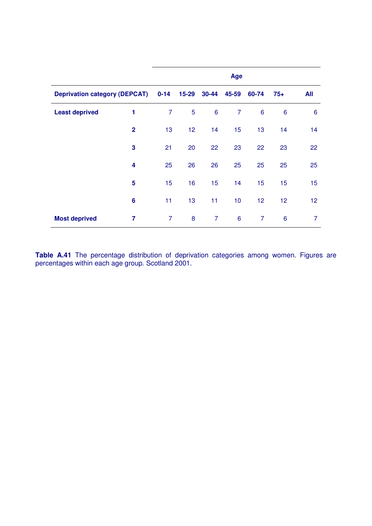|                                      |                |          |       |                 | Age             |                |                 |                |
|--------------------------------------|----------------|----------|-------|-----------------|-----------------|----------------|-----------------|----------------|
| <b>Deprivation category (DEPCAT)</b> |                | $0 - 14$ | 15-29 |                 | 30-44 45-59     | 60-74          | $75+$           | <b>All</b>     |
| <b>Least deprived</b>                | 1              | 7        | 5     | $6\phantom{1}6$ | 7               | 6              | 6               | 6              |
|                                      | $\overline{2}$ | 13       | 12    | 14              | 15              | 13             | 14              | 14             |
|                                      | 3              | 21       | 20    | 22              | 23              | 22             | 23              | 22             |
|                                      | 4              | 25       | 26    | 26              | 25              | 25             | 25              | 25             |
|                                      | 5              | 15       | 16    | 15              | 14              | 15             | 15              | 15             |
|                                      | 6              | 11       | 13    | 11              | 10 <sub>1</sub> | 12             | 12              | 12             |
| <b>Most deprived</b>                 | 7              | 7        | 8     | $\overline{7}$  | $6\phantom{1}6$ | $\overline{7}$ | $6\phantom{1}6$ | $\overline{7}$ |

**Table A.41** The percentage distribution of deprivation categories among women. Figures are percentages within each age group. Scotland 2001.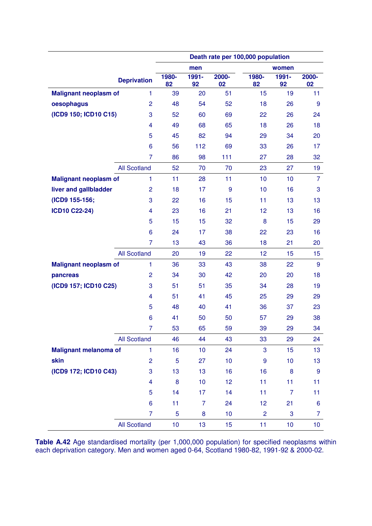|                              |                         | Death rate per 100,000 population |             |             |                |                |                |  |  |  |
|------------------------------|-------------------------|-----------------------------------|-------------|-------------|----------------|----------------|----------------|--|--|--|
|                              |                         |                                   | men         |             |                | women          |                |  |  |  |
|                              | <b>Deprivation</b>      | 1980-<br>82                       | 1991-<br>92 | 2000-<br>02 | 1980-<br>82    | 1991-<br>92    | 2000-<br>02    |  |  |  |
| <b>Malignant neoplasm of</b> | 1                       | 39                                | 20          | 51          | 15             | 19             | 11             |  |  |  |
| oesophagus                   | $\overline{c}$          | 48                                | 54          | 52          | 18             | 26             | 9              |  |  |  |
| (ICD9 150; ICD10 C15)        | 3                       | 52                                | 60          | 69          | 22             | 26             | 24             |  |  |  |
|                              | $\overline{4}$          | 49                                | 68          | 65          | 18             | 26             | 18             |  |  |  |
|                              | 5                       | 45                                | 82          | 94          | 29             | 34             | 20             |  |  |  |
|                              | 6                       | 56                                | 112         | 69          | 33             | 26             | 17             |  |  |  |
|                              | 7                       | 86                                | 98          | 111         | 27             | 28             | 32             |  |  |  |
|                              | <b>All Scotland</b>     | 52                                | 70          | 70          | 23             | 27             | 19             |  |  |  |
| <b>Malignant neoplasm of</b> | 1                       | 11                                | 28          | 11          | 10             | 10             | $\overline{7}$ |  |  |  |
| liver and gallbladder        | $\overline{2}$          | 18                                | 17          | 9           | 10             | 16             | 3              |  |  |  |
| (ICD9 155-156;               | 3                       | 22                                | 16          | 15          | 11             | 13             | 13             |  |  |  |
| <b>ICD10 C22-24)</b>         | $\overline{\mathbf{4}}$ | 23                                | 16          | 21          | 12             | 13             | 16             |  |  |  |
|                              | 5                       | 15                                | 15          | 32          | 8              | 15             | 29             |  |  |  |
|                              | 6                       | 24                                | 17          | 38          | 22             | 23             | 16             |  |  |  |
|                              | 7                       | 13                                | 43          | 36          | 18             | 21             | 20             |  |  |  |
|                              | <b>All Scotland</b>     | 20                                | 19          | 22          | 12             | 15             | 15             |  |  |  |
| <b>Malignant neoplasm of</b> | 1                       | 36                                | 33          | 43          | 38             | 22             | $9\,$          |  |  |  |
| pancreas                     | $\overline{2}$          | 34                                | 30          | 42          | 20             | 20             | 18             |  |  |  |
| (ICD9 157; ICD10 C25)        | 3                       | 51                                | 51          | 35          | 34             | 28             | 19             |  |  |  |
|                              | 4                       | 51                                | 41          | 45          | 25             | 29             | 29             |  |  |  |
|                              | 5                       | 48                                | 40          | 41          | 36             | 37             | 23             |  |  |  |
|                              | 6                       | 41                                | 50          | 50          | 57             | 29             | 38             |  |  |  |
|                              | 7                       | 53                                | 65          | 59          | 39             | 29             | 34             |  |  |  |
|                              | <b>All Scotland</b>     | 46                                | 44          | 43          | 33             | 29             | 24             |  |  |  |
| <b>Malignant melanoma of</b> | 1                       | 16                                | 10          | 24          | 3              | 15             | 13             |  |  |  |
| skin                         | $\overline{2}$          | 5                                 | 27          | 10          | 9              | 10             | 13             |  |  |  |
| (ICD9 172; ICD10 C43)        | 3                       | 13                                | 13          | 16          | 16             | 8              | $9\,$          |  |  |  |
|                              | 4                       | 8                                 | 10          | 12          | 11             | 11             | 11             |  |  |  |
|                              | 5                       | 14                                | 17          | 14          | 11             | $\overline{7}$ | 11             |  |  |  |
|                              | 6                       | 11                                | 7           | 24          | 12             | 21             | 6              |  |  |  |
|                              | 7                       | 5                                 | 8           | 10          | $\overline{2}$ | 3              | 7              |  |  |  |
|                              | <b>All Scotland</b>     | 10                                | 13          | 15          | 11             | 10             | 10             |  |  |  |

**Table A.42** Age standardised mortality (per 1,000,000 population) for specified neoplasms within each deprivation category. Men and women aged 0-64, Scotland 1980-82, 1991-92 & 2000-02.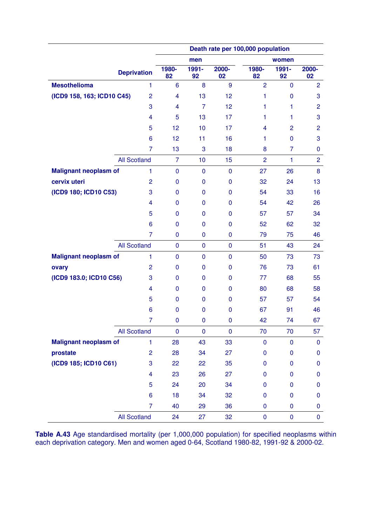|                              |                         | Death rate per 100,000 population |                |             |                |                |                |  |  |
|------------------------------|-------------------------|-----------------------------------|----------------|-------------|----------------|----------------|----------------|--|--|
|                              |                         |                                   | men            |             |                | women          |                |  |  |
|                              | <b>Deprivation</b>      | 1980-<br>82                       | 1991-<br>92    | 2000-<br>02 | 1980-<br>82    | $1991 -$<br>92 | 2000-<br>02    |  |  |
| <b>Mesothelioma</b>          | $\mathbf{1}$            | 6                                 | 8              | 9           | $\overline{2}$ | $\mathbf{0}$   | $\overline{2}$ |  |  |
| (ICD9 158, 163; ICD10 C45)   | $\overline{2}$          | $\overline{4}$                    | 13             | 12          | 1              | $\pmb{0}$      | 3              |  |  |
|                              | 3                       | 4                                 | $\overline{7}$ | 12          | 1              | $\mathbf{1}$   | $\overline{2}$ |  |  |
|                              | $\overline{\mathbf{4}}$ | 5                                 | 13             | 17          | 1              | 1              | 3              |  |  |
|                              | 5                       | 12                                | 10             | 17          | 4              | $\overline{2}$ | $\overline{2}$ |  |  |
|                              | 6                       | 12                                | 11             | 16          | 1              | $\mathbf 0$    | 3              |  |  |
|                              | $\overline{7}$          | 13                                | 3              | 18          | 8              | 7              | 0              |  |  |
|                              | <b>All Scotland</b>     | $\overline{7}$                    | 10             | 15          | $\overline{2}$ | 1              | $\overline{2}$ |  |  |
| <b>Malignant neoplasm of</b> | $\mathbf{1}$            | $\pmb{0}$                         | $\pmb{0}$      | $\mathbf 0$ | 27             | 26             | 8              |  |  |
| cervix uteri                 | $\overline{2}$          | $\pmb{0}$                         | $\mathbf 0$    | $\mathbf 0$ | 32             | 24             | 13             |  |  |
| (ICD9 180; ICD10 C53)        | 3                       | 0                                 | 0              | 0           | 54             | 33             | 16             |  |  |
|                              | $\overline{\mathbf{4}}$ | $\mathbf 0$                       | $\mathbf 0$    | $\mathbf 0$ | 54             | 42             | 26             |  |  |
|                              | 5                       | 0                                 | $\mathbf 0$    | $\mathbf 0$ | 57             | 57             | 34             |  |  |
|                              | 6                       | $\mathbf 0$                       | 0              | $\mathbf 0$ | 52             | 62             | 32             |  |  |
|                              | $\overline{7}$          | $\mathbf 0$                       | $\pmb{0}$      | 0           | 79             | 75             | 46             |  |  |
|                              | <b>All Scotland</b>     | $\mathbf 0$                       | $\pmb{0}$      | $\pmb{0}$   | 51             | 43             | 24             |  |  |
| <b>Malignant neoplasm of</b> | $\mathbf{1}$            | $\pmb{0}$                         | $\pmb{0}$      | $\mathbf 0$ | 50             | 73             | 73             |  |  |
| ovary                        | $\overline{2}$          | 0                                 | 0              | $\mathbf 0$ | 76             | 73             | 61             |  |  |
| (ICD9 183.0; ICD10 C56)      | 3                       | $\mathbf 0$                       | $\mathbf 0$    | $\mathbf 0$ | 77             | 68             | 55             |  |  |
|                              | $\overline{\mathbf{4}}$ | 0                                 | $\mathbf 0$    | $\mathbf 0$ | 80             | 68             | 58             |  |  |
|                              | 5                       | $\mathbf 0$                       | 0              | $\mathbf 0$ | 57             | 57             | 54             |  |  |
|                              | 6                       | $\mathbf 0$                       | $\pmb{0}$      | $\mathbf 0$ | 67             | 91             | 46             |  |  |
|                              | $\overline{7}$          | $\mathbf 0$                       | $\mathbf 0$    | $\mathbf 0$ | 42             | 74             | 67             |  |  |
|                              | <b>All Scotland</b>     | $\mathbf 0$                       | $\pmb{0}$      | $\mathbf 0$ | 70             | 70             | 57             |  |  |
| <b>Malignant neoplasm of</b> | $\mathbf{1}$            | 28                                | 43             | 33          | $\mathbf 0$    | $\pmb{0}$      | $\mathbf 0$    |  |  |
| prostate                     | $\overline{c}$          | 28                                | 34             | 27          | 0              | $\mathbf 0$    | 0              |  |  |
| (ICD9 185; ICD10 C61)        | 3                       | 22                                | 22             | 35          | 0              | $\mathbf 0$    | 0              |  |  |
|                              | $\overline{4}$          | 23                                | 26             | 27          | 0              | $\mathbf 0$    | $\mathbf{0}$   |  |  |
|                              | 5                       | 24                                | 20             | 34          | 0              | $\mathbf 0$    | 0              |  |  |
|                              | 6                       | 18                                | 34             | 32          | 0              | $\pmb{0}$      | $\pmb{0}$      |  |  |
|                              | $\overline{7}$          | 40                                | 29             | 36          | $\pmb{0}$      | $\pmb{0}$      | 0              |  |  |
|                              | <b>All Scotland</b>     | 24                                | 27             | 32          | $\pmb{0}$      | $\pmb{0}$      | $\mathbf 0$    |  |  |

**Table A.43** Age standardised mortality (per 1,000,000 population) for specified neoplasms within each deprivation category. Men and women aged 0-64, Scotland 1980-82, 1991-92 & 2000-02.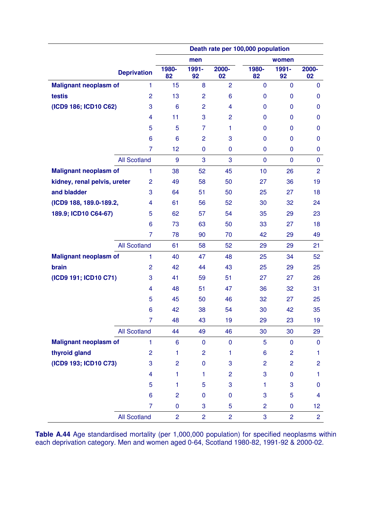|                              |                     | Death rate per 100,000 population |                |                |                |                |                 |  |  |
|------------------------------|---------------------|-----------------------------------|----------------|----------------|----------------|----------------|-----------------|--|--|
|                              |                     |                                   | men            |                |                | women          |                 |  |  |
|                              | <b>Deprivation</b>  | 1980-<br>82                       | 1991-<br>92    | 2000-<br>02    | 1980-<br>82    | 1991-<br>92    | 2000-<br>02     |  |  |
| <b>Malignant neoplasm of</b> | $\mathbf{1}$        | 15                                | 8              | $\overline{2}$ | $\mathbf 0$    | $\mathbf 0$    | $\mathbf 0$     |  |  |
| testis                       | $\overline{2}$      | 13                                | $\overline{c}$ | 6              | $\pmb{0}$      | $\mathbf 0$    | $\mathbf 0$     |  |  |
| (ICD9 186; ICD10 C62)        | 3                   | 6                                 | $\overline{c}$ | 4              | $\mathbf 0$    | $\mathbf 0$    | $\mathbf 0$     |  |  |
|                              | $\overline{4}$      | 11                                | 3              | $\overline{2}$ | 0              | $\mathbf 0$    | 0               |  |  |
|                              | 5                   | 5                                 | $\overline{7}$ | 1              | $\mathbf 0$    | $\mathbf 0$    | 0               |  |  |
|                              | 6                   | 6                                 | $\overline{2}$ | 3              | 0              | $\mathbf 0$    | $\mathbf{0}$    |  |  |
|                              | $\overline{7}$      | 12                                | $\mathbf 0$    | $\mathbf 0$    | $\mathbf 0$    | $\mathbf 0$    | 0               |  |  |
|                              | <b>All Scotland</b> | 9                                 | 3              | 3              | $\mathbf 0$    | $\mathbf 0$    | $\mathbf 0$     |  |  |
| <b>Malignant neoplasm of</b> | 1                   | 38                                | 52             | 45             | 10             | 26             | $\overline{2}$  |  |  |
| kidney, renal pelvis, ureter | $\overline{2}$      | 49                                | 58             | 50             | 27             | 36             | 19              |  |  |
| and bladder                  | 3                   | 64                                | 51             | 50             | 25             | 27             | 18              |  |  |
| (ICD9 188, 189.0-189.2,      | 4                   | 61                                | 56             | 52             | 30             | 32             | 24              |  |  |
| 189.9; ICD10 C64-67)         | 5                   | 62                                | 57             | 54             | 35             | 29             | 23              |  |  |
|                              | 6                   | 73                                | 63             | 50             | 33             | 27             | 18              |  |  |
|                              | 7                   | 78                                | 90             | 70             | 42             | 29             | 49              |  |  |
|                              | <b>All Scotland</b> | 61                                | 58             | 52             | 29             | 29             | 21              |  |  |
| <b>Malignant neoplasm of</b> | 1                   | 40                                | 47             | 48             | 25             | 34             | 52              |  |  |
| brain                        | $\overline{2}$      | 42                                | 44             | 43             | 25             | 29             | 25              |  |  |
| (ICD9 191; ICD10 C71)        | 3                   | 41                                | 59             | 51             | 27             | 27             | 26              |  |  |
|                              | 4                   | 48                                | 51             | 47             | 36             | 32             | 31              |  |  |
|                              | 5                   | 45                                | 50             | 46             | 32             | 27             | 25              |  |  |
|                              | 6                   | 42                                | 38             | 54             | 30             | 42             | 35              |  |  |
|                              | 7                   | 48                                | 43             | 19             | 29             | 23             | 19              |  |  |
|                              | <b>All Scotland</b> | 44                                | 49             | 46             | 30             | 30             | 29              |  |  |
| <b>Malignant neoplasm of</b> | 1                   | 6                                 | $\pmb{0}$      | $\mathbf 0$    | 5              | $\pmb{0}$      | $\mathbf 0$     |  |  |
| thyroid gland                | $\overline{2}$      | 1                                 | $\overline{c}$ | 1              | 6              | $\overline{2}$ | 1.              |  |  |
| (ICD9 193; ICD10 C73)        | 3                   | $\overline{c}$                    | $\mathbf 0$    | 3              | $\overline{2}$ | $\overline{2}$ | $\overline{c}$  |  |  |
|                              | $\overline{4}$      | 1                                 | $\mathbf{1}$   | $\overline{2}$ | 3              | $\mathbf 0$    | 1               |  |  |
|                              | 5                   | $\mathbf{1}$                      | 5              | 3              | 1.             | $\mathbf{3}$   | 0               |  |  |
|                              | 6                   | $\overline{c}$                    | $\mathbf 0$    | $\mathbf 0$    | 3              | 5              | 4               |  |  |
|                              | $\overline{7}$      | $\pmb{0}$                         | 3              | 5              | $\overline{2}$ | $\pmb{0}$      | 12 <sub>2</sub> |  |  |
|                              | <b>All Scotland</b> | $\overline{2}$                    | $\overline{2}$ | $\overline{2}$ | 3              | $\overline{2}$ | $\overline{2}$  |  |  |

**Table A.44** Age standardised mortality (per 1,000,000 population) for specified neoplasms within each deprivation category. Men and women aged 0-64, Scotland 1980-82, 1991-92 & 2000-02.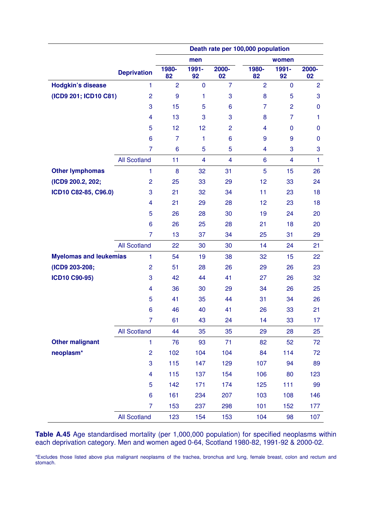|                               |                         | Death rate per 100,000 population |                         |                |                |                |                |  |  |  |
|-------------------------------|-------------------------|-----------------------------------|-------------------------|----------------|----------------|----------------|----------------|--|--|--|
|                               |                         |                                   | men                     |                |                | women          |                |  |  |  |
|                               | <b>Deprivation</b>      | 1980-<br>82                       | 1991-<br>92             | 2000-<br>02    | 1980-<br>82    | 1991-<br>92    | 2000-<br>02    |  |  |  |
| <b>Hodgkin's disease</b>      | $\mathbf{1}$            | $\overline{2}$                    | $\mathbf 0$             | $\overline{7}$ | $\overline{2}$ | $\mathbf 0$    | $\overline{2}$ |  |  |  |
| (ICD9 201; ICD10 C81)         | $\overline{2}$          | 9                                 | 1                       | 3              | 8              | 5              | 3              |  |  |  |
|                               | 3                       | 15                                | 5                       | 6              | $\overline{7}$ | $\overline{2}$ | $\mathbf 0$    |  |  |  |
|                               | $\overline{4}$          | 13                                | 3                       | 3              | 8              | $\overline{7}$ | 1              |  |  |  |
|                               | 5                       | 12                                | 12                      | $\overline{2}$ | 4              | $\mathbf 0$    | 0              |  |  |  |
|                               | 6                       | 7                                 | 1                       | 6              | 9              | 9              | $\mathbf{0}$   |  |  |  |
|                               | 7                       | 6                                 | 5                       | 5              | 4              | 3              | 3              |  |  |  |
|                               | <b>All Scotland</b>     | 11                                | $\overline{\mathbf{4}}$ | $\overline{4}$ | 6              | $\overline{4}$ | $\mathbf{1}$   |  |  |  |
| <b>Other lymphomas</b>        | 1                       | 8                                 | 32                      | 31             | 5              | 15             | 26             |  |  |  |
| (ICD9 200.2, 202;             | $\overline{c}$          | 25                                | 33                      | 29             | 12             | 33             | 24             |  |  |  |
| ICD10 C82-85, C96.0)          | 3                       | 21                                | 32                      | 34             | 11             | 23             | 18             |  |  |  |
|                               | 4                       | 21                                | 29                      | 28             | 12             | 23             | 18             |  |  |  |
|                               | 5                       | 26                                | 28                      | 30             | 19             | 24             | 20             |  |  |  |
|                               | 6                       | 26                                | 25                      | 28             | 21             | 18             | 20             |  |  |  |
|                               | 7                       | 13                                | 37                      | 34             | 25             | 31             | 29             |  |  |  |
|                               | <b>All Scotland</b>     | 22                                | 30                      | 30             | 14             | 24             | 21             |  |  |  |
| <b>Myelomas and leukemias</b> | $\mathbf{1}$            | 54                                | 19                      | 38             | 32             | 15             | 22             |  |  |  |
| (ICD9 203-208;                | $\overline{2}$          | 51                                | 28                      | 26             | 29             | 26             | 23             |  |  |  |
| <b>ICD10 C90-95)</b>          | 3                       | 42                                | 44                      | 41             | 27             | 26             | 32             |  |  |  |
|                               | 4                       | 36                                | 30                      | 29             | 34             | 26             | 25             |  |  |  |
|                               | 5                       | 41                                | 35                      | 44             | 31             | 34             | 26             |  |  |  |
|                               | 6                       | 46                                | 40                      | 41             | 26             | 33             | 21             |  |  |  |
|                               | $\overline{7}$          | 61                                | 43                      | 24             | 14             | 33             | 17             |  |  |  |
|                               | <b>All Scotland</b>     | 44                                | 35                      | 35             | 29             | 28             | 25             |  |  |  |
| <b>Other malignant</b>        | $\mathbf{1}$            | 76                                | 93                      | 71             | 82             | 52             | 72             |  |  |  |
| neoplasm*                     | $\overline{c}$          | 102                               | 104                     | 104            | 84             | 114            | 72             |  |  |  |
|                               | 3                       | 115                               | 147                     | 129            | 107            | 94             | 89             |  |  |  |
|                               | $\overline{\mathbf{4}}$ | 115                               | 137                     | 154            | 106            | 80             | 123            |  |  |  |
|                               | 5                       | 142                               | 171                     | 174            | 125            | 111            | 99             |  |  |  |
|                               | 6                       | 161                               | 234                     | 207            | 103            | 108            | 146            |  |  |  |
|                               | $\overline{7}$          | 153                               | 237                     | 298            | 101            | 152            | 177            |  |  |  |
|                               | <b>All Scotland</b>     | 123                               | 154                     | 153            | 104            | 98             | 107            |  |  |  |

**Table A.45** Age standardised mortality (per 1,000,000 population) for specified neoplasms within each deprivation category. Men and women aged 0-64, Scotland 1980-82, 1991-92 & 2000-02.

\*Excludes those listed above plus malignant neoplasms of the trachea, bronchus and lung, female breast, colon and rectum and stomach.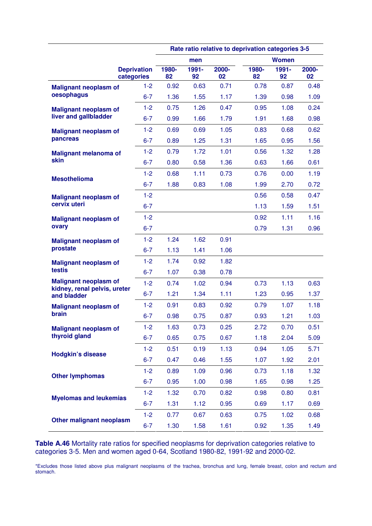|                                                              |                                  |             |             |             | Rate ratio relative to deprivation categories 3-5 |              |             |
|--------------------------------------------------------------|----------------------------------|-------------|-------------|-------------|---------------------------------------------------|--------------|-------------|
|                                                              |                                  |             | men         |             |                                                   | <b>Women</b> |             |
|                                                              | <b>Deprivation</b><br>categories | 1980-<br>82 | 1991-<br>92 | 2000-<br>02 | 1980-<br>82                                       | 1991-<br>92  | 2000-<br>02 |
| <b>Malignant neoplasm of</b>                                 | $1 - 2$                          | 0.92        | 0.63        | 0.71        | 0.78                                              | 0.87         | 0.48        |
| oesophagus                                                   | $6 - 7$                          | 1.36        | 1.55        | 1.17        | 1.39                                              | 0.98         | 1.09        |
| <b>Malignant neoplasm of</b>                                 | $1-2$                            | 0.75        | 1.26        | 0.47        | 0.95                                              | 1.08         | 0.24        |
| liver and gallbladder                                        | $6 - 7$                          | 0.99        | 1.66        | 1.79        | 1.91                                              | 1.68         | 0.98        |
| <b>Malignant neoplasm of</b>                                 | $1-2$                            | 0.69        | 0.69        | 1.05        | 0.83                                              | 0.68         | 0.62        |
| pancreas                                                     | $6 - 7$                          | 0.89        | 1.25        | 1.31        | 1.65                                              | 0.95         | 1.56        |
| <b>Malignant melanoma of</b>                                 | $1 - 2$                          | 0.79        | 1.72        | 1.01        | 0.56                                              | 1.32         | 1.28        |
| skin                                                         | $6 - 7$                          | 0.80        | 0.58        | 1.36        | 0.63                                              | 1.66         | 0.61        |
| <b>Mesothelioma</b>                                          | $1-2$                            | 0.68        | 1.11        | 0.73        | 0.76                                              | 0.00         | 1.19        |
|                                                              | $6 - 7$                          | 1.88        | 0.83        | 1.08        | 1.99                                              | 2.70         | 0.72        |
| <b>Malignant neoplasm of</b>                                 | $1-2$                            |             |             |             | 0.56                                              | 0.58         | 0.47        |
| cervix uteri                                                 | $6 - 7$                          |             |             |             | 1.13                                              | 1.59         | 1.51        |
| <b>Malignant neoplasm of</b>                                 | $1-2$                            |             |             |             | 0.92                                              | 1.11         | 1.16        |
| ovary                                                        | $6 - 7$                          |             |             |             | 0.79                                              | 1.31         | 0.96        |
| <b>Malignant neoplasm of</b>                                 | $1 - 2$                          | 1.24        | 1.62        | 0.91        |                                                   |              |             |
| prostate                                                     | $6 - 7$                          | 1.13        | 1.41        | 1.06        |                                                   |              |             |
| <b>Malignant neoplasm of</b>                                 | $1-2$                            | 1.74        | 0.92        | 1.82        |                                                   |              |             |
| testis                                                       | $6 - 7$                          | 1.07        | 0.38        | 0.78        |                                                   |              |             |
| <b>Malignant neoplasm of</b><br>kidney, renal pelvis, ureter | $1-2$                            | 0.74        | 1.02        | 0.94        | 0.73                                              | 1.13         | 0.63        |
| and bladder                                                  | $6 - 7$                          | 1.21        | 1.34        | 1.11        | 1.23                                              | 0.95         | 1.37        |
| <b>Malignant neoplasm of</b>                                 | $1 - 2$                          | 0.91        | 0.83        | 0.92        | 0.79                                              | 1.07         | 1.18        |
| brain                                                        | $6 - 7$                          | 0.98        | 0.75        | 0.87        | 0.93                                              | 1.21         | 1.03        |
| <b>Malignant neoplasm of</b>                                 | $1 - 2$                          | 1.63        | 0.73        | 0.25        | 2.72                                              | 0.70         | 0.51        |
| thyroid gland                                                | $6 - 7$                          | 0.65        | 0.75        | 0.67        | 1.18                                              | 2.04         | 5.09        |
| <b>Hodgkin's disease</b>                                     | $1 - 2$                          | 0.51        | 0.19        | 1.13        | 0.94                                              | 1.05         | 5.71        |
|                                                              | $6 - 7$                          | 0.47        | 0.46        | 1.55        | 1.07                                              | 1.92         | 2.01        |
| <b>Other lymphomas</b>                                       | $1-2$                            | 0.89        | 1.09        | 0.96        | 0.73                                              | 1.18         | 1.32        |
|                                                              | $6 - 7$                          | 0.95        | 1.00        | 0.98        | 1.65                                              | 0.98         | 1.25        |
| <b>Myelomas and leukemias</b>                                | $1 - 2$                          | 1.32        | 0.70        | 0.82        | 0.98                                              | 0.80         | 0.81        |
|                                                              | $6 - 7$                          | 1.31        | 1.12        | 0.95        | 0.69                                              | 1.17         | 0.69        |
| Other malignant neoplasm                                     | $1 - 2$                          | 0.77        | 0.67        | 0.63        | 0.75                                              | 1.02         | 0.68        |
|                                                              | $6 - 7$                          | 1.30        | 1.58        | 1.61        | 0.92                                              | 1.35         | 1.49        |

**Table A.46** Mortality rate ratios for specified neoplasms for deprivation categories relative to categories 3-5. Men and women aged 0-64, Scotland 1980-82, 1991-92 and 2000-02.

\*Excludes those listed above plus malignant neoplasms of the trachea, bronchus and lung, female breast, colon and rectum and stomach.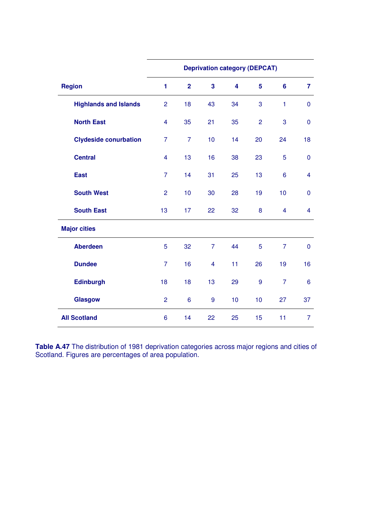|                              | <b>Deprivation category (DEPCAT)</b> |                 |                         |    |                |                         |                         |  |  |  |
|------------------------------|--------------------------------------|-----------------|-------------------------|----|----------------|-------------------------|-------------------------|--|--|--|
| <b>Region</b>                | 1                                    | $\overline{2}$  | $\overline{\mathbf{3}}$ | 4  | 5              | $6\phantom{1}$          | $\overline{7}$          |  |  |  |
| <b>Highlands and Islands</b> | $\overline{2}$                       | 18              | 43                      | 34 | 3              | $\mathbf{1}$            | $\mathbf 0$             |  |  |  |
| <b>North East</b>            | $\overline{4}$                       | 35              | 21                      | 35 | $\overline{2}$ | 3                       | $\overline{0}$          |  |  |  |
| <b>Clydeside conurbation</b> | $\overline{7}$                       | $\overline{7}$  | 10                      | 14 | 20             | 24                      | 18                      |  |  |  |
| <b>Central</b>               | $\overline{4}$                       | 13              | 16                      | 38 | 23             | 5                       | $\mathbf 0$             |  |  |  |
| <b>East</b>                  | $\overline{7}$                       | 14              | 31                      | 25 | 13             | $6\phantom{1}6$         | $\overline{\mathbf{4}}$ |  |  |  |
| <b>South West</b>            | $\overline{2}$                       | 10              | 30                      | 28 | 19             | 10                      | $\mathbf 0$             |  |  |  |
| <b>South East</b>            | 13                                   | 17              | 22                      | 32 | 8              | $\overline{\mathbf{4}}$ | $\overline{\mathbf{4}}$ |  |  |  |
| <b>Major cities</b>          |                                      |                 |                         |    |                |                         |                         |  |  |  |
| <b>Aberdeen</b>              | 5                                    | 32              | $\overline{7}$          | 44 | 5              | $\overline{7}$          | $\overline{0}$          |  |  |  |
| <b>Dundee</b>                | $\overline{7}$                       | 16              | $\overline{\mathbf{4}}$ | 11 | 26             | 19                      | 16                      |  |  |  |
| <b>Edinburgh</b>             | 18                                   | 18              | 13                      | 29 | 9              | $\overline{7}$          | 6                       |  |  |  |
| <b>Glasgow</b>               | $\overline{2}$                       | $6\phantom{1}6$ | $\boldsymbol{9}$        | 10 | 10             | 27                      | 37                      |  |  |  |
| <b>All Scotland</b>          | 6                                    | 14              | 22                      | 25 | 15             | 11                      | $\overline{7}$          |  |  |  |

**Table A.47** The distribution of 1981 deprivation categories across major regions and cities of Scotland. Figures are percentages of area population.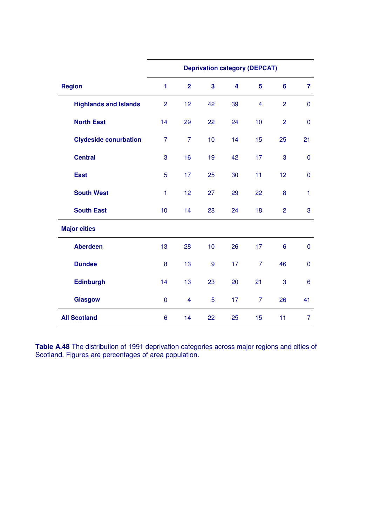|                              |                |                         |                         | <b>Deprivation category (DEPCAT)</b> |                         |                |                 |
|------------------------------|----------------|-------------------------|-------------------------|--------------------------------------|-------------------------|----------------|-----------------|
| <b>Region</b>                | 1              | $\overline{2}$          | $\overline{\mathbf{3}}$ | $\overline{\mathbf{4}}$              | 5                       | $6\phantom{a}$ | $\overline{7}$  |
| <b>Highlands and Islands</b> | $\overline{2}$ | 12                      | 42                      | 39                                   | $\overline{\mathbf{4}}$ | $\overline{2}$ | $\mathbf 0$     |
| <b>North East</b>            | 14             | 29                      | 22                      | 24                                   | 10                      | $\overline{2}$ | $\mathbf 0$     |
| <b>Clydeside conurbation</b> | $\overline{7}$ | $\overline{7}$          | 10                      | 14                                   | 15                      | 25             | 21              |
| <b>Central</b>               | 3              | 16                      | 19                      | 42                                   | 17                      | 3              | $\pmb{0}$       |
| <b>East</b>                  | 5              | 17                      | 25                      | 30                                   | 11                      | 12             | $\mathbf 0$     |
| <b>South West</b>            | $\mathbf{1}$   | 12                      | 27                      | 29                                   | 22                      | 8              | $\mathbf{1}$    |
| <b>South East</b>            | 10             | 14                      | 28                      | 24                                   | 18                      | $\overline{2}$ | 3               |
| <b>Major cities</b>          |                |                         |                         |                                      |                         |                |                 |
| <b>Aberdeen</b>              | 13             | 28                      | 10                      | 26                                   | 17                      | 6              | $\overline{0}$  |
| <b>Dundee</b>                | 8              | 13                      | 9                       | 17                                   | $\overline{7}$          | 46             | $\pmb{0}$       |
| <b>Edinburgh</b>             | 14             | 13                      | 23                      | 20                                   | 21                      | 3              | $6\phantom{1}6$ |
| <b>Glasgow</b>               | $\mathbf 0$    | $\overline{\mathbf{4}}$ | 5                       | 17                                   | $\overline{7}$          | 26             | 41              |
| <b>All Scotland</b>          | 6              | 14                      | 22                      | 25                                   | 15                      | 11             | $\overline{7}$  |

**Table A.48** The distribution of 1991 deprivation categories across major regions and cities of Scotland. Figures are percentages of area population.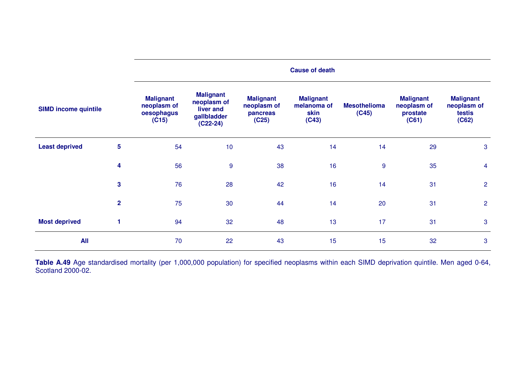|                             |              | <b>Cause of death</b>                                  |                                                                           |                                                      |                                                  |                              |                                                      |                                                    |  |
|-----------------------------|--------------|--------------------------------------------------------|---------------------------------------------------------------------------|------------------------------------------------------|--------------------------------------------------|------------------------------|------------------------------------------------------|----------------------------------------------------|--|
| <b>SIMD income quintile</b> |              | <b>Malignant</b><br>neoplasm of<br>oesophagus<br>(C15) | <b>Malignant</b><br>neoplasm of<br>liver and<br>gallbladder<br>$(C22-24)$ | <b>Malignant</b><br>neoplasm of<br>pancreas<br>(C25) | <b>Malignant</b><br>melanoma of<br>skin<br>(C43) | <b>Mesothelioma</b><br>(C45) | <b>Malignant</b><br>neoplasm of<br>prostate<br>(C61) | <b>Malignant</b><br>neoplasm of<br>testis<br>(C62) |  |
| <b>Least deprived</b>       | 5            | 54                                                     | 10                                                                        | 43                                                   | 14                                               | 14                           | 29                                                   | 3                                                  |  |
|                             | 4            | 56                                                     | 9                                                                         | 38                                                   | 16                                               | $\overline{9}$               | 35                                                   | $\overline{4}$                                     |  |
|                             | $\mathbf{3}$ | 76                                                     | 28                                                                        | 42                                                   | 16                                               | 14                           | 31                                                   | $\overline{2}$                                     |  |
|                             | $\mathbf{2}$ | 75                                                     | 30                                                                        | 44                                                   | 14                                               | 20                           | 31                                                   | $\overline{2}$                                     |  |
| <b>Most deprived</b>        |              | 94                                                     | 32                                                                        | 48                                                   | 13                                               | 17                           | 31                                                   | $\mathbf{3}$                                       |  |
| All                         |              | 70                                                     | 22                                                                        | 43                                                   | 15                                               | 15                           | 32                                                   | 3                                                  |  |

**Table A.49** Age standardised mortality (per 1,000,000 population) for specified neoplasms within each SIMD deprivation quintile. Men aged 0-64, Scotland 2000-02.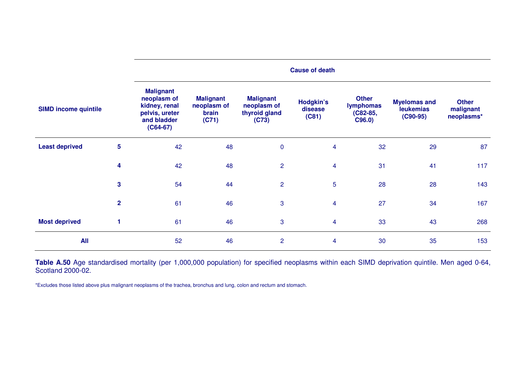|                             |                         | <b>Cause of death</b>                                                                           |                                                   |                                                           |                                      |                                                          |                                                       |                                         |
|-----------------------------|-------------------------|-------------------------------------------------------------------------------------------------|---------------------------------------------------|-----------------------------------------------------------|--------------------------------------|----------------------------------------------------------|-------------------------------------------------------|-----------------------------------------|
| <b>SIMD income quintile</b> |                         | <b>Malignant</b><br>neoplasm of<br>kidney, renal<br>pelvis, ureter<br>and bladder<br>$(C64-67)$ | <b>Malignant</b><br>neoplasm of<br>brain<br>(C71) | <b>Malignant</b><br>neoplasm of<br>thyroid gland<br>(C73) | <b>Hodgkin's</b><br>disease<br>(C81) | <b>Other</b><br><b>lymphomas</b><br>$(C82-85,$<br>C96.0) | <b>Myelomas and</b><br><b>leukemias</b><br>$(C90-95)$ | <b>Other</b><br>malignant<br>neoplasms* |
| <b>Least deprived</b>       | $\overline{\mathbf{5}}$ | 42                                                                                              | 48                                                | $\pmb{0}$                                                 | 4                                    | 32                                                       | 29                                                    | 87                                      |
|                             | 4                       | 42                                                                                              | 48                                                | $\overline{2}$                                            | $\overline{4}$                       | 31                                                       | 41                                                    | 117                                     |
|                             | 3                       | 54                                                                                              | 44                                                | $\overline{2}$                                            | 5                                    | 28                                                       | 28                                                    | 143                                     |
|                             | $\overline{2}$          | 61                                                                                              | 46                                                | 3                                                         | $\overline{4}$                       | 27                                                       | 34                                                    | 167                                     |
| <b>Most deprived</b>        |                         | 61                                                                                              | 46                                                | $\mathbf{3}$                                              | 4                                    | 33                                                       | 43                                                    | 268                                     |
| <b>All</b>                  |                         | 52                                                                                              | 46                                                | $\overline{2}$                                            | 4                                    | 30                                                       | 35                                                    | 153                                     |

**Table A.50** Age standardised mortality (per 1,000,000 population) for specified neoplasms within each SIMD deprivation quintile. Men aged 0-64, Scotland 2000-02.

\*Excludes those listed above plus malignant neoplasms of the trachea, bronchus and lung, colon and rectum and stomach.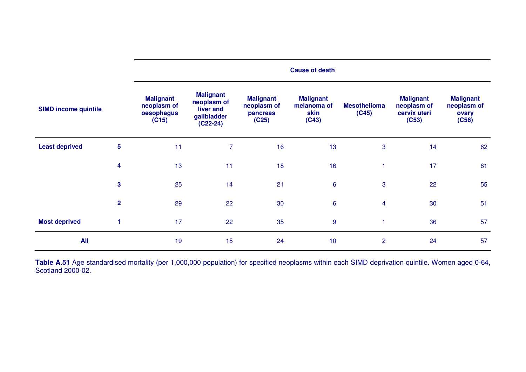|                             |                         | <b>Cause of death</b>                                  |                                                                           |                                                      |                                                  |                              |                                                          |                                                   |  |
|-----------------------------|-------------------------|--------------------------------------------------------|---------------------------------------------------------------------------|------------------------------------------------------|--------------------------------------------------|------------------------------|----------------------------------------------------------|---------------------------------------------------|--|
| <b>SIMD income quintile</b> |                         | <b>Malignant</b><br>neoplasm of<br>oesophagus<br>(C15) | <b>Malignant</b><br>neoplasm of<br>liver and<br>gallbladder<br>$(C22-24)$ | <b>Malignant</b><br>neoplasm of<br>pancreas<br>(C25) | <b>Malignant</b><br>melanoma of<br>skin<br>(C43) | <b>Mesothelioma</b><br>(C45) | <b>Malignant</b><br>neoplasm of<br>cervix uteri<br>(C53) | <b>Malignant</b><br>neoplasm of<br>ovary<br>(C56) |  |
| <b>Least deprived</b>       | $5\phantom{a}$          | 11                                                     | 7                                                                         | 16                                                   | 13                                               | 3                            | 14                                                       | 62                                                |  |
|                             | 4                       | 13                                                     | 11                                                                        | 18                                                   | 16                                               |                              | 17                                                       | 61                                                |  |
|                             | $\overline{\mathbf{3}}$ | 25                                                     | 14                                                                        | 21                                                   | $6\phantom{a}$                                   | 3                            | 22                                                       | 55                                                |  |
|                             | $\overline{2}$          | 29                                                     | 22                                                                        | 30                                                   | 6                                                | $\overline{4}$               | 30                                                       | 51                                                |  |
| <b>Most deprived</b>        |                         | 17                                                     | 22                                                                        | 35                                                   | 9                                                |                              | 36                                                       | 57                                                |  |
| <b>All</b>                  |                         | 19                                                     | 15                                                                        | 24                                                   | 10                                               | $\overline{2}$               | 24                                                       | 57                                                |  |

**Table A.51** Age standardised mortality (per 1,000,000 population) for specified neoplasms within each SIMD deprivation quintile. Women aged 0-64, Scotland 2000-02.